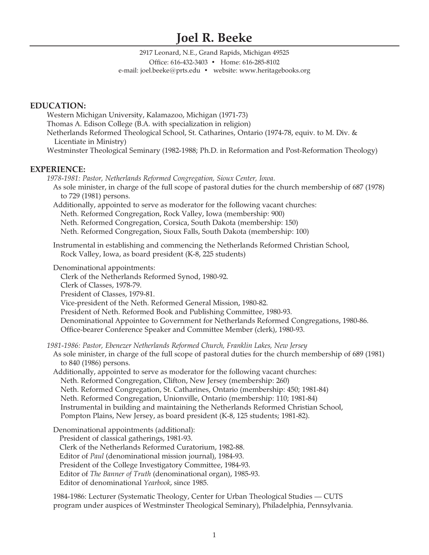# **Joel R. Beeke**

2917 Leonard, N.E., Grand Rapids, Michigan 49525 Office: 616-432-3403 • Home: 616-285-8102 e-mail: joel.beeke@prts.edu • website: www.heritagebooks.org

# **EDUCATION:**

Western Michigan University, Kalamazoo, Michigan (1971-73) Thomas A. Edison College (B.A. with specialization in religion) Netherlands Reformed Theological School, St. Catharines, Ontario (1974-78, equiv. to M. Div. & Licentiate in Ministry) Westminster Theological Seminary (1982-1988; Ph.D. in Reformation and Post-Reformation Theology)

# **EXPERIENCE:**

*1978-1981: Pastor, Netherlands Reformed Congregation, Sioux Center, Iowa*. As sole minister, in charge of the full scope of pastoral duties for the church membership of 687 (1978) to 729 (1981) persons. Additionally, appointed to serve as moderator for the following vacant churches: Neth. Reformed Congregation, Rock Valley, Iowa (membership: 900) Neth. Reformed Congregation, Corsica, South Dakota (membership: 150) Neth. Reformed Congregation, Sioux Falls, South Dakota (membership: 100) Instrumental in establishing and commencing the Netherlands Reformed Christian School, Rock Valley, Iowa, as board president (K-8, 225 students) Denominational appointments: Clerk of the Netherlands Reformed Synod, 1980-92. Clerk of Classes, 1978-79. President of Classes, 1979-81. Vice-president of the Neth. Reformed General Mission, 1980-82. President of Neth. Reformed Book and Publishing Committee, 1980-93. Denominational Appointee to Government for Netherlands Reformed Congregations, 1980-86. Office-bearer Conference Speaker and Committee Member (clerk), 1980-93. *1981-1986: Pastor, Ebenezer Netherlands Reformed Church, Franklin Lakes, New Jersey* As sole minister, in charge of the full scope of pastoral duties for the church membership of 689 (1981) to 840 (1986) persons. Additionally, appointed to serve as moderator for the following vacant churches: Neth. Reformed Congregation, Clifton, New Jersey (membership: 260) Neth. Reformed Congregation, St. Catharines, Ontario (membership: 450; 1981-84) Neth. Reformed Congregation, Unionville, Ontario (membership: 110; 1981-84) Instrumental in building and maintaining the Netherlands Reformed Christian School, Pompton Plains, New Jersey, as board president (K-8, 125 students; 1981-82). Denominational appointments (additional):

President of classical gatherings, 1981-93. Clerk of the Netherlands Reformed Curatorium, 1982-88. Editor of *Paul* (denominational mission journal), 1984-93. President of the College Investigatory Committee, 1984-93. Editor of *The Banner of Truth* (denominational organ), 1985-93. Editor of denominational *Yearbook*, since 1985.

1984-1986: Lecturer (Systematic Theology, Center for Urban Theological Studies — CUTS program under auspices of Westminster Theological Seminary), Philadelphia, Pennsylvania.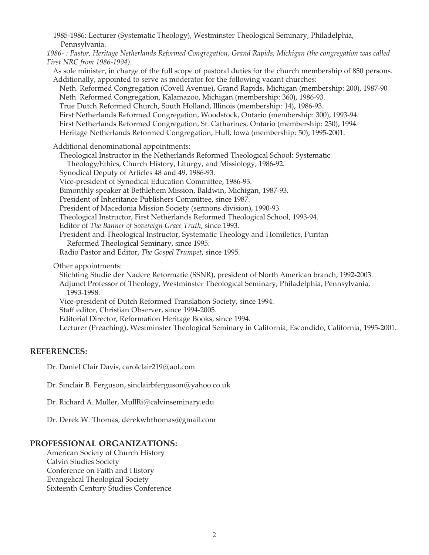1985-1986: Lecturer (Systematic Theology), Westminster Theological Seminary, Philadelphia, Pennsylvania. *1986- : Pastor, Heritage Netherlands Reformed Congregation, Grand Rapids, Michigan (the congregation was called First NRC from 1986-1994).* As sole minister, in charge of the full scope of pastoral duties for the church membership of 850 persons. Additionally, appointed to serve as moderator for the following vacant churches: Neth. Reformed Congregation (Covell Avenue), Grand Rapids, Michigan (membership: 200), 1987-90 Neth. Reformed Congregation, Kalamazoo, Michigan (membership: 360), 1986-93. True Dutch Reformed Church, South Holland, Illinois (membership: 14), 1986-93. First Netherlands Reformed Congregation, Woodstock, Ontario (membership: 300), 1993-94. First Netherlands Reformed Congregation, St. Catharines, Ontario (membership: 250), 1994. Heritage Netherlands Reformed Congregation, Hull, Iowa (membership: 50), 1995-2001. Additional denominational appointments: Theological Instructor in the Netherlands Reformed Theological School: Systematic Theology/Ethics, Church History, Liturgy, and Missiology, 1986-92. Synodical Deputy of Articles 48 and 49, 1986-93. Vice-president of Synodical Education Committee, 1986-93. Bimonthly speaker at Bethlehem Mission, Baldwin, Michigan, 1987-93. President of Inheritance Publishers Committee, since 1987. President of Macedonia Mission Society (sermons division), 1990-93. Theological Instructor, First Netherlands Reformed Theological School, 1993-94. Editor of *The Banner of Sovereign Grace Truth*, since 1993. President and Theological Instructor, Systematic Theology and Homiletics, Puritan Reformed Theological Seminary, since 1995. Radio Pastor and Editor, *The Gospel Trumpet*, since 1995. Other appointments: Stichting Studie der Nadere Reformatie (SSNR), president of North American branch, 1992-2003. Adjunct Professor of Theology, Westminster Theological Seminary, Philadelphia, Pennsylvania, 1993-1998. Vice-president of Dutch Reformed Translation Society, since 1994. Staff editor, Christian Observer, since 1994-2005. Editorial Director, Reformation Heritage Books, since 1994. Lecturer (Preaching), Westminster Theological Seminary in California, Escondido, California, 1995-2001.

# **REFERENCES:**

Dr. Daniel Clair Davis, carolclair219@aol.com

Dr. Sinclair B. Ferguson, sinclairbferguson@yahoo.co.uk

Dr. Richard A. Muller, MullRi@calvinseminary.edu

Dr. Derek W. Thomas, derekwhthomas@gmail.com

# **PROFESSIONAL ORGANIZATIONS:**

American Society of Church History Calvin Studies Society Conference on Faith and History Evangelical Theological Society Sixteenth Century Studies Conference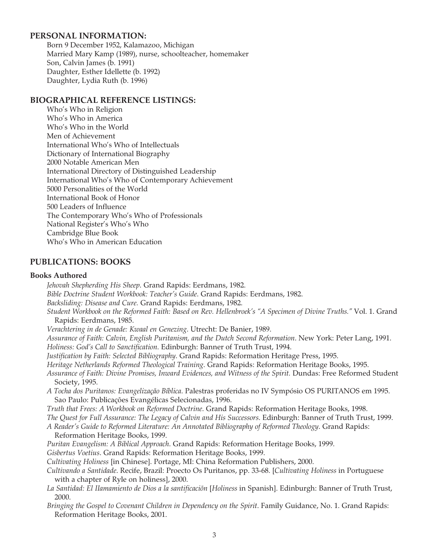# **PERSONAL INFORMATION:**

Born 9 December 1952, Kalamazoo, Michigan Married Mary Kamp (1989), nurse, schoolteacher, homemaker Son, Calvin James (b. 1991) Daughter, Esther Idellette (b. 1992) Daughter, Lydia Ruth (b. 1996)

# **BIOGRAPHICAL REFERENCE LISTINGS:**

Who's Who in Religion Who's Who in America Who's Who in the World Men of Achievement International Who's Who of Intellectuals Dictionary of International Biography 2000 Notable American Men International Directory of Distinguished Leadership International Who's Who of Contemporary Achievement 5000 Personalities of the World International Book of Honor 500 Leaders of Influence The Contemporary Who's Who of Professionals National Register's Who's Who Cambridge Blue Book Who's Who in American Education

# **PUBLICATIONS: BOOKS**

## **Books Authored**

*Jehovah Shepherding His Sheep*. Grand Rapids: Eerdmans, 1982. *Bible Doctrine Student Workbook: Teacher's Guide*. Grand Rapids: Eerdmans, 1982. *Backsliding: Disease and Cure.* Grand Rapids: Eerdmans, 1982. *Student Workbook on the Reformed Faith: Based on Rev. Hellenbroek's "A Specimen of Divine Truths."* Vol. 1. Grand Rapids: Eerdmans, 1985. *Verachtering in de Genade: Kwaal en Genezing*. Utrecht: De Banier, 1989. *Assurance of Faith: Calvin, English Puritanism, and the Dutch Second Reformation*. New York: Peter Lang, 1991. *Holiness: God's Call to Sanctification*. Edinburgh: Banner of Truth Trust, 1994. *Justification by Faith: Selected Bibliography*. Grand Rapids: Reformation Heritage Press, 1995. *Heritage Netherlands Reformed Theological Training*. Grand Rapids: Reformation Heritage Books, 1995. Assurance of Faith: Divine Promises, Inward Evidences, and Witness of the Spirit. Dundas: Free Reformed Student Society, 1995. *A Tocha dos Puritanos: Evangelização Bíblica*. Palestras proferidas no IV Sympósio OS PURITANOS em 1995. Sao Paulo: Publicações Evangélicas Selecionadas, 1996. *Truth that Frees: A Workbook on Reformed Doctrine*. Grand Rapids: Reformation Heritage Books, 1998. *The Quest for Full Assurance: The Legacy of Calvin and His Successors*. Edinburgh: Banner of Truth Trust, 1999. *A Reader's Guide to Reformed Literature: An Annotated Bibliography of Reformed Theology*. Grand Rapids: Reformation Heritage Books, 1999. *Puritan Evangelism: A Biblical Approach*. Grand Rapids: Reformation Heritage Books, 1999. *Gisbertus Voetius*. Grand Rapids: Reformation Heritage Books, 1999. *Cultivating Holiness* [in Chinese]. Portage, MI: China Reformation Publishers, 2000. *Cultivando a Santidade*. Recife, Brazil: Proecto Os Puritanos, pp. 33-68. [*Cultivating Holiness* in Portuguese with a chapter of Ryle on holiness], 2000. *La Santidad: El IIamamiento de Dios a la santificaciõn* [*Holiness* in Spanish]. Edinburgh: Banner of Truth Trust, 2000. *Bringing the Gospel to Covenant Children in Dependency on the Spirit*. Family Guidance, No. 1. Grand Rapids: Reformation Heritage Books, 2001.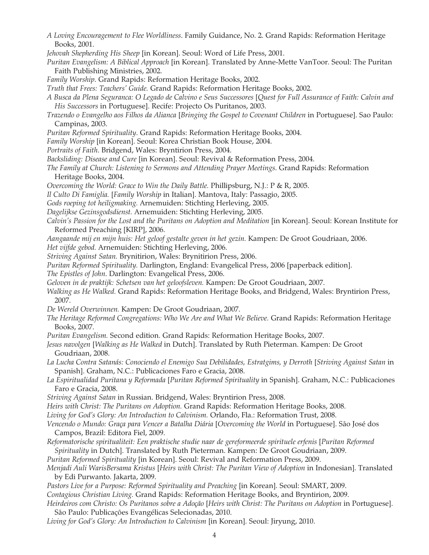- *A Loving Encouragement to Flee Worldliness*. Family Guidance, No. 2. Grand Rapids: Reformation Heritage Books, 2001.
- *Jehovah Shepherding His Sheep* [in Korean]. Seoul: Word of Life Press, 2001.
- *Puritan Evangelism: A Biblical Approach* [in Korean]. Translated by Anne-Mette VanToor. Seoul: The Puritan Faith Publishing Ministries, 2002.
- *Family Worship*. Grand Rapids: Reformation Heritage Books, 2002.
- *Truth that Frees: Teachers' Guide.* Grand Rapids: Reformation Heritage Books, 2002.
- *A Busca da Plena Seguranca: O Legado de Calvino e Seus Successores* [*Quest for Full Assurance of Faith: Calvin and His Successors* in Portuguese]. Recife: Projecto Os Puritanos, 2003.
- *Trazendo o Evangelho aos Filhos da Alianca* [*Bringing the Gospel to Covenant Children* in Portuguese]. Sao Paulo: Campinas, 2003.
- *Puritan Reformed Spirituality*. Grand Rapids: Reformation Heritage Books, 2004.
- *Family Worship* [in Korean]. Seoul: Korea Christian Book House, 2004.
- *Portraits of Faith*. Bridgend, Wales: Bryntirion Press, 2004.
- *Backsliding: Disease and Cure* [in Korean]. Seoul: Revival & Reformation Press, 2004.
- *The Family at Church: Listening to Sermons and Attending Prayer Meetings*. Grand Rapids: Reformation Heritage Books, 2004.
- *Overcoming the World: Grace to Win the Daily Battle.* Phillipsburg, N.J.: P & R, 2005.
- *Il Culto Di Famiglia.* [*Family Worship* in Italian]. Mantova, Italy: Passagio, 2005.
- *Gods roeping tot heiligmaking.* Arnemuiden: Stichting Herleving, 2005.
- *Dagelijkse Gezinsgodsdienst.* Arnemuiden: Stichting Herleving, 2005.
- Calvin's Passion for the Lost and the Puritans on Adoption and Meditation [in Korean]. Seoul: Korean Institute for Reformed Preaching [KIRP], 2006.
- *Aangaande mij en mijn huis: Het geloof gestalte geven in het gezin.* Kampen: De Groot Goudriaan, 2006.
- *Het vijfde gebod.* Arnemuiden: Stichting Herleving, 2006.
- *Striving Against Satan.* Brynitirion, Wales: Brynitirion Press, 2006.
- *Puritan Reformed Spirituality.* Darlington, England: Evangelical Press, 2006 [paperback edition].
- *The Epistles of John*. Darlington: Evangelical Press, 2006.
- *Geloven in de praktijk: Schetsen van het geloofsleven.* Kampen: De Groot Goudriaan, 2007.
- *Walking as He Walked.* Grand Rapids: Reformation Heritage Books, and Bridgend, Wales: Bryntirion Press, 2007.
- *De Wereld Overwinnen.* Kampen: De Groot Goudriaan, 2007.
- *The Heritage Reformed Congregations: Who We Are and What We Believe.* Grand Rapids: Reformation Heritage Books, 2007.
- *Puritan Evangelism.* Second edition. Grand Rapids: Reformation Heritage Books, 2007.
- *Jesus navolgen* [*Walking as He Walked* in Dutch]. Translated by Ruth Pieterman. Kampen: De Groot Goudriaan, 2008.
- *La Lucha Contra Satanás: Conociendo el Enemigo Sua Debilidades, Estratgims, y Derroth* [*Striving Against Satan* in Spanish]. Graham, N.C.: Publicaciones Faro e Gracia, 2008.
- *La Espiritualidad Puritana y Reformada* [*Puritan Reformed Spirituality* in Spanish]. Graham, N.C.: Publicaciones Faro e Gracia, 2008.
- *Striving Against Satan* in Russian. Bridgend, Wales: Bryntirion Press, 2008.
- *Heirs with Christ: The Puritans on Adoption.* Grand Rapids: Reformation Heritage Books, 2008.
- *Living for God's Glory: An Introduction to Calvinism.* Orlando, Fla.: Reformation Trust, 2008.
- *Vencendo o Mundo: Graça para Vencer a Batalha Diária* [*Overcoming the World* in Portuguese]. São José dos Campos, Brazil: Editora Fiel, 2009.
- *Reformatorische spiritualiteit: Een praktische studie naar de gereformeerde spirituele erfenis* [*Puritan Reformed Spirituality* in Dutch]. Translated by Ruth Pieterman. Kampen: De Groot Goudriaan, 2009.
- *Puritan Reformed Spirituality* [in Korean]. Seoul: Revival and Reformation Press, 2009.
- *Menjadi Auli WarisBersama Kristus* [*Heirs with Christ: The Puritan View of Adoption* in Indonesian]. Translated by Edi Purwanto. Jakarta, 2009.
- *Pastors Live for a Purpose: Reformed Spirituality and Preaching* [in Korean]. Seoul: SMART, 2009.
- *Contagious Christian Living.* Grand Rapids: Reformation Heritage Books, and Bryntirion, 2009.
- *Heirdeiros com Christo: Os Puritanos sobre a Adoção* [*Heirs with Christ: The Puritans on Adoption* in Portuguese]. São Paulo: Publicações Evangélicas Selecionadas, 2010.
- *Living for God's Glory: An Introduction to Calvinism* [in Korean]. Seoul: Jiryung, 2010.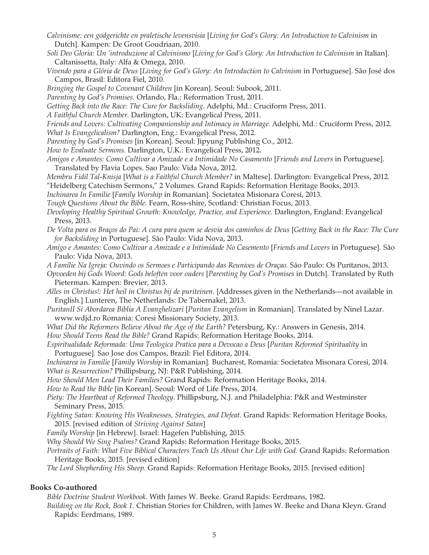- *Calvinisme: een godgerichte en praletische levensvisia* [*Living for God's Glory: An Introduction to Calvinism* in Dutch]. Kampen: De Groot Goudriaan, 2010.
- *Soli Deo Gloria: Un 'introduzione al Calvinismo* [*Living for God's Glory: An Introduction to Calvinism* in Italian]. Caltanissetta, Italy: Alfa & Omega, 2010.
- *Vivendo para a Glória de Deus* [*Living for God's Glory: An Introduction to Calvinism* in Portuguese]. São José dos Campos, Brasil: Editora Fiel, 2010.
- *Bringing the Gospel to Covenant Children* [in Korean]. Seoul: Subook, 2011.
- *Parenting by God's Promises.* Orlando, Fla.: Reformation Trust, 2011.
- *Getting Back into the Race: The Cure for Backsliding*. Adelphi, Md.: Cruciform Press, 2011.
- *A Faithful Church Member.* Darlington, UK: Evangelical Press, 2011.
- *Friends and Lovers: Cultivating Companionship and Intimacy in Marriage*. Adelphi, Md.: Cruciform Press, 2012. *What Is Evangelicalism?* Darlington, Eng.: Evangelical Press, 2012.
- *Parenting by God's Promises* [in Korean]. Seoul: Jipyung Publishing Co., 2012.
- *How to Evaluate Sermons.* Darlington, U.K.: Evangelical Press, 2012.
- *Amigos e Amantes: Como Cultivar a Amizade e a Intimidade No Casamento* [*Friends and Lovers* in Portuguese]. Translated by Flavia Lopes. Sao Paulo: Vida Nova, 2012.
- *Membru Fidil Tal-Knisja* [*What is a Faithful Church Member?* in Maltese]. Darlington: Evangelical Press, 2012. "Heidelberg Catechism Sermons," 2 Volumes. Grand Rapids: Reformation Heritage Books, 2013.
- *Inchinarea In Familie* [*Family Worship* in Romanian]. Societatea Misionara Coresi, 2013.
- *Tough Questions About the Bible.* Fearn, Ross-shire, Scotland: Christian Focus, 2013.
- *Developing Healthy Spiritual Growth: Knowledge, Practice, and Experience.* Darlington, England: Evangelical Press, 2013.
- *De Volta para os Braços do Pai: A cura para quem se desvia dos caminhos de Deus* [*Getting Back in the Race: The Cure for Backsliding* in Portuguese]*.* São Paulo: Vida Nova, 2013.
- *Amigo e Amantes: Como Cultivar a Amizade e a Intimidade No Casemento* [*Friends and Lovers* in Portuguese]*.* São Paulo: Vida Nova, 2013.
- *A Famílie Na Igreja: Ouvindo os Sermoes e Participando das Reunioes de Oraçao.* São Paulo: Os Puritanos, 2013.
- *Opvoeden bij Gods Woord: Gods beloften voor ouders* [*Parenting by God's Promises* in Dutch]*.* Translated by Ruth Pieterman. Kampen: Brevier, 2013.
- *Alles in Christus!: Het heil in Christus bij de puriteinen.* [Addresses given in the Netherlands—not available in English.] Lunteren, The Netherlands: De Tabernakel, 2013.
- *PuritanII Si Abordarea Biblia A Evanghelizari* [*Puritan Evangelism* in Romanian]. Translated by Ninel Lazar. www.wdjd.ro Romania: Coresi Missionary Society, 2013.
- *What Did the Reformers Believe About the Age of the Earth?* Petersburg, Ky.: Answers in Genesis, 2014. *How Should Teens Read the Bible?* Grand Rapids: Reformation Heritage Books, 2014.
- *Espiritualidade Reformada: Uma Teologica Pratica para a Devocao a Deus* [*Puritan Reformed Spirituality* in Portuguese]*.* Sao Jose dos Campos, Brazil: Fiel Editora, 2014.

*Inchinarea in Familie* [*Family Worship* in Romanian]*.* Bucharest, Romania: Societatea Misonara Coresi, 2014. *What is Resurrection?* Phillipsburg, NJ: P&R Publishing, 2014.

- *How Should Men Lead Their Families?* Grand Rapids: Reformation Heritage Books, 2014.
- *How to Read the Bible* [in Korean]. Seoul: Word of Life Press, 2014.
- *Piety: The Heartbeat of Reformed Theology*. Phillipsburg, N.J. and Philadelphia: P&R and Westminster Seminary Press, 2015.
- *Fighting Satan: Knowing His Weaknesses, Strategies, and Defeat.* Grand Rapids: Reformation Heritage Books, 2015. [revised edition of *Striving Against Satan*]
- *Family Worship* [in Hebrew]. Israel: Hagefen Publishing, 2015.
- *Why Should We Sing Psalms?* Grand Rapids: Reformation Heritage Books, 2015.
- *Portraits of Faith: What Five Biblical Characters Teach Us About Our Life with God.* Grand Rapids: Reformation Heritage Books, 2015. [revised edition]

*The Lord Shepherding His Sheep.* Grand Rapids: Reformation Heritage Books, 2015. [revised edition]

## **Books Co-authored**

*Bible Doctrine Student Workbook*. With James W. Beeke. Grand Rapids: Eerdmans, 1982.

*Building on the Rock, Book 1.* Christian Stories for Children, with James W. Beeke and Diana Kleyn. Grand Rapids: Eerdmans, 1989.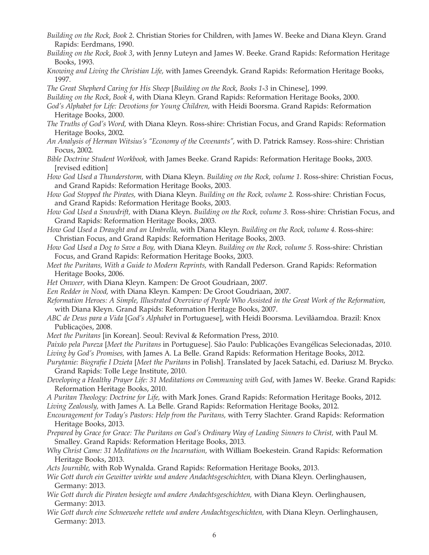- *Building on the Rock, Book 2*. Christian Stories for Children, with James W. Beeke and Diana Kleyn. Grand Rapids: Eerdmans, 1990.
- *Building on the Rock*, *Book 3*, with Jenny Luteyn and James W. Beeke. Grand Rapids: Reformation Heritage Books, 1993.
- *Knowing and Living the Christian Life,* with James Greendyk. Grand Rapids: Reformation Heritage Books, 1997.
- *The Great Shepherd Caring for His Sheep* [*Building on the Rock, Books 1-3* in Chinese], 1999.

*Building on the Rock*, *Book 4*, with Diana Kleyn. Grand Rapids: Reformation Heritage Books, 2000.

- *God's Alphabet for Life: Devotions for Young Children,* with Heidi Boorsma. Grand Rapids: Reformation Heritage Books, 2000.
- *The Truths of God's Word,* with Diana Kleyn. Ross-shire: Christian Focus, and Grand Rapids: Reformation Heritage Books, 2002.
- *An Analysis of Herman Witsius's "Economy of the Covenants",* with D. Patrick Ramsey. Ross-shire: Christian Focus, 2002.
- *Bible Doctrine Student Workbook,* with James Beeke. Grand Rapids: Reformation Heritage Books, 2003. [revised edition]
- *How God Used a Thunderstorm,* with Diana Kleyn. *Building on the Rock, volume 1.* Ross-shire: Christian Focus, and Grand Rapids: Reformation Heritage Books, 2003.
- *How God Stopped the Pirates,* with Diana Kleyn. *Building on the Rock, volume 2.* Ross-shire: Christian Focus, and Grand Rapids: Reformation Heritage Books, 2003.
- *How God Used a Snowdrift,* with Diana Kleyn. *Building on the Rock, volume 3.* Ross-shire: Christian Focus, and Grand Rapids: Reformation Heritage Books, 2003.
- *How God Used a Draught and an Umbrella,* with Diana Kleyn. *Building on the Rock, volume 4.* Ross-shire: Christian Focus, and Grand Rapids: Reformation Heritage Books, 2003.
- *How God Used a Dog to Save a Boy,* with Diana Kleyn. *Building on the Rock, volume 5.* Ross-shire: Christian Focus, and Grand Rapids: Reformation Heritage Books, 2003.
- *Meet the Puritans, With a Guide to Modern Reprints,* with Randall Pederson. Grand Rapids: Reformation Heritage Books, 2006.
- *Het Onweer,* with Diana Kleyn. Kampen: De Groot Goudriaan, 2007.
- *Een Redder in Nood,* with Diana Kleyn. Kampen: De Groot Goudriaan, 2007.
- *Reformation Heroes: A Simple, Illustrated Overview of People Who Assisted in the Great Work of the Reformation,*  with Diana Kleyn. Grand Rapids: Reformation Heritage Books, 2007.
- *ABC de Deus para a Vida* [*God's Alphabet* in Portuguese], with Heidi Boorsma. Levilâamdoa. Brazil: Knox Publicaçöes, 2008.
- *Meet the Puritans* [in Korean]. Seoul: Revival & Reformation Press, 2010.
- *Paixão pela Pureza* [*Meet the Puritans* in Portuguese]. São Paulo: Publicações Evangélicas Selecionadas, 2010. *Living by God's Promises,* with James A. La Belle. Grand Rapids: Reformation Heritage Books, 2012.
- *Purytanie: Biografie I Dzieta* [*Meet the Puritans* in Polish]. Translated by Jacek Satachi, ed. Dariusz M. Brycko. Grand Rapids: Tolle Lege Institute, 2010.
- *Developing a Healthy Prayer Life: 31 Meditations on Communing with God*, with James W. Beeke. Grand Rapids: Reformation Heritage Books, 2010.
- *A Puritan Theology: Doctrine for Life,* with Mark Jones. Grand Rapids: Reformation Heritage Books, 2012.
- *Living Zealously,* with James A. La Belle. Grand Rapids: Reformation Heritage Books, 2012.
- *Encouragement for Today's Pastors: Help from the Puritans,* with Terry Slachter. Grand Rapids: Reformation Heritage Books, 2013.
- *Prepared by Grace for Grace: The Puritans on God's Ordinary Way of Leading Sinners to Christ,* with Paul M. Smalley. Grand Rapids: Reformation Heritage Books, 2013.
- *Why Christ Came: 31 Meditations on the Incarnation,* with William Boekestein. Grand Rapids: Reformation Heritage Books, 2013.
- *Acts Journible,* with Rob Wynalda. Grand Rapids: Reformation Heritage Books, 2013.
- *Wie Gott durch ein Gewitter wirkte und andere Andachtsgeschichten,* with Diana Kleyn. Oerlinghausen, Germany: 2013.
- *Wie Gott durch die Piraten besiegte und andere Andachtsgeschichten,* with Diana Kleyn. Oerlinghausen, Germany: 2013.
- *Wie Gott durch eine Schneewehe rettete und andere Andachtsgeschichten,* with Diana Kleyn. Oerlinghausen, Germany: 2013.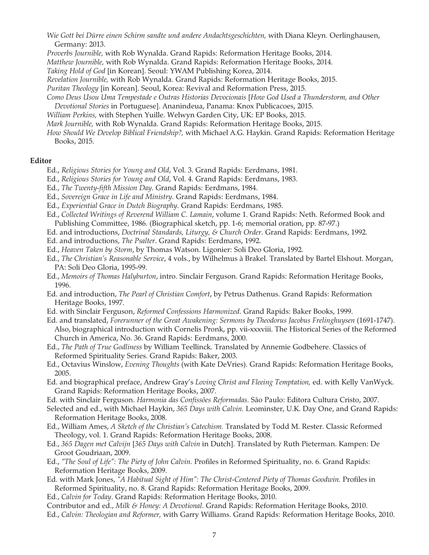*Wie Gott bei Dürre einen Schirm sandte und andere Andachtsgeschichten,* with Diana Kleyn. Oerlinghausen, Germany: 2013.

*Proverbs Journible,* with Rob Wynalda. Grand Rapids: Reformation Heritage Books, 2014.

*Matthew Journible,* with Rob Wynalda. Grand Rapids: Reformation Heritage Books, 2014.

*Taking Hold of God* [in Korean]. Seoul: YWAM Publishing Korea, 2014.

*Revelation Journible,* with Rob Wynalda. Grand Rapids: Reformation Heritage Books, 2015.

*Puritan Theology* [in Korean]. Seoul, Korea: Revival and Reformation Press, 2015.

*Como Deus Usou Uma Tempestade e Outras Historias Devocionais* [*How God Used a Thunderstorm, and Other Devotional Stories* in Portuguese]. Ananindeua, Panama: Knox Publicacoes, 2015.

*William Perkins,* with Stephen Yuille. Welwyn Garden City, UK: EP Books, 2015.

*Mark Journible,* with Rob Wynalda. Grand Rapids: Reformation Heritage Books, 2015.

*How Should We Develop Biblical Friendship?,* with Michael A.G. Haykin. Grand Rapids: Reformation Heritage Books, 2015.

#### **Editor**

Ed., *Religious Stories for Young and Old*, Vol. 3. Grand Rapids: Eerdmans, 1981.

Ed., *Religious Stories for Young and Old*, Vol. 4. Grand Rapids: Eerdmans, 1983.

Ed., *The Twenty-fifth Mission Day*. Grand Rapids: Eerdmans, 1984.

- Ed., *Sovereign Grace in Life and Ministry*. Grand Rapids: Eerdmans, 1984.
- Ed., *Experiential Grace in Dutch Biography*. Grand Rapids: Eerdmans, 1985.
- Ed., *Collected Writings of Reverend William C. Lamain*, volume 1. Grand Rapids: Neth. Reformed Book and Publishing Committee, 1986. (Biographical sketch, pp. 1-6; memorial oration, pp. 87-97.)

Ed. and introductions, *Doctrinal Standards, Liturgy, & Church Order*. Grand Rapids: Eerdmans, 1992.

Ed. and introductions, *The Psalter*. Grand Rapids: Eerdmans, 1992.

Ed., *Heaven Taken by Storm*, by Thomas Watson. Ligonier: Soli Deo Gloria, 1992.

- Ed., *The Christian's Reasonable Service*, 4 vols., by Wilhelmus à Brakel. Translated by Bartel Elshout. Morgan, PA: Soli Deo Gloria, 1995-99.
- Ed., *Memoirs of Thomas Halyburton*, intro. Sinclair Ferguson. Grand Rapids: Reformation Heritage Books, 1996.
- Ed. and introduction, *The Pearl of Christian Comfort*, by Petrus Dathenus. Grand Rapids: Reformation Heritage Books, 1997.
- Ed. with Sinclair Ferguson, *Reformed Confessions Harmonized*. Grand Rapids: Baker Books, 1999.
- Ed. and translated, *Forerunner of the Great Awakening: Sermons by Theodorus Jacobus Frelinghuysen* (1691-1747). Also, biographical introduction with Cornelis Pronk, pp. vii-xxxviii. The Historical Series of the Reformed Church in America, No. 36. Grand Rapids: Eerdmans, 2000.
- Ed., *The Path of True Godliness* by William Teellinck. Translated by Annemie Godbehere. Classics of Reformed Spirituality Series. Grand Rapids: Baker, 2003.
- Ed., Octavius Winslow, *Evening Thoughts* (with Kate DeVries). Grand Rapids: Reformation Heritage Books, 2005.

Ed. and biographical preface, Andrew Gray's *Loving Christ and Fleeing Temptation,* ed. with Kelly VanWyck. Grand Rapids: Reformation Heritage Books, 2007.

Ed. with Sinclair Ferguson. *Harmonia das Confissões Reformadas*. São Paulo: Editora Cultura Cristo, 2007.

- Selected and ed., with Michael Haykin, *365 Days with Calvin.* Leominster, U.K. Day One, and Grand Rapids: Reformation Heritage Books, 2008.
- Ed., William Ames, *A Sketch of the Christian's Catechism.* Translated by Todd M. Rester. Classic Reformed Theology, vol. 1. Grand Rapids: Reformation Heritage Books, 2008.
- Ed., *365 Dagen met Calvijn* [*365 Days with Calvin* in Dutch]. Translated by Ruth Pieterman. Kampen: De Groot Goudriaan, 2009.
- Ed., *"The Soul of Life": The Piety of John Calvin.* Profiles in Reformed Spirituality, no. 6. Grand Rapids: Reformation Heritage Books, 2009.
- Ed. with Mark Jones, "A Habitual Sight of Him": The Christ-Centered Piety of Thomas Goodwin. Profiles in Reformed Spirituality, no. 8. Grand Rapids: Reformation Heritage Books, 2009.

Ed., *Calvin for Today*. Grand Rapids: Reformation Heritage Books, 2010.

Contributor and ed., *Milk & Honey: A Devotional*. Grand Rapids: Reformation Heritage Books, 2010.

Ed., *Calvin: Theologian and Reformer,* with Garry Williams. Grand Rapids: Reformation Heritage Books, 2010.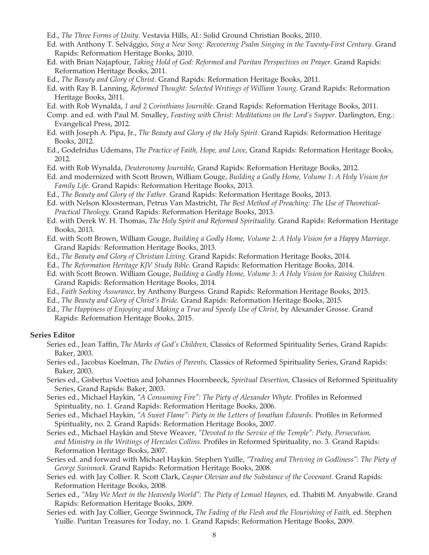- Ed., *The Three Forms of Unity*. Vestavia Hills, Al.: Solid Ground Christian Books, 2010.
- Ed. with Anthony T. Selvággio, *Sing a New Song: Recovering Psalm Singing in the Twenty-First Century.* Grand Rapids: Reformation Heritage Books, 2010.
- Ed. with Brian Najapfour, *Taking Hold of God: Reformed and Puritan Perspectives on Prayer*. Grand Rapids: Reformation Heritage Books, 2011.
- Ed., *The Beauty and Glory of Christ*. Grand Rapids: Reformation Heritage Books, 2011.
- Ed. with Ray B. Lanning, *Reformed Thought: Selected Writings of William Young*. Grand Rapids: Reformation Heritage Books, 2011.
- Ed. with Rob Wynalda, *1 and 2 Corinthians Journible*. Grand Rapids: Reformation Heritage Books, 2011.
- Comp. and ed. with Paul M. Smalley, *Feasting with Christ: Meditations on the Lord's Supper*. Darlington, Eng.: Evangelical Press, 2012.
- Ed. with Joseph A. Pipa, Jr., *The Beauty and Glory of the Holy Spirit.* Grand Rapids: Reformation Heritage Books, 2012.
- Ed., Godefridus Udemans, *The Practice of Faith, Hope, and Love,* Grand Rapids: Reformation Heritage Books, 2012.
- Ed. with Rob Wynalda, *Deuteronomy Journible,* Grand Rapids: Reformation Heritage Books, 2012.
- Ed. and modernized with Scott Brown, William Gouge, *Building a Godly Home, Volume 1: A Holy Vision for Family Life.* Grand Rapids: Reformation Heritage Books, 2013.
- Ed., *The Beauty and Glory of the Father.* Grand Rapids: Reformation Heritage Books, 2013.
- Ed. with Nelson Kloosterman, Petrus Van Mastricht, *The Best Method of Preaching: The Use of Theoretical-Practical Theology.* Grand Rapids: Reformation Heritage Books, 2013.
- Ed. with Derek W. H. Thomas, *The Holy Spirit and Reformed Spirituality.* Grand Rapids: Reformation Heritage Books, 2013.
- Ed. with Scott Brown, William Gouge, *Building a Godly Home, Volume 2: A Holy Vision for a Happy Marriage.*  Grand Rapids: Reformation Heritage Books, 2013.
- Ed., *The Beauty and Glory of Christian Living.* Grand Rapids: Reformation Heritage Books, 2014.
- Ed., *The Reformation Heritage KJV Study Bible.* Grand Rapids: Reformation Heritage Books, 2014.
- Ed. with Scott Brown. William Gouge, *Building a Godly Home, Volume 3: A Holy Vision for Raising Children.*  Grand Rapids: Reformation Heritage Books, 2014.
- Ed., *Faith Seeking Assurance,* by Anthony Burgess. Grand Rapids: Reformation Heritage Books, 2015.
- Ed., *The Beauty and Glory of Christ's Bride.* Grand Rapids: Reformation Heritage Books, 2015.
- Ed., *The Happiness of Enjoying and Making a True and Speedy Use of Christ,* by Alexander Grosse. Grand Rapids: Reformation Heritage Books, 2015.

#### **Series Editor**

- Series ed., Jean Taffin, *The Marks of God's Children,* Classics of Reformed Spirituality Series, Grand Rapids: Baker, 2003.
- Series ed., Jacobus Koelman, *The Duties of Parents,* Classics of Reformed Spirituality Series, Grand Rapids: Baker, 2003.
- Series ed., Gisbertus Voetius and Johannes Hoornbeeck, *Spiritual Desertion,* Classics of Reformed Spirituality Series, Grand Rapids: Baker, 2003.
- Series ed., Michael Haykin, *"A Consuming Fire": The Piety of Alexander Whyte.* Profiles in Reformed Spirituality, no. 1. Grand Rapids: Reformation Heritage Books, 2006.
- Series ed., Michael Haykin, *"A Sweet Flame": Piety in the Letters of Jonathan Edwards.* Profiles in Reformed Spirituality, no. 2. Grand Rapids: Reformation Heritage Books, 2007.
- Series ed., Michael Haykin and Steve Weaver, *"Devoted to the Service of the Temple": Piety, Persecution, and Ministry in the Writings of Hercules Collins.* Profiles in Reformed Spirituality, no. 3. Grand Rapids: Reformation Heritage Books, 2007.
- Series ed. and forward with Michael Haykin. Stephen Yuille, *"Trading and Thriving in Godliness": The Piety of George Swinnock.* Grand Rapids: Reformation Heritage Books, 2008.
- Series ed. with Jay Collier. R. Scott Clark, *Caspar Olevian and the Substance of the Covenant.* Grand Rapids: Reformation Heritage Books, 2008.
- Series ed., "May We Meet in the Heavenly World": The Piety of Lemuel Haynes, ed. Thabiti M. Anyabwile. Grand Rapids: Reformation Heritage Books, 2009.
- Series ed. with Jay Collier, George Swinnock, *The Fading of the Flesh and the Flourishing of Faith,* ed. Stephen Yuille. Puritan Treasures for Today, no. 1. Grand Rapids: Reformation Heritage Books, 2009.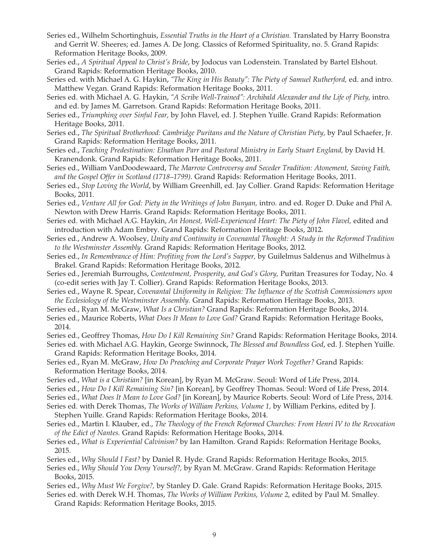- Series ed., Wilhelm Schortinghuis, *Essential Truths in the Heart of a Christian.* Translated by Harry Boonstra and Gerrit W. Sheeres; ed. James A. De Jong. Classics of Reformed Spirituality, no. 5. Grand Rapids: Reformation Heritage Books, 2009.
- Series ed., *A Spiritual Appeal to Christ's Bride*, by Jodocus van Lodenstein. Translated by Bartel Elshout. Grand Rapids: Reformation Heritage Books, 2010.
- Series ed. with Michael A. G. Haykin, *"The King in His Beauty": The Piety of Samuel Rutherford,* ed. and intro. Matthew Vegan. Grand Rapids: Reformation Heritage Books, 2011.
- Series ed. with Michael A. G. Haykin, "A Scribe Well-Trained": Archibald Alexander and the Life of Piety, intro. and ed. by James M. Garretson. Grand Rapids: Reformation Heritage Books, 2011.
- Series ed., *Triumphing over Sinful Fear,* by John Flavel, ed. J. Stephen Yuille. Grand Rapids: Reformation Heritage Books, 2011.
- Series ed., *The Spiritual Brotherhood: Cambridge Puritans and the Nature of Christian Piety,* by Paul Schaefer, Jr. Grand Rapids: Reformation Heritage Books, 2011.
- Series ed., *Teaching Predestination: Elnathan Parr and Pastoral Ministry in Early Stuart England, by David H.* Kranendonk. Grand Rapids: Reformation Heritage Books, 2011.
- Series ed., William VanDoodewaard, *The Marrow Controversy and Seceder Tradition: Atonement, Saving Faith, and the Gospel Offer in Scotland (1718–1799)*. Grand Rapids: Reformation Heritage Books, 2011.
- Series ed., *Stop Loving the World*, by William Greenhill, ed. Jay Collier. Grand Rapids: Reformation Heritage Books, 2011.
- Series ed., *Venture All for God: Piety in the Writings of John Bunyan,* intro. and ed. Roger D. Duke and Phil A. Newton with Drew Harris. Grand Rapids: Reformation Heritage Books, 2011.
- Series ed. with Michael A.G. Haykin, *An Honest, Well-Experienced Heart: The Piety of John Flavel,* edited and introduction with Adam Embry. Grand Rapids: Reformation Heritage Books, 2012.
- Series ed., Andrew A. Woolsey, *Unity and Continuity in Covenantal Thought: A Study in the Reformed Tradition to the Westminster Assembly.* Grand Rapids: Reformation Heritage Books, 2012.
- Series ed., *In Remembrance of Him: Profiting from the Lord's Supper,* by Guilelmus Saldenus and Wilhelmus à Brakel. Grand Rapids: Reformation Heritage Books, 2012.
- Series ed., Jeremiah Burroughs, *Contentment, Prosperity, and God's Glory,* Puritan Treasures for Today, No. 4 (co-edit series with Jay T. Collier). Grand Rapids: Reformation Heritage Books, 2013.
- Series ed., Wayne R. Spear, *Covenantal Uniformity in Religion: The Influence of the Scottish Commissioners upon the Ecclesiology of the Westminster Assembly.* Grand Rapids: Reformation Heritage Books, 2013.
- Series ed., Ryan M. McGraw, *What Is a Christian?* Grand Rapids: Reformation Heritage Books, 2014.
- Series ed., Maurice Roberts, *What Does It Mean to Love God?* Grand Rapids: Reformation Heritage Books, 2014.
- Series ed., Geoffrey Thomas, *How Do I Kill Remaining Sin?* Grand Rapids: Reformation Heritage Books, 2014.
- Series ed. with Michael A.G. Haykin, George Swinnock, *The Blessed and Boundless God*, ed. J. Stephen Yuille. Grand Rapids: Reformation Heritage Books, 2014.
- Series ed., Ryan M. McGraw, *How Do Preaching and Corporate Prayer Work Together?* Grand Rapids: Reformation Heritage Books, 2014.
- Series ed., *What is a Christian?* [in Korean], by Ryan M. McGraw. Seoul: Word of Life Press, 2014.
- Series ed., *How Do I Kill Remaining Sin?* [in Korean], by Geoffrey Thomas. Seoul: Word of Life Press, 2014.

Series ed., *What Does It Mean to Love God?* [in Korean], by Maurice Roberts. Seoul: Word of Life Press, 2014.

- Series ed. with Derek Thomas, *The Works of William Perkins, Volume 1,* by William Perkins, edited by J. Stephen Yuille. Grand Rapids: Reformation Heritage Books, 2014.
- Series ed., Martin I. Klauber, ed., *The Theology of the French Reformed Churches: From Henri IV to the Revocation of the Edict of Nantes.* Grand Rapids: Reformation Heritage Books, 2014.
- Series ed., *What is Experiential Calvinism?* by Ian Hamilton. Grand Rapids: Reformation Heritage Books, 2015.
- Series ed., *Why Should I Fast?* by Daniel R. Hyde. Grand Rapids: Reformation Heritage Books, 2015.
- Series ed., *Why Should You Deny Yourself?,* by Ryan M. McGraw. Grand Rapids: Reformation Heritage Books, 2015.
- Series ed., *Why Must We Forgive?,* by Stanley D. Gale. Grand Rapids: Reformation Heritage Books, 2015.

Series ed. with Derek W.H. Thomas, *The Works of William Perkins, Volume 2,* edited by Paul M. Smalley*.*  Grand Rapids: Reformation Heritage Books, 2015.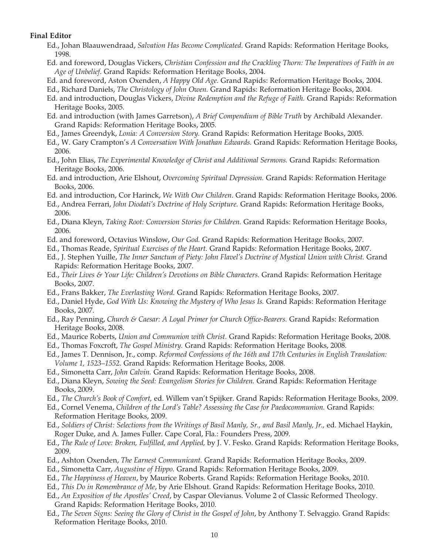## **Final Editor**

- Ed., Johan Blaauwendraad, *Salvation Has Become Complicated*. Grand Rapids: Reformation Heritage Books, 1998.
- Ed. and foreword, Douglas Vickers, *Christian Confession and the Crackling Thorn: The Imperatives of Faith in an Age of Unbelief*. Grand Rapids: Reformation Heritage Books, 2004.
- Ed. and foreword, Aston Oxenden, *A Happy Old Age*. Grand Rapids: Reformation Heritage Books, 2004.
- Ed., Richard Daniels, *The Christology of John Owen.* Grand Rapids: Reformation Heritage Books, 2004.
- Ed. and introduction, Douglas Vickers, *Divine Redemption and the Refuge of Faith.* Grand Rapids: Reformation Heritage Books, 2005.
- Ed. and introduction (with James Garretson), *A Brief Compendium of Bible Truth* by Archibald Alexander. Grand Rapids: Reformation Heritage Books, 2005.
- Ed., James Greendyk, *Lonia: A Conversion Story.* Grand Rapids: Reformation Heritage Books, 2005.
- Ed., W. Gary Crampton's *A Conversation With Jonathan Edwards.* Grand Rapids: Reformation Heritage Books, 2006.
- Ed., John Elias, *The Experimental Knowledge of Christ and Additional Sermons.* Grand Rapids: Reformation Heritage Books, 2006.
- Ed. and introduction, Arie Elshout, *Overcoming Spiritual Depression.* Grand Rapids: Reformation Heritage Books, 2006.
- Ed. and introduction, Cor Harinck, *We With Our Children*. Grand Rapids: Reformation Heritage Books, 2006.
- Ed., Andrea Ferrari, *John Diodati's Doctrine of Holy Scripture.* Grand Rapids: Reformation Heritage Books, 2006.
- Ed., Diana Kleyn, *Taking Root: Conversion Stories for Children.* Grand Rapids: Reformation Heritage Books, 2006.
- Ed. and foreword, Octavius Winslow, *Our God.* Grand Rapids: Reformation Heritage Books, 2007.
- Ed., Thomas Reade, *Spiritual Exercises of the Heart.* Grand Rapids: Reformation Heritage Books, 2007.
- Ed., J. Stephen Yuille, *The Inner Sanctum of Piety: John Flavel's Doctrine of Mystical Union with Christ.* Grand Rapids: Reformation Heritage Books, 2007.
- Ed., *Their Lives & Your Life: Children's Devotions on Bible Characters.* Grand Rapids: Reformation Heritage Books, 2007.
- Ed., Frans Bakker, *The Everlasting Word.* Grand Rapids: Reformation Heritage Books, 2007.
- Ed., Daniel Hyde, *God With Us: Knowing the Mystery of Who Jesus Is.* Grand Rapids: Reformation Heritage Books, 2007.
- Ed., Ray Penning, *Church & Caesar: A Loyal Primer for Church Office-Bearers.* Grand Rapids: Reformation Heritage Books, 2008.
- Ed., Maurice Roberts, *Union and Communion with Christ.* Grand Rapids: Reformation Heritage Books, 2008.
- Ed., Thomas Foxcroft, *The Gospel Ministry.* Grand Rapids: Reformation Heritage Books, 2008.
- Ed., James T. Dennison, Jr., comp. *Reformed Confessions of the 16th and 17th Centuries in English Translation: Volume 1, 1523–1552*. Grand Rapids: Reformation Heritage Books, 2008.
- Ed., Simonetta Carr, *John Calvin.* Grand Rapids: Reformation Heritage Books, 2008.
- Ed., Diana Kleyn, *Sowing the Seed: Evangelism Stories for Children.* Grand Rapids: Reformation Heritage Books, 2009.
- Ed., *The Church's Book of Comfort,* ed. Willem van't Spijker. Grand Rapids: Reformation Heritage Books, 2009.
- Ed., Cornel Venema, *Children of the Lord's Table? Assessing the Case for Paedocommunion*. Grand Rapids: Reformation Heritage Books, 2009.
- Ed., *Soldiers of Christ: Selections from the Writings of Basil Manly, Sr., and Basil Manly, Jr.,* ed. Michael Haykin, Roger Duke, and A. James Fuller. Cape Coral, Fla.: Founders Press, 2009.
- Ed., *The Rule of Love: Broken, Fulfilled, and Applied,* by J. V. Fesko. Grand Rapids: Reformation Heritage Books, 2009.
- Ed., Ashton Oxenden, *The Earnest Communicant.* Grand Rapids: Reformation Heritage Books, 2009.
- Ed., Simonetta Carr, *Augustine of Hippo.* Grand Rapids: Reformation Heritage Books, 2009.
- Ed., *The Happiness of Heaven*, by Maurice Roberts. Grand Rapids: Reformation Heritage Books, 2010.
- Ed., *This Do in Remembrance of Me*, by Arie Elshout. Grand Rapids: Reformation Heritage Books, 2010.
- Ed., *An Exposition of the Apostles' Creed*, by Caspar Olevianus. Volume 2 of Classic Reformed Theology. Grand Rapids: Reformation Heritage Books, 2010.
- Ed., *The Seven Signs: Seeing the Glory of Christ in the Gospel of John*, by Anthony T. Selvaggio. Grand Rapids: Reformation Heritage Books, 2010.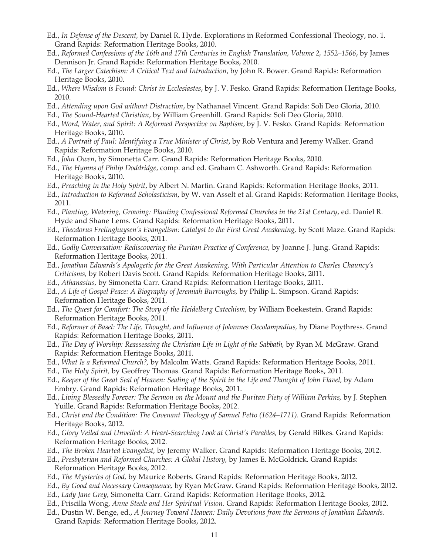- Ed., *In Defense of the Descent,* by Daniel R. Hyde. Explorations in Reformed Confessional Theology, no. 1. Grand Rapids: Reformation Heritage Books, 2010.
- Ed., *Reformed Confessions of the 16th and 17th Centuries in English Translation, Volume 2, 1552–1566*, by James Dennison Jr. Grand Rapids: Reformation Heritage Books, 2010.
- Ed., *The Larger Catechism: A Critical Text and Introduction*, by John R. Bower. Grand Rapids: Reformation Heritage Books, 2010.
- Ed., *Where Wisdom is Found: Christ in Ecclesiastes*, by J. V. Fesko. Grand Rapids: Reformation Heritage Books, 2010.
- Ed., *Attending upon God without Distraction*, by Nathanael Vincent. Grand Rapids: Soli Deo Gloria, 2010.

Ed., *The Sound-Hearted Christian*, by William Greenhill. Grand Rapids: Soli Deo Gloria, 2010.

- Ed., *Word, Water, and Spirit: A Reformed Perspective on Baptism*, by J. V. Fesko. Grand Rapids: Reformation Heritage Books, 2010.
- Ed., *A Portrait of Paul: Identifying a True Minister of Christ*, by Rob Ventura and Jeremy Walker. Grand Rapids: Reformation Heritage Books, 2010.
- Ed., *John Owen*, by Simonetta Carr. Grand Rapids: Reformation Heritage Books, 2010.
- Ed., *The Hymns of Philip Doddridge*, comp. and ed. Graham C. Ashworth. Grand Rapids: Reformation Heritage Books, 2010.
- Ed., *Preaching in the Holy Spirit*, by Albert N. Martin. Grand Rapids: Reformation Heritage Books, 2011.
- Ed., *Introduction to Reformed Scholasticism*, by W. van Asselt et al. Grand Rapids: Reformation Heritage Books, 2011.
- Ed., *Planting, Watering, Growing: Planting Confessional Reformed Churches in the 21st Century*, ed. Daniel R. Hyde and Shane Lems. Grand Rapids: Reformation Heritage Books, 2011.
- Ed., *Theodorus Frelinghuysen's Evangelism: Catalyst to the First Great Awakening*, by Scott Maze. Grand Rapids: Reformation Heritage Books, 2011.
- Ed., *Godly Conversation: Rediscovering the Puritan Practice of Conference,* by Joanne J. Jung. Grand Rapids: Reformation Heritage Books, 2011.
- Ed., *Jonathan Edwards's Apologetic for the Great Awakening, With Particular Attention to Charles Chauncy's Criticisms,* by Robert Davis Scott. Grand Rapids: Reformation Heritage Books, 2011.
- Ed., *Athanasius,* by Simonetta Carr. Grand Rapids: Reformation Heritage Books, 2011.
- Ed., *A Life of Gospel Peace: A Biography of Jeremiah Burroughs,* by Philip L. Simpson. Grand Rapids: Reformation Heritage Books, 2011.
- Ed., *The Quest for Comfort: The Story of the Heidelberg Catechism,* by William Boekestein. Grand Rapids: Reformation Heritage Books, 2011.
- Ed., *Reformer of Basel: The Life, Thought, and Influence of Johannes Oecolampadius, by Diane Poythress. Grand* Rapids: Reformation Heritage Books, 2011.
- Ed., *The Day of Worship: Reassessing the Christian Life in Light of the Sabbath,* by Ryan M. McGraw. Grand Rapids: Reformation Heritage Books, 2011.
- Ed., *What Is a Reformed Church?,* by Malcolm Watts. Grand Rapids: Reformation Heritage Books, 2011.
- Ed., *The Holy Spirit,* by Geoffrey Thomas. Grand Rapids: Reformation Heritage Books, 2011.
- Ed., *Keeper of the Great Seal of Heaven: Sealing of the Spirit in the Life and Thought of John Flavel,* by Adam Embry. Grand Rapids: Reformation Heritage Books, 2011.
- Ed., *Living Blessedly Forever: The Sermon on the Mount and the Puritan Piety of William Perkins,* by J. Stephen Yuille. Grand Rapids: Reformation Heritage Books, 2012.
- Ed., *Christ and the Condition: The Covenant Theology of Samuel Petto (1624–1711)*. Grand Rapids: Reformation Heritage Books, 2012.
- Ed., *Glory Veiled and Unveiled: A Heart-Searching Look at Christ's Parables,* by Gerald Bilkes. Grand Rapids: Reformation Heritage Books, 2012.
- Ed., *The Broken Hearted Evangelist,* by Jeremy Walker. Grand Rapids: Reformation Heritage Books, 2012.
- Ed., *Presbyterian and Reformed Churches: A Global History,* by James E. McGoldrick. Grand Rapids: Reformation Heritage Books, 2012.
- Ed., *The Mysteries of God,* by Maurice Roberts. Grand Rapids: Reformation Heritage Books, 2012.
- Ed., *By Good and Necessary Consequence,* by Ryan McGraw. Grand Rapids: Reformation Heritage Books, 2012.
- Ed., *Lady Jane Grey,* Simonetta Carr. Grand Rapids: Reformation Heritage Books, 2012.
- Ed., Priscilla Wong, *Anne Steele and Her Spiritual Vision.* Grand Rapids: Reformation Heritage Books, 2012.
- Ed., Dustin W. Benge, ed., *A Journey Toward Heaven: Daily Devotions from the Sermons of Jonathan Edwards.*  Grand Rapids: Reformation Heritage Books, 2012.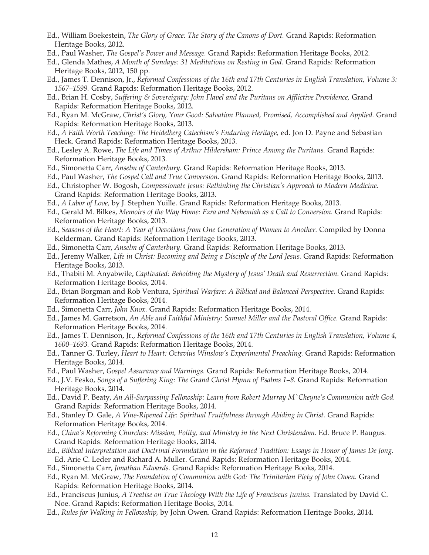- Ed., William Boekestein, *The Glory of Grace: The Story of the Canons of Dort.* Grand Rapids: Reformation Heritage Books, 2012.
- Ed., Paul Washer, *The Gospel's Power and Message.* Grand Rapids: Reformation Heritage Books, 2012.
- Ed., Glenda Mathes, *A Month of Sundays: 31 Meditations on Resting in God.* Grand Rapids: Reformation Heritage Books, 2012, 150 pp.
- Ed., James T. Dennison, Jr., *Reformed Confessions of the 16th and 17th Centuries in English Translation, Volume 3: 1567–1599.* Grand Rapids: Reformation Heritage Books, 2012.
- Ed., Brian H. Cosby, *Suffering & Sovereignty: John Flavel and the Puritans on Afflictive Providence,* Grand Rapids: Reformation Heritage Books, 2012.
- Ed., Ryan M. McGraw, *Christ's Glory, Your Good: Salvation Planned, Promised, Accomplished and Applied.* Grand Rapids: Reformation Heritage Books, 2013.
- Ed., *A Faith Worth Teaching: The Heidelberg Catechism's Enduring Heritage,* ed. Jon D. Payne and Sebastian Heck. Grand Rapids: Reformation Heritage Books, 2013.
- Ed., Lesley A. Rowe, *The Life and Times of Arthur Hildersham: Prince Among the Puritans.* Grand Rapids: Reformation Heritage Books, 2013.
- Ed., Simonetta Carr, *Anselm of Canterbury.* Grand Rapids: Reformation Heritage Books, 2013.
- Ed., Paul Washer, *The Gospel Call and True Conversion.* Grand Rapids: Reformation Heritage Books, 2013.
- Ed., Christopher W. Bogosh, *Compassionate Jesus: Rethinking the Christian's Approach to Modern Medicine.*  Grand Rapids: Reformation Heritage Books, 2013.
- Ed., *A Labor of Love,* by J. Stephen Yuille. Grand Rapids: Reformation Heritage Books, 2013.
- Ed., Gerald M. Bilkes, *Memoirs of the Way Home: Ezra and Nehemiah as a Call to Conversion*. Grand Rapids: Reformation Heritage Books, 2013.
- Ed., *Seasons of the Heart: A Year of Devotions from One Generation of Women to Another.* Compiled by Donna Kelderman. Grand Rapids: Reformation Heritage Books, 2013.
- Ed., Simonetta Carr, *Anselm of Canterbury*. Grand Rapids: Reformation Heritage Books, 2013.
- Ed., Jeremy Walker, *Life in Christ: Becoming and Being a Disciple of the Lord Jesus.* Grand Rapids: Reformation Heritage Books, 2013.
- Ed., Thabiti M. Anyabwile, *Captivated: Beholding the Mystery of Jesus' Death and Resurrection*. Grand Rapids: Reformation Heritage Books, 2014.
- Ed., Brian Borgman and Rob Ventura, *Spiritual Warfare: A Biblical and Balanced Perspective.* Grand Rapids: Reformation Heritage Books, 2014.
- Ed., Simonetta Carr, *John Knox.* Grand Rapids: Reformation Heritage Books, 2014.
- Ed., James M. Garretson, *An Able and Faithful Ministry: Samuel Miller and the Pastoral Office.* Grand Rapids: Reformation Heritage Books, 2014.
- Ed., James T. Dennison, Jr., *Reformed Confessions of the 16th and 17th Centuries in English Translation, Volume 4, 1600–1693.* Grand Rapids: Reformation Heritage Books, 2014.
- Ed., Tanner G. Turley, *Heart to Heart: Octavius Winslow's Experimental Preaching.* Grand Rapids: Reformation Heritage Books, 2014.
- Ed., Paul Washer, *Gospel Assurance and Warnings.* Grand Rapids: Reformation Heritage Books, 2014.
- Ed., J.V. Fesko, *Songs of a Suffering King: The Grand Christ Hymn of Psalms 1–8.* Grand Rapids: Reformation Heritage Books, 2014.
- Ed., David P. Beaty, *An All-Surpassing Fellowship: Learn from Robert Murray M`Cheyne's Communion with God.*  Grand Rapids: Reformation Heritage Books, 2014.
- Ed., Stanley D. Gale, *A Vine-Ripened Life: Spiritual Fruitfulness through Abiding in Christ.* Grand Rapids: Reformation Heritage Books, 2014.
- Ed., China's Reforming Churches: Mission, Polity, and Ministry in the Next Christendom. Ed. Bruce P. Baugus. Grand Rapids: Reformation Heritage Books, 2014.
- Ed., *Biblical Interpretation and Doctrinal Formulation in the Reformed Tradition: Essays in Honor of James De Jong.*  Ed. Arie C. Leder and Richard A. Muller. Grand Rapids: Reformation Heritage Books, 2014.
- Ed., Simonetta Carr, *Jonathan Edwards.* Grand Rapids: Reformation Heritage Books, 2014.
- Ed., Ryan M. McGraw, *The Foundation of Communion with God: The Trinitarian Piety of John Owen.* Grand Rapids: Reformation Heritage Books, 2014.
- Ed., Franciscus Junius, *A Treatise on True Theology With the Life of Franciscus Junius. Translated by David C.* Noe. Grand Rapids: Reformation Heritage Books, 2014.
- Ed., *Rules for Walking in Fellowship,* by John Owen. Grand Rapids: Reformation Heritage Books, 2014.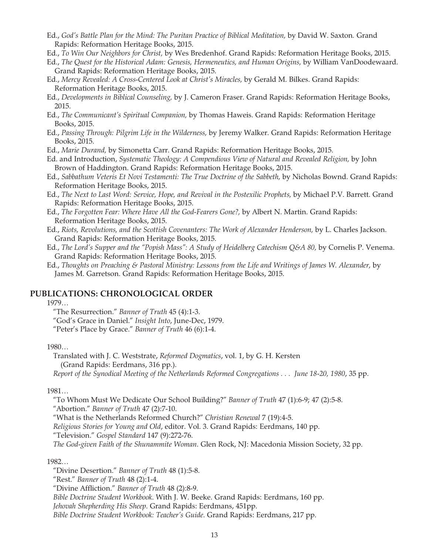- Ed., *God's Battle Plan for the Mind: The Puritan Practice of Biblical Meditation,* by David W. Saxton*.* Grand Rapids: Reformation Heritage Books, 2015.
- Ed., *To Win Our Neighbors for Christ,* by Wes Bredenhof. Grand Rapids: Reformation Heritage Books, 2015.
- Ed., *The Quest for the Historical Adam: Genesis, Hermeneutics, and Human Origins,* by William VanDoodewaard. Grand Rapids: Reformation Heritage Books, 2015.
- Ed., *Mercy Revealed: A Cross-Centered Look at Christ's Miracles,* by Gerald M. Bilkes. Grand Rapids: Reformation Heritage Books, 2015.
- Ed., *Developments in Biblical Counseling,* by J. Cameron Fraser. Grand Rapids: Reformation Heritage Books, 2015.
- Ed., *The Communicant's Spiritual Companion,* by Thomas Haweis. Grand Rapids: Reformation Heritage Books, 2015.
- Ed., *Passing Through: Pilgrim Life in the Wilderness,* by Jeremy Walker. Grand Rapids: Reformation Heritage Books, 2015.
- Ed., *Marie Durand,* by Simonetta Carr. Grand Rapids: Reformation Heritage Books, 2015.
- Ed. and Introduction, *Systematic Theology: A Compendious View of Natural and Revealed Religion,* by John Brown of Haddington. Grand Rapids: Reformation Heritage Books, 2015.
- Ed., *Sabbathum Veteris Et Novi Testamenti: The True Doctrine of the Sabbeth,* by Nicholas Bownd. Grand Rapids: Reformation Heritage Books, 2015.
- Ed., *The Next to Last Word: Service, Hope, and Revival in the Postexilic Prophets,* by Michael P.V. Barrett. Grand Rapids: Reformation Heritage Books, 2015.
- Ed., *The Forgotten Fear: Where Have All the God-Fearers Gone?,* by Albert N. Martin. Grand Rapids: Reformation Heritage Books, 2015.
- Ed., *Riots, Revolutions, and the Scottish Covenanters: The Work of Alexander Henderson,* by L. Charles Jackson. Grand Rapids: Reformation Heritage Books, 2015.

Ed., *The Lord's Supper and the "Popish Mass": A Study of Heidelberg Catechism Q&A 80, by Cornelis P. Venema.* Grand Rapids: Reformation Heritage Books, 2015.

Ed., *Thoughts on Preaching & Pastoral Ministry: Lessons from the Life and Writings of James W. Alexander,* by James M. Garretson. Grand Rapids: Reformation Heritage Books, 2015.

# **PUBLICATIONS: CHRONOLOGICAL ORDER**

# 1979…

"The Resurrection." *Banner of Truth* 45 (4):1-3.

"God's Grace in Daniel." *Insight Into*, June-Dec, 1979.

"Peter's Place by Grace." *Banner of Truth* 46 (6):1-4.

## 1980…

Translated with J. C. Weststrate, *Reformed Dogmatics*, vol. 1, by G. H. Kersten (Grand Rapids: Eerdmans, 316 pp.). *Report of the Synodical Meeting of the Netherlands Reformed Congregations . . . June 18-20, 1980*, 35 pp.

#### 1981…

"To Whom Must We Dedicate Our School Building?" *Banner of Truth* 47 (1):6-9; 47 (2):5-8.

"Abortion." *Banner of Truth* 47 (2):7-10.

"What is the Netherlands Reformed Church?" *Christian Renewal* 7 (19):4-5.

*Religious Stories for Young and Old*, editor. Vol. 3. Grand Rapids: Eerdmans, 140 pp.

"Television." *Gospel Standard* 147 (9):272-76.

*The God-given Faith of the Shunammite Woman*. Glen Rock, NJ: Macedonia Mission Society, 32 pp.

#### 1982…

"Divine Desertion." *Banner of Truth* 48 (1):5-8.

"Rest." *Banner of Truth* 48 (2):1-4.

"Divine Affliction." *Banner of Truth* 48 (2):8-9.

*Bible Doctrine Student Workbook*. With J. W. Beeke. Grand Rapids: Eerdmans, 160 pp.

*Jehovah Shepherding His Sheep*. Grand Rapids: Eerdmans, 451pp.

*Bible Doctrine Student Workbook: Teacher's Guide*. Grand Rapids: Eerdmans, 217 pp.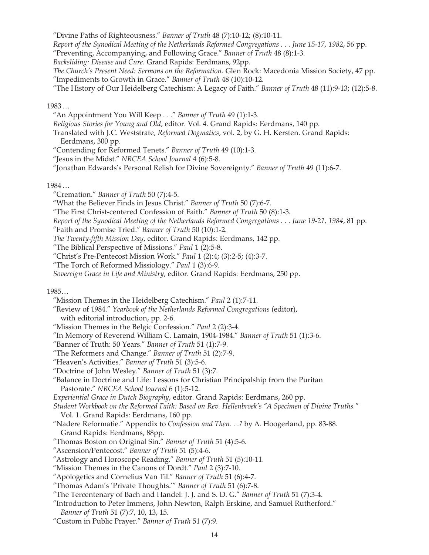"Divine Paths of Righteousness." *Banner of Truth* 48 (7):10-12; (8):10-11.

*Report of the Synodical Meeting of the Netherlands Reformed Congregations . . . June 15-17, 1982*, 56 pp.

"Preventing, Accompanying, and Following Grace." *Banner of Truth* 48 (8):1-3.

*Backsliding: Disease and Cure.* Grand Rapids: Eerdmans, 92pp.

*The Church's Present Need: Sermons on the Reformation.* Glen Rock: Macedonia Mission Society, 47 pp. "Impediments to Growth in Grace." *Banner of Truth* 48 (10):10-12.

"The History of Our Heidelberg Catechism: A Legacy of Faith." *Banner of Truth* 48 (11):9-13; (12):5-8.

### 1983 …

"An Appointment You Will Keep . . ." *Banner of Truth* 49 (1):1-3.

*Religious Stories for Young and Old*, editor. Vol. 4. Grand Rapids: Eerdmans, 140 pp.

Translated with J.C. Weststrate, *Reformed Dogmatics*, vol. 2, by G. H. Kersten. Grand Rapids: Eerdmans, 300 pp.

"Contending for Reformed Tenets." *Banner of Truth* 49 (10):1-3.

"Jesus in the Midst." *NRCEA School Journal* 4 (6):5-8.

"Jonathan Edwards's Personal Relish for Divine Sovereignty." *Banner of Truth* 49 (11):6-7.

## 1984 …

"Cremation." *Banner of Truth* 50 (7):4-5.

"What the Believer Finds in Jesus Christ." *Banner of Truth* 50 (7):6-7.

"The First Christ-centered Confession of Faith." *Banner of Truth* 50 (8):1-3.

*Report of the Synodical Meeting of the Netherlands Reformed Congregations . . . June 19-21, 1984*, 81 pp.

"Faith and Promise Tried." *Banner of Truth* 50 (10):1-2.

*The Twenty-fifth Mission Day*, editor. Grand Rapids: Eerdmans, 142 pp.

"The Biblical Perspective of Missions." *Paul* 1 (2):5-8.

"Christ's Pre-Pentecost Mission Work." *Paul* 1 (2):4; (3):2-5; (4):3-7.

"The Torch of Reformed Missiology." *Paul* 1 (3):6-9.

*Sovereign Grace in Life and Ministry*, editor. Grand Rapids: Eerdmans, 250 pp.

## 1985…

"Mission Themes in the Heidelberg Catechism." *Paul* 2 (1):7-11.

"Review of 1984." *Yearbook of the Netherlands Reformed Congregations* (editor),

with editorial introduction, pp. 2-6.

"Mission Themes in the Belgic Confession." *Paul* 2 (2):3-4.

"In Memory of Reverend William C. Lamain, 1904-1984." *Banner of Truth* 51 (1):3-6.

"Banner of Truth: 50 Years." *Banner of Truth* 51 (1):7-9.

"The Reformers and Change." *Banner of Truth* 51 (2):7-9.

"Heaven's Activities." *Banner of Truth* 51 (3):5-6.

"Doctrine of John Wesley." *Banner of Truth* 51 (3):7.

"Balance in Doctrine and Life: Lessons for Christian Principalship from the Puritan Pastorate." *NRCEA School Journal* 6 (1):5-12.

*Experiential Grace in Dutch Biography*, editor. Grand Rapids: Eerdmans, 260 pp.

*Student Workbook on the Reformed Faith: Based on Rev. Hellenbroek's "A Specimen of Divine Truths."* Vol. 1. Grand Rapids: Eerdmans, 160 pp.

"Nadere Reformatie." Appendix to *Confession and Then. . .?* by A. Hoogerland, pp. 83-88. Grand Rapids: Eerdmans, 88pp.

"Thomas Boston on Original Sin." *Banner of Truth* 51 (4):5-6.

"Ascension/Pentecost." *Banner of Truth* 51 (5):4-6.

"Astrology and Horoscope Reading." *Banner of Truth* 51 (5):10-11.

"Mission Themes in the Canons of Dordt." *Paul* 2 (3):7-10.

"Apologetics and Cornelius Van Til." *Banner of Truth* 51 (6):4-7.

"Thomas Adam's 'Private Thoughts.'" *Banner of Truth* 51 (6):7-8.

"The Tercentenary of Bach and Handel: J. J. and S. D. G." *Banner of Truth* 51 (7):3-4.

"Introduction to Peter Immens, John Newton, Ralph Erskine, and Samuel Rutherford." *Banner of Truth* 51 (7):7, 10, 13, 15.

"Custom in Public Prayer." *Banner of Truth* 51 (7):9.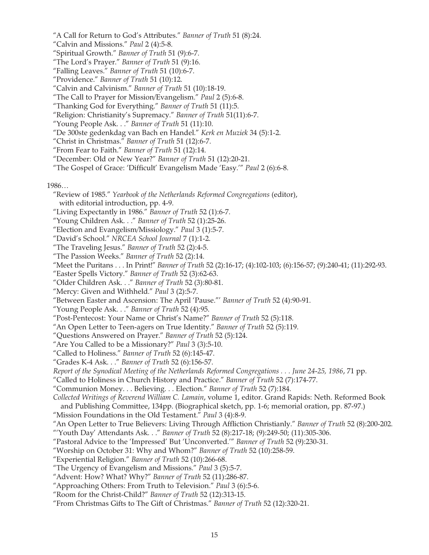"A Call for Return to God's Attributes." *Banner of Truth* 51 (8):24.

"Calvin and Missions." *Paul* 2 (4):5-8.

- "Spiritual Growth." *Banner of Truth* 51 (9):6-7.
- "The Lord's Prayer." *Banner of Truth* 51 (9):16.
- "Falling Leaves." *Banner of Truth* 51 (10):6-7.
- "Providence." *Banner of Truth* 51 (10):12.
- "Calvin and Calvinism." *Banner of Truth* 51 (10):18-19.

"The Call to Prayer for Mission/Evangelism." *Paul* 2 (5):6-8.

- "Thanking God for Everything." *Banner of Truth* 51 (11):5.
- "Religion: Christianity's Supremacy." *Banner of Truth* 51(11):6-7.
- "Young People Ask. . ." *Banner of Truth* 51 (11):10.
- "De 300ste gedenkdag van Bach en Handel." *Kerk en Muziek* 34 (5):1-2.
- "Christ in Christmas." *Banner of Truth* 51 (12):6-7.
- "From Fear to Faith." *Banner of Truth* 51 (12):14.
- "December: Old or New Year?" *Banner of Truth* 51 (12):20-21.
- "The Gospel of Grace: 'Difficult' Evangelism Made 'Easy.'" *Paul* 2 (6):6-8.

1986…

- "Review of 1985." *Yearbook of the Netherlands Reformed Congregations* (editor), with editorial introduction, pp. 4-9.
- "Living Expectantly in 1986." *Banner of Truth* 52 (1):6-7.
- "Young Children Ask. . ." *Banner of Truth* 52 (1):25-26.
- "Election and Evangelism/Missiology." *Paul* 3 (1):5-7.
- "David's School." *NRCEA School Journal* 7 (1):1-2.
- "The Traveling Jesus." *Banner of Truth* 52 (2):4-5.
- "The Passion Weeks." *Banner of Truth* 52 (2):14.
- "Meet the Puritans . . . In Print!" *Banner of Truth* 52 (2):16-17; (4):102-103; (6):156-57; (9):240-41; (11):292-93.

"Easter Spells Victory." *Banner of Truth* 52 (3):62-63.

- "Older Children Ask. . ." *Banner of Truth* 52 (3):80-81.
- "Mercy: Given and Withheld." *Paul* 3 (2):5-7.
- "Between Easter and Ascension: The April 'Pause."' *Banner of Truth* 52 (4):90-91.
- "Young People Ask. . ." *Banner of Truth* 52 (4):95.
- "Post-Pentecost: Your Name or Christ's Name?" *Banner of Truth* 52 (5):118.
- "An Open Letter to Teen-agers on True Identity." *Banner of Truth* 52 (5):119.
- "Questions Answered on Prayer." *Banner of Truth* 52 (5):124.
- "Are You Called to be a Missionary?" *Paul* 3 (3):5-10.
- "Called to Holiness." *Banner of Truth* 52 (6):145-47.
- "Grades K-4 Ask. . ." *Banner of Truth* 52 (6):156-57.
- *Report of the Synodical Meeting of the Netherlands Reformed Congregations . . . June 24-25, 1986*, 71 pp.
- "Called to Holiness in Church History and Practice." *Banner of Truth* 52 (7):174-77.
- "Communion Money. . . Believing. . . Election." *Banner of Truth* 52 (7):184.
- *Collected Writings of Reverend William C. Lamain*, volume 1, editor. Grand Rapids: Neth. Reformed Book and Publishing Committee, 134pp. (Biographical sketch, pp. 1-6; memorial oration, pp. 87-97.)
- "Mission Foundations in the Old Testament." *Paul* 3 (4):8-9.
- "An Open Letter to True Believers: Living Through Affliction Christianly." *Banner of Truth* 52 (8):200-202.
- "'Youth Day' Attendants Ask. . ." *Banner of Truth* 52 (8):217-18; (9):249-50; (11):305-306.
- "Pastoral Advice to the 'Impressed' But 'Unconverted.'" *Banner of Truth* 52 (9):230-31.
- "Worship on October 31: Why and Whom?" *Banner of Truth* 52 (10):258-59.
- "Experiential Religion." *Banner of Truth* 52 (10):266-68.
- "The Urgency of Evangelism and Missions." *Paul* 3 (5):5-7.
- "Advent: How? What? Why?" *Banner of Truth* 52 (11):286-87.
- "Approaching Others: From Truth to Television." *Paul* 3 (6):5-6.
- "Room for the Christ-Child?" *Banner of Truth* 52 (12):313-15.
- "From Christmas Gifts to The Gift of Christmas." *Banner of Truth* 52 (12):320-21.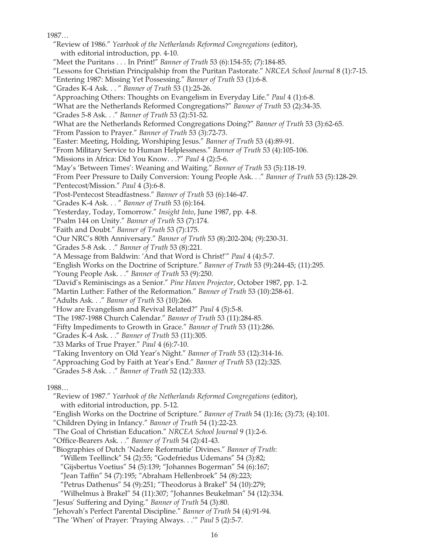1097

| 1987                                                                                               |  |
|----------------------------------------------------------------------------------------------------|--|
| "Review of 1986." Yearbook of the Netherlands Reformed Congregations (editor),                     |  |
| with editorial introduction, pp. 4-10.                                                             |  |
| "Meet the Puritans In Print!" Banner of Truth 53 (6):154-55; (7):184-85.                           |  |
| "Lessons for Christian Principalship from the Puritan Pastorate." NRCEA School Journal 8 (1):7-15. |  |
| "Entering 1987: Missing Yet Possessing." Banner of Truth 53 (1):6-8.                               |  |
| "Grades K-4 Ask. " Banner of Truth 53 (1):25-26.                                                   |  |
| "Approaching Others: Thoughts on Evangelism in Everyday Life." Paul 4 (1):6-8.                     |  |
| "What are the Netherlands Reformed Congregations?" Banner of Truth 53 (2):34-35.                   |  |
|                                                                                                    |  |
| "Grades 5-8 Ask." Banner of Truth 53 (2):51-52.                                                    |  |
| "What are the Netherlands Reformed Congregations Doing?" Banner of Truth 53 (3):62-65.             |  |
| "From Passion to Prayer." Banner of Truth 53 (3):72-73.                                            |  |
| "Easter: Meeting, Holding, Worshiping Jesus." Banner of Truth 53 (4):89-91.                        |  |
| "From Military Service to Human Helplessness." Banner of Truth 53 (4):105-106.                     |  |
| "Missions in Africa: Did You Know.?" Paul 4 (2):5-6.                                               |  |
| "May's 'Between Times': Weaning and Waiting." Banner of Truth 53 (5):118-19.                       |  |
| "From Peer Pressure to Daily Conversion: Young People Ask." Banner of Truth 53 (5):128-29.         |  |
| "Pentecost/Mission." Paul 4 (3):6-8.                                                               |  |
| "Post-Pentecost Steadfastness." Banner of Truth 53 (6):146-47.                                     |  |
| "Grades K-4 Ask. " Banner of Truth 53 (6):164.                                                     |  |
| "Yesterday, Today, Tomorrow." Insight Into, June 1987, pp. 4-8.                                    |  |
| "Psalm 144 on Unity." Banner of Truth 53 (7):174.                                                  |  |
| "Faith and Doubt." Banner of Truth 53 (7):175.                                                     |  |
| "Our NRC's 80th Anniversary." Banner of Truth 53 (8):202-204; (9):230-31.                          |  |
| "Grades 5-8 Ask." Banner of Truth 53 (8):221.                                                      |  |
| "A Message from Baldwin: 'And that Word is Christ!'" Paul 4 (4):5-7.                               |  |
| "English Works on the Doctrine of Scripture." Banner of Truth 53 (9):244-45; (11):295.             |  |
| "Young People Ask." Banner of Truth 53 (9):250.                                                    |  |
| "David's Reminiscings as a Senior." Pine Haven Projector, October 1987, pp. 1-2.                   |  |
| "Martin Luther: Father of the Reformation." Banner of Truth 53 (10):258-61.                        |  |
| "Adults Ask." Banner of Truth 53 (10):266.                                                         |  |
| "How are Evangelism and Revival Related?" Paul 4 (5):5-8.                                          |  |
| "The 1987-1988 Church Calendar." Banner of Truth 53 (11):284-85.                                   |  |
| "Fifty Impediments to Growth in Grace." Banner of Truth 53 (11):286.                               |  |
| "Grades K-4 Ask." Banner of Truth 53 (11):305.                                                     |  |
| "33 Marks of True Prayer." Paul 4 (6):7-10.                                                        |  |
| "Taking Inventory on Old Year's Night." Banner of Truth 53 (12):314-16.                            |  |
| "Approaching God by Faith at Year's End." Banner of Truth 53 (12):325.                             |  |
| "Grades 5-8 Ask." Banner of Truth 52 (12):333.                                                     |  |
|                                                                                                    |  |
| 1988                                                                                               |  |
| "Review of 1987." Yearbook of the Netherlands Reformed Congregations (editor),                     |  |
| with editorial introduction, pp. 5-12.                                                             |  |
| "English Works on the Doctrine of Scripture." Banner of Truth 54 (1):16; (3):73; (4):101.          |  |
| "Children Dying in Infancy." Banner of Truth 54 (1):22-23.                                         |  |
| "The Goal of Christian Education." NRCEA School Journal 9 (1):2-6.                                 |  |
| "Office-Bearers Ask." Banner of Truth 54 (2):41-43.                                                |  |
| "Biographies of Dutch 'Nadere Reformatie' Divines." Banner of Truth:                               |  |
| "Willem Teellinck" 54 (2):55; "Godefriedus Udemans" 54 (3):82;                                     |  |
|                                                                                                    |  |

- "Gijsbertus Voetius" 54 (5):139; "Johannes Bogerman" 54 (6):167;
- "Jean Taffin" 54 (7):195; "Abraham Hellenbroek" 54 (8):223;
- "Petrus Dathenus" 54 (9):251; "Theodorus à Brakel" 54 (10):279;
- "Wilhelmus à Brakel" 54 (11):307; "Johannes Beukelman" 54 (12):334.
- "Jesus' Suffering and Dying." *Banner of Truth* 54 (3):80.
- "Jehovah's Perfect Parental Discipline." *Banner of Truth* 54 (4):91-94.
- "The 'When' of Prayer: 'Praying Always. . .'" *Paul* 5 (2):5-7.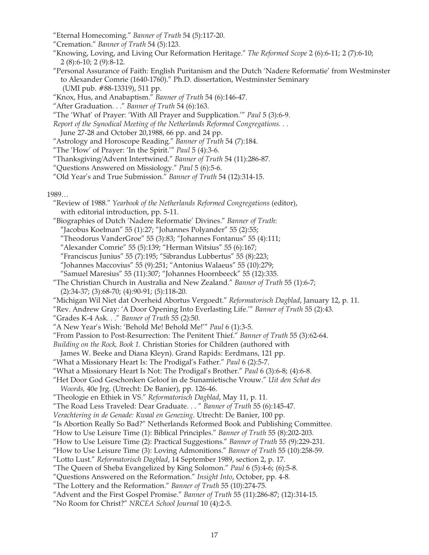"Eternal Homecoming." *Banner of Truth* 54 (5):117-20.

"Cremation." *Banner of Truth* 54 (5):123.

"Knowing, Loving, and Living Our Reformation Heritage." *The Reformed Scope* 2 (6):6-11; 2 (7):6-10; 2 (8):6-10; 2 (9):8-12.

"Personal Assurance of Faith: English Puritanism and the Dutch 'Nadere Reformatie' from Westminster to Alexander Comrie (1640-1760)." Ph.D. dissertation, Westminster Seminary (UMI pub. #88-13319), 511 pp.

"Knox, Hus, and Anabaptism." *Banner of Truth* 54 (6):146-47.

"After Graduation. . ." *Banner of Truth* 54 (6):163.

"The 'What' of Prayer: 'With All Prayer and Supplication.'" *Paul* 5 (3):6-9.

*Report of the Synodical Meeting of the Netherlands Reformed Congregations. . .*

June 27-28 and October 20,1988, 66 pp. and 24 pp.

"Astrology and Horoscope Reading." *Banner of Truth* 54 (7):184.

"The 'How' of Prayer: 'In the Spirit.'" *Paul* 5 (4):3-6.

"Thanksgiving/Advent Intertwined." *Banner of Truth* 54 (11):286-87.

"Questions Answered on Missiology." *Paul* 5 (6):5-6.

"Old Year's and True Submission." *Banner of Truth* 54 (12):314-15.

1989…

"Review of 1988." *Yearbook of the Netherlands Reformed Congregations* (editor), with editorial introduction, pp. 5-11.

"Biographies of Dutch 'Nadere Reformatie' Divines." *Banner of Truth*:

"Jacobus Koelman" 55 (1):27; "Johannes Polyander" 55 (2):55;

"Theodorus VanderGroe" 55 (3):83; "Johannes Fontanus" 55 (4):111;

"Alexander Comrie" 55 (5):139; "Herman Witsius" 55 (6):167;

"Franciscus Junius" 55 (7):195; "Sibrandus Lubbertus" 55 (8):223;

"Johannes Maccovius" 55 (9):251; "Antonius Walaeus" 55 (10):279;

"Samuel Maresius" 55 (11):307; "Johannes Hoornbeeck" 55 (12):335.

"The Christian Church in Australia and New Zealand." *Banner of Truth* 55 (1):6-7; (2):34-37; (3):68-70; (4):90-91; (5):118-20.

"Michigan Wil Niet dat Overheid Abortus Vergoedt." *Reformatorisch Dagblad*, January 12, p. 11.

"Rev. Andrew Gray: 'A Door Opening Into Everlasting Life.'" *Banner of Truth* 55 (2):43.

"Grades K-4 Ask. . ." *Banner of Truth* 55 (2):50.

"A New Year's Wish: 'Behold Me! Behold Me!'" *Paul* 6 (1):3-5.

"From Passion to Post-Resurrection: The Penitent Thief." *Banner of Truth* 55 (3):62-64.

*Building on the Rock, Book 1.* Christian Stories for Children (authored with

James W. Beeke and Diana Kleyn). Grand Rapids: Eerdmans, 121 pp.

"What a Missionary Heart Is: The Prodigal's Father." *Paul* 6 (2):5-7.

"What a Missionary Heart Is Not: The Prodigal's Brother." *Paul* 6 (3):6-8; (4):6-8.

"Het Door God Geschonken Geloof in de Sunamietische Vrouw." *Uit den Schat des Woords,* 40e Jrg. (Utrecht: De Banier), pp. 126-46.

"Theologie en Ethiek in VS." *Reformatorisch Dagblad*, May 11, p. 11.

"The Road Less Traveled: Dear Graduate. . . " *Banner of Truth* 55 (6):145-47.

*Verachtering in de Genade: Kwaal en Genezing*. Utrecht: De Banier, 100 pp.

"Is Abortion Really So Bad?" Netherlands Reformed Book and Publishing Committee.

"How to Use Leisure Time (1): Biblical Principles." *Banner of Truth* 55 (8):202-203.

"How to Use Leisure Time (2): Practical Suggestions." *Banner of Truth* 55 (9):229-231.

"How to Use Leisure Time (3): Loving Admonitions." *Banner of Truth* 55 (10):258-59.

"Lotto Lust." *Reformatorisch Dagblad*, 14 September 1989, section 2, p. 17.

"The Queen of Sheba Evangelized by King Solomon." *Paul* 6 (5):4-6; (6):5-8.

"Questions Answered on the Reformation." *Insight Into*, October, pp. 4-8.

"The Lottery and the Reformation." *Banner of Truth* 55 (10):274-75.

"Advent and the First Gospel Promise." *Banner of Truth* 55 (11):286-87; (12):314-15.

"No Room for Christ?" *NRCEA School Journal* 10 (4):2-5.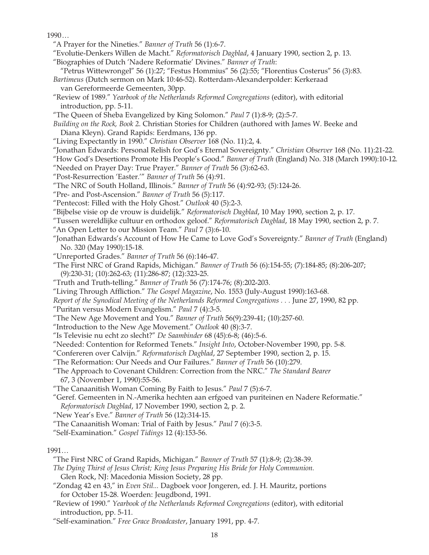1990 …

- "A Prayer for the Nineties." *Banner of Truth* 56 (1):6-7.
- "Evolutie-Denkers Willen de Macht." *Reformatorisch Dagblad*, 4 January 1990, section 2, p. 13.
- "Biographies of Dutch 'Nadere Reformatie' Divines." *Banner of Truth*:
- "Petrus Wittewrongel" 56 (1):27; "Festus Hommius" 56 (2):55; "Florentius Costerus" 56 (3):83. *Bartimeus* (Dutch sermon on Mark 10:46-52). Rotterdam-Alexanderpolder: Kerkeraad
- van Gereformeerde Gemeenten, 30pp.
- "Review of 1989." *Yearbook of the Netherlands Reformed Congregations* (editor), with editorial introduction, pp. 5-11.
- "The Queen of Sheba Evangelized by King Solomon." *Paul* 7 (1):8-9; (2):5-7.
- *Building on the Rock, Book 2*. Christian Stories for Children (authored with James W. Beeke and Diana Kleyn). Grand Rapids: Eerdmans, 136 pp.
- "Living Expectantly in 1990." *Christian Observer* 168 (No. 11):2, 4.
- "Jonathan Edwards: Personal Relish for God's Eternal Sovereignty." *Christian Observer* 168 (No. 11):21-22.
- "How God's Desertions Promote His People's Good." *Banner of Truth* (England) No. 318 (March 1990):10-12. "Needed on Prayer Day: True Prayer." *Banner of Truth* 56 (3):62-63.
- "Post-Resurrection 'Easter.'" *Banner of Truth* 56 (4):91.
- "The NRC of South Holland, Illinois." *Banner of Truth* 56 (4):92-93; (5):124-26.
- "Pre- and Post-Ascension." *Banner of Truth* 56 (5):117.
- "Pentecost: Filled with the Holy Ghost." *Outlook* 40 (5):2-3.
- "Bijbelse visie op de vrouw is duidelijk." *Reformatorisch Dagblad*, 10 May 1990, section 2, p. 17.
- "Tussen wereldlijke cultuur en orthodox geloof." *Reformatorisch Dagblad*, 18 May 1990, section 2, p. 7.
- "An Open Letter to our Mission Team." *Paul* 7 (3):6-10.
- "Jonathan Edwards's Account of How He Came to Love God's Sovereignty." *Banner of Truth* (England) No. 320 (May 1990):15-18.
- "Unreported Grades." *Banner of Truth* 56 (6):146-47.
- "The First NRC of Grand Rapids, Michigan." *Banner of Truth* 56 (6):154-55; (7):184-85; (8):206-207; (9):230-31; (10):262-63; (11):286-87; (12):323-25.
- "Truth and Truth-telling." *Banner of Truth* 56 (7):174-76; (8):202-203.
- "Living Through Affliction." *The Gospel Magazine*, No. 1553 (July-August 1990):163-68.
- *Report of the Synodical Meeting of the Netherlands Reformed Congregations . . .* June 27, 1990, 82 pp.
- "Puritan versus Modern Evangelism." *Paul* 7 (4):3-5.
- "The New Age Movement and You." *Banner of Truth* 56(9):239-41; (10):257-60.
- "Introduction to the New Age Movement." *Outlook* 40 (8):3-7.
- "Is Televisie nu echt zo slecht?" *De Saambinder* 68 (45):6-8; (46):5-6.
- "Needed: Contention for Reformed Tenets." *Insight Into*, October-November 1990, pp. 5-8.
- "Confereren over Calvijn." *Reformatorisch Dagblad*, 27 September 1990, section 2, p. 15.
- "The Reformation: Our Needs and Our Failures." *Banner of Truth* 56 (10):279.
- "The Approach to Covenant Children: Correction from the NRC." *The Standard Bearer* 67, 3 (November 1, 1990):55-56.
- "The Canaanitish Woman Coming By Faith to Jesus." *Paul* 7 (5):6-7.
- "Geref. Gemeenten in N.-Amerika hechten aan erfgoed van puriteinen en Nadere Reformatie." *Reformatorisch Dagblad*, 17 November 1990, section 2, p. 2.
- "New Year's Eve." *Banner of Truth* 56 (12):314-15.
- "The Canaanitish Woman: Trial of Faith by Jesus." *Paul* 7 (6):3-5.
- "Self-Examination." *Gospel Tidings* 12 (4):153-56.

### 1991…

- "The First NRC of Grand Rapids, Michigan." *Banner of Truth* 57 (1):8-9; (2):38-39.
- *The Dying Thirst of Jesus Christ; King Jesus Preparing His Bride for Holy Communion.* Glen Rock, NJ: Macedonia Mission Society, 28 pp.
- "Zondag 42 en 43," in *Even Stil...* Dagboek voor Jongeren, ed. J. H. Mauritz, portions for October 15-28. Woerden: Jeugdbond, 1991.
- "Review of 1990." *Yearbook of the Netherlands Reformed Congregations* (editor), with editorial introduction, pp. 5-11.
- "Self-examination." *Free Grace Broadcaster*, January 1991, pp. 4-7.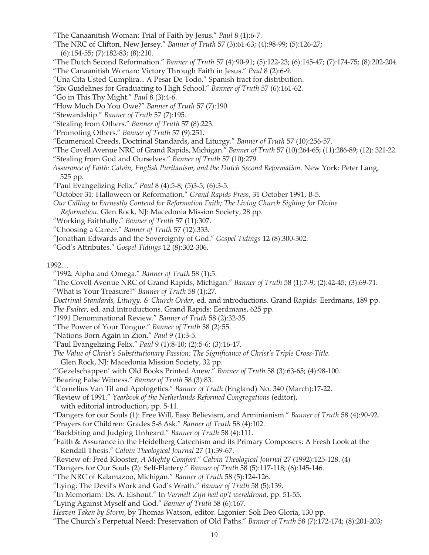- "The Canaanitish Woman: Trial of Faith by Jesus." *Paul* 8 (1):6-7.
- "The NRC of Clifton, New Jersey." *Banner of Truth* 57 (3):61-63; (4):98-99; (5):126-27; (6):154-55; (7):182-83; (8):210.
- "The Dutch Second Reformation." *Banner of Truth* 57 (4):90-91; (5):122-23; (6):145-47; (7):174-75; (8):202-204.
- "The Canaanitish Woman: Victory Through Faith in Jesus." *Paul* 8 (2):6-9.
- "Una Cita Usted Cumplira... A Pesar De Todo." Spanish tract for distribution.
- "Six Guidelines for Graduating to High School." *Banner of Truth* 57 (6):161-62.
- "Go in This Thy Might." *Paul* 8 (3):4-6.
- "How Much Do You Owe?" *Banner of Truth* 57 (7):190.
- "Stewardship." *Banner of Truth* 57 (7):195.
- "Stealing from Others." *Banner of Truth* 57 (8):223.
- "Promoting Others." *Banner of Truth* 57 (9):251.
- "Ecumenical Creeds, Doctrinal Standards, and Liturgy." *Banner of Truth* 57 (10):256-57.
- "The Covell Avenue NRC of Grand Rapids, Michigan." *Banner of Truth* 57 (10):264-65; (11):286-89; (12): 321-22.
- "Stealing from God and Ourselves." *Banner of Truth* 57 (10):279.
- *Assurance of Faith: Calvin, English Puritanism, and the Dutch Second Reformation*. New York: Peter Lang, 525 pp.
- "Paul Evangelizing Felix." *Paul* 8 (4):5-8; (5)3-5; (6):3-5.
- "October 31: Halloween or Reformation." *Grand Rapids Press*, 31 October 1991, B-5.
- *Our Calling to Earnestly Contend for Reformation Faith; The Living Church Sighing for Divine*
- *Reformation*. Glen Rock, NJ: Macedonia Mission Society, 28 pp.
- "Working Faithfully." *Banner of Truth* 57 (11):307.
- "Choosing a Career." *Banner of Truth* 57 (12):333.
- "Jonathan Edwards and the Sovereignty of God." *Gospel Tidings* 12 (8):300-302.
- "God's Attributes." *Gospel Tidings* 12 (8):302-306.
- 1992…
	- "1992: Alpha and Omega." *Banner of Truth* 58 (1):5.
	- "The Covell Avenue NRC of Grand Rapids, Michigan." *Banner of Truth* 58 (1):7-9; (2):42-45; (3):69-71.
	- "What is Your Treasure?" *Banner of Truth* 58 (1):27.
	- *Doctrinal Standards, Liturgy, & Church Order*, ed. and introductions. Grand Rapids: Eerdmans, 189 pp. *The Psalter*, ed. and introductions. Grand Rapids: Eerdmans, 625 pp.
	- "1991 Denominational Review." *Banner of Truth* 58 (2):32-35.
	- "The Power of Your Tongue." *Banner of Truth* 58 (2):55.
	- "Nations Born Again in Zion." *Paul* 9 (1):3-5.
	- "Paul Evangelizing Felix." *Paul* 9 (1):8-10; (2):5-6; (3):16-17.
	- *The Value of Christ's Substitutionary Passion; The Significance of Christ's Triple Cross-Title*. Glen Rock, NJ: Macedonia Mission Society, 32 pp.
	- "'Gezelschappen' with Old Books Printed Anew." *Banner of Truth* 58 (3):63-65; (4):98-100.
	- "Bearing False Witness." *Banner of Truth* 58 (3):83.
	- "Cornelius Van Til and Apologetics." *Banner of Truth* (England) No. 340 (March):17-22.
	- "Review of 1991." *Yearbook of the Netherlands Reformed Congregations* (editor),
	- with editorial introduction, pp. 5-11.
	- "Dangers for our Souls (1): Free Will, Easy Believism, and Arminianism." *Banner of Truth* 58 (4):90-92.
	- "Prayers for Children: Grades 5-8 Ask." *Banner of Truth* 58 (4):102.
	- "Backbiting and Judging Unheard." *Banner of Truth* 58 (4):111.
	- "Faith & Assurance in the Heidelberg Catechism and its Primary Composers: A Fresh Look at the Kendall Thesis." *Calvin Theological Journal* 27 (1):39-67.
	- "Review of: Fred Klooster, *A Mighty Comfort*." *Calvin Theological Journal* 27 (1992):125-128. (4)
	- "Dangers for Our Souls (2): Self-Flattery." *Banner of Truth* 58 (5):117-118; (6):145-146.
	- "The NRC of Kalamazoo, Michigan." *Banner of Truth* 58 (5):124-126.
	- "Lying: The Devil's Work and God's Wrath." *Banner of Truth* 58 (5):139.
	- "In Memoriam: Ds. A. Elshout." In *Vermelt Zijn heil op't wereldrond*, pp. 51-55.
	- "Lying Against Myself and God." *Banner of Truth* 58 (6):167.
	- *Heaven Taken by Storm*, by Thomas Watson, editor. Ligonier: Soli Deo Gloria, 130 pp.
	- "The Church's Perpetual Need: Preservation of Old Paths." *Banner of Truth* 58 (7):172-174; (8):201-203;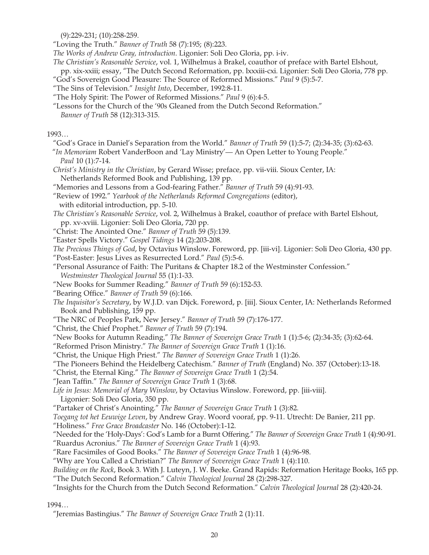(9):229-231; (10):258-259.

"Loving the Truth." *Banner of Truth* 58 (7):195; (8):223.

*The Works of Andrew Gray, introduction*. Ligonier: Soli Deo Gloria, pp. i-iv.

*The Christian's Reasonable Service*, vol. 1, Wilhelmus à Brakel, coauthor of preface with Bartel Elshout,

 pp. xix-xxiii; essay, "The Dutch Second Reformation, pp. lxxxiii-cxi. Ligonier: Soli Deo Gloria, 778 pp. "God's Sovereign Good Pleasure: The Source of Reformed Missions." *Paul* 9 (5):5-7.

- "The Sins of Television." *Insight Into*, December, 1992:8-11.
- "The Holy Spirit: The Power of Reformed Missions." *Paul* 9 (6):4-5.
- "Lessons for the Church of the '90s Gleaned from the Dutch Second Reformation." *Banner of Truth* 58 (12):313-315.

# 1993…

"God's Grace in Daniel's Separation from the World." *Banner of Truth* 59 (1):5-7; (2):34-35; (3):62-63.

"*In Memoriam* Robert VanderBoon and 'Lay Ministry'— An Open Letter to Young People." *Paul* 10 (1):7-14.

- *Christ's Ministry in the Christian*, by Gerard Wisse; preface, pp. vii-viii. Sioux Center, IA: Netherlands Reformed Book and Publishing, 139 pp.
- "Memories and Lessons from a God-fearing Father." *Banner of Truth* 59 (4):91-93.

"Review of 1992." *Yearbook of the Netherlands Reformed Congregations* (editor), with editorial introduction, pp. 5-10.

*The Christian's Reasonable Service*, vol. 2, Wilhelmus à Brakel, coauthor of preface with Bartel Elshout, pp. xv-xviii. Ligonier: Soli Deo Gloria, 720 pp.

"Christ: The Anointed One." *Banner of Truth* 59 (5):139.

"Easter Spells Victory." *Gospel Tidings* 14 (2):203-208.

*The Precious Things of God*, by Octavius Winslow. Foreword, pp. [iii-vi]. Ligonier: Soli Deo Gloria, 430 pp. "Post-Easter: Jesus Lives as Resurrected Lord." *Paul* (5):5-6.

- "Personal Assurance of Faith: The Puritans & Chapter 18.2 of the Westminster Confession." *Westminster Theological Journal* 55 (1):1-33.
- "New Books for Summer Reading." *Banner of Truth* 59 (6):152-53.

"Bearing Office." *Banner of Truth* 59 (6):166.

*The Inquisitor's Secretary*, by W.J.D. van Dijck. Foreword, p. [iii]. Sioux Center, IA: Netherlands Reformed Book and Publishing, 159 pp.

- "The NRC of Peoples Park, New Jersey." *Banner of Truth* 59 (7):176-177.
- "Christ, the Chief Prophet." *Banner of Truth* 59 (7):194.
- "New Books for Autumn Reading." *The Banner of Sovereign Grace Truth* 1 (1):5-6; (2):34-35; (3):62-64.
- "Reformed Prison Ministry." *The Banner of Sovereign Grace Truth* 1 (1):16.
- "Christ, the Unique High Priest." *The Banner of Sovereign Grace Truth* 1 (1):26.
- "The Pioneers Behind the Heidelberg Catechism." *Banner of Truth* (England) No. 357 (October):13-18.
- "Christ, the Eternal King." *The Banner of Sovereign Grace Truth* 1 (2):54.
- "Jean Taffin." *The Banner of Sovereign Grace Truth* 1 (3):68.

*Life in Jesus: Memorial of Mary Winslow*, by Octavius Winslow. Foreword, pp. [iii-viii].

Ligonier: Soli Deo Gloria, 350 pp.

"Partaker of Christ's Anointing." *The Banner of Sovereign Grace Truth* 1 (3):82.

*Toegang tot het Eeuwige Leven*, by Andrew Gray. Woord vooraf, pp. 9-11. Utrecht: De Banier, 211 pp.

- "Holiness." *Free Grace Broadcaster* No. 146 (October):1-12.
- "Needed for the 'Holy-Days': God's Lamb for a Burnt Offering." *The Banner of Sovereign Grace Truth* 1 (4):90-91. "Ruardus Acronius." *The Banner of Sovereign Grace Truth* 1 (4):93.
- "Rare Facsimiles of Good Books." *The Banner of Sovereign Grace Truth* 1 (4):96-98.
- "Why are You Called a Christian?" *The Banner of Sovereign Grace Truth* 1 (4):110.
- *Building on the Rock*, Book 3. With J. Luteyn, J. W. Beeke. Grand Rapids: Reformation Heritage Books, 165 pp. "The Dutch Second Reformation." *Calvin Theological Journal* 28 (2):298-327.
- "Insights for the Church from the Dutch Second Reformation." *Calvin Theological Journal* 28 (2):420-24.

1994…

"Jeremias Bastingius." *The Banner of Sovereign Grace Truth* 2 (1):11.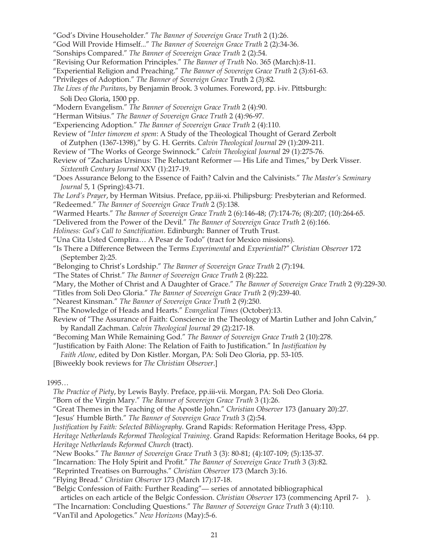- "God's Divine Householder." *The Banner of Sovereign Grace Truth* 2 (1):26.
- "God Will Provide Himself..." *The Banner of Sovereign Grace Truth* 2 (2):34-36.
- "Sonships Compared." *The Banner of Sovereign Grace Truth* 2 (2):54.
- "Revising Our Reformation Principles." *The Banner of Truth* No. 365 (March):8-11.
- "Experiential Religion and Preaching." *The Banner of Sovereign Grace Truth* 2 (3):61-63.
- "Privileges of Adoption." *The Banner of Sovereign Grace* Truth 2 (3):82.
- *The Lives of the Puritans*, by Benjamin Brook. 3 volumes. Foreword, pp. i-iv. Pittsburgh: Soli Deo Gloria, 1500 pp.
- "Modern Evangelism." *The Banner of Sovereign Grace Truth* 2 (4):90.
- "Herman Witsius." *The Banner of Sovereign Grace Truth* 2 (4):96-97.
- "Experiencing Adoption." *The Banner of Sovereign Grace Truth* 2 (4):110.
- Review of "*Inter timorem et spem*: A Study of the Theological Thought of Gerard Zerbolt
- of Zutphen (1367-1398)," by G. H. Gerrits. *Calvin Theological Journal* 29 (1):209-211.
- Review of "The Works of George Swinnock." *Calvin Theological Journal* 29 (1):275-76.
- Review of "Zacharias Ursinus: The Reluctant Reformer His Life and Times," by Derk Visser. *Sixteenth Century Journal* XXV (1):217-19.
- "Does Assurance Belong to the Essence of Faith? Calvin and the Calvinists." *The Master's Seminary Journal* 5, 1 (Spring):43-71.

*The Lord's Prayer*, by Herman Witsius. Preface, pp.iii-xi. Philipsburg: Presbyterian and Reformed. "Redeemed." *The Banner of Sovereign Grace Truth* 2 (5):138.

- "Warmed Hearts." *The Banner of Sovereign Grace Truth* 2 (6):146-48; (7):174-76; (8):207; (10):264-65.
- "Delivered from the Power of the Devil." *The Banner of Sovereign Grace Truth* 2 (6):166.
- *Holiness: God's Call to Sanctification*. Edinburgh: Banner of Truth Trust.
- "Una Cita Usted Complira… A Pesar de Todo" (tract for Mexico missions).
- "Is There a Difference Between the Terms *Experimental* and *Experiential*?" *Christian Observer* 172 (September 2):25.
- "Belonging to Christ's Lordship." *The Banner of Sovereign Grace Truth* 2 (7):194.
- "The States of Christ." *The Banner of Sovereign Grace Truth* 2 (8):222.
- "Mary, the Mother of Christ and A Daughter of Grace." *The Banner of Sovereign Grace Truth* 2 (9):229-30.
- "Titles from Soli Deo Gloria." *The Banner of Sovereign Grace Truth* 2 (9):239-40.
- "Nearest Kinsman." *The Banner of Sovereign Grace Truth* 2 (9):250.
- "The Knowledge of Heads and Hearts." *Evangelical Times* (October):13.
- Review of "The Assurance of Faith: Conscience in the Theology of Martin Luther and John Calvin," by Randall Zachman. *Calvin Theological Journal* 29 (2):217-18.
- "Becoming Man While Remaining God." *The Banner of Sovereign Grace Truth* 2 (10):278.
- "Justification by Faith Alone: The Relation of Faith to Justification." In *Justification by*

 *Faith Alone*, edited by Don Kistler. Morgan, PA: Soli Deo Gloria, pp. 53-105.

[Biweekly book reviews for *The Christian Observer*.]

#### 1995…

- *The Practice of Piety*, by Lewis Bayly. Preface, pp.iii-vii. Morgan, PA: Soli Deo Gloria.
- "Born of the Virgin Mary." *The Banner of Sovereign Grace Truth* 3 (1):26.
- "Great Themes in the Teaching of the Apostle John." *Christian Observer* 173 (January 20):27.
- "Jesus' Humble Birth." *The Banner of Sovereign Grace Truth* 3 (2):54.
- *Justification by Faith: Selected Bibliography*. Grand Rapids: Reformation Heritage Press, 43pp.

*Heritage Netherlands Reformed Theological Training*. Grand Rapids: Reformation Heritage Books, 64 pp. *Heritage Netherlands Reformed Church* (tract).

- "New Books." *The Banner of Sovereign Grace Truth* 3 (3): 80-81; (4):107-109; (5):135-37.
- "Incarnation: The Holy Spirit and Profit." *The Banner of Sovereign Grace Truth* 3 (3):82.
- "Reprinted Treatises on Burroughs." *Christian Observer* 173 (March 3):16.
- "Flying Bread." *Christian Observer* 173 (March 17):17-18.
- "Belgic Confession of Faith: Further Reading"— series of annotated bibliographical
- articles on each article of the Belgic Confession. *Christian Observer* 173 (commencing April 7- ).
- "The Incarnation: Concluding Questions." *The Banner of Sovereign Grace Truth* 3 (4):110.
- "VanTil and Apologetics." *New Horizons* (May):5-6.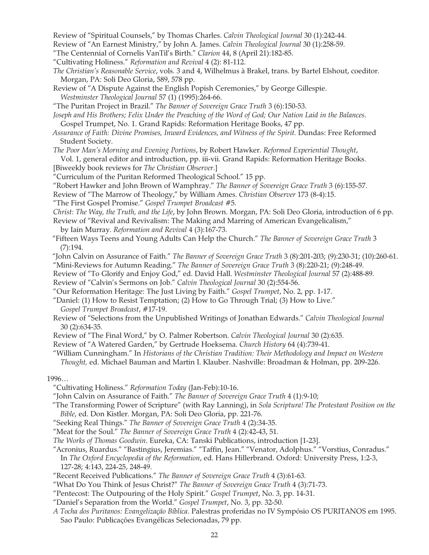Review of "Spiritual Counsels," by Thomas Charles. *Calvin Theological Journal* 30 (1):242-44.

Review of "An Earnest Ministry," by John A. James. *Calvin Theological Journal* 30 (1):258-59.

- "The Centennial of Cornelis VanTil's Birth." *Clarion* 44, 8 (April 21):182-85.
- "Cultivating Holiness." *Reformation and Revival* 4 (2): 81-112.
- *The Christian's Reasonable Service*, vols. 3 and 4, Wilhelmus à Brakel, trans. by Bartel Elshout, coeditor. Morgan, PA: Soli Deo Gloria, 589, 578 pp.
- Review of "A Dispute Against the English Popish Ceremonies," by George Gillespie. *Westminster Theological Journal* 57 (1) (1995):264-66.
- "The Puritan Project in Brazil." *The Banner of Sovereign Grace Truth* 3 (6):150-53.
- *Joseph and His Brothers; Felix Under the Preaching of the Word of God; Our Nation Laid in the Balances*. Gospel Trumpet, No. 1. Grand Rapids: Reformation Heritage Books, 47 pp.
- *Assurance of Faith: Divine Promises, Inward Evidences, and Witness of the Spirit.* Dundas: Free Reformed Student Society.
- *The Poor Man's Morning and Evening Portions*, by Robert Hawker. *Reformed Experiential Thought*, Vol. 1, general editor and introduction, pp. iii-vii. Grand Rapids: Reformation Heritage Books.
- [Biweekly book reviews for *The Christian Observer*.]
- "Curriculum of the Puritan Reformed Theological School." 15 pp.
- "Robert Hawker and John Brown of Wamphray." *The Banner of Sovereign Grace Truth* 3 (6):155-57.
- Review of "The Marrow of Theology," by William Ames. *Christian Observer* 173 (8-4):15.
- "The First Gospel Promise." *Gospel Trumpet Broadcast* #5.
- *Christ: The Way, the Truth, and the Life*, by John Brown. Morgan, PA: Soli Deo Gloria, introduction of 6 pp.
- Review of "Revival and Revivalism: The Making and Marring of American Evangelicalism," by Iain Murray. *Reformation and Revival* 4 (3):167-73.
- "Fifteen Ways Teens and Young Adults Can Help the Church." *The Banner of Sovereign Grace Truth* 3 (7):194.
- "John Calvin on Assurance of Faith." *The Banner of Sovereign Grace Truth* 3 (8):201-203; (9):230-31; (10):260-61.
- "Mini-Reviews for Autumn Reading." *The Banner of Sovereign Grace Truth* 3 (8):220-21; (9):248-49.
- Review of "To Glorify and Enjoy God," ed. David Hall. *Westminster Theological Journal* 57 (2):488-89.
- Review of "Calvin's Sermons on Job." *Calvin Theological Journal* 30 (2):554-56.
- "Our Reformation Heritage: The Just Living by Faith." *Gospel Trumpet*, No. 2, pp. 1-17.
- "Daniel: (1) How to Resist Temptation; (2) How to Go Through Trial; (3) How to Live." *Gospel Trumpet Broadcast*, #17-19.
- Review of "Selections from the Unpublished Writings of Jonathan Edwards." *Calvin Theological Journal* 30 (2):634-35.
- Review of "The Final Word," by O. Palmer Robertson. *Calvin Theological Journal* 30 (2):635.
- Review of "A Watered Garden," by Gertrude Hoeksema. *Church History* 64 (4):739-41.
- "William Cunningham." In *Historians of the Christian Tradition: Their Methodology and Impact on Western Thought,* ed. Michael Bauman and Martin I. Klauber. Nashville: Broadman & Holman, pp. 209-226.

#### 1996…

- "Cultivating Holiness." *Reformation Today* (Jan-Feb):10-16.
- "John Calvin on Assurance of Faith." *The Banner of Sovereign Grace Truth* 4 (1):9-10;
- "The Transforming Power of Scripture" (with Ray Lanning), in *Sola Scriptura! The Protestant Position on the Bible*, ed. Don Kistler. Morgan, PA: Soli Deo Gloria, pp. 221-76.
- "Seeking Real Things." *The Banner of Sovereign Grace Truth* 4 (2):34-35.
- "Meat for the Soul." *The Banner of Sovereign Grace Truth* 4 (2):42-43, 51.
- *The Works of Thomas Goodwin*. Eureka, CA: Tanski Publications, introduction [1-23].
- "Acronius, Ruardus." "Bastingius, Jeremias." "Taffin, Jean." "Venator, Adolphus." "Vorstius, Conradus." In *The Oxford Encyclopedia of the Reformation*, ed. Hans Hillerbrand. Oxford: University Press, 1:2-3, 127-28; 4:143, 224-25, 248-49.
- "Recent Received Publications." *The Banner of Sovereign Grace Truth* 4 (3):61-63.
- "What Do You Think of Jesus Christ?" *The Banner of Sovereign Grace Truth* 4 (3):71-73.
- "Pentecost: The Outpouring of the Holy Spirit." *Gospel Trumpet*, No. 3, pp. 14-31.
- "Daniel's Separation from the World." *Gospel Trumpet*, No. 3, pp. 32-50.
- *A Tocha dos Puritanos: Evangelização Bíblica*. Palestras proferidas no IV Sympósio OS PURITANOS em 1995. Sao Paulo: Publicações Evangélicas Selecionadas, 79 pp.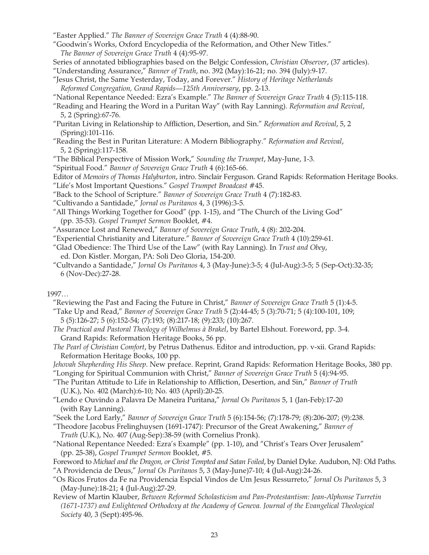- "Easter Applied." *The Banner of Sovereign Grace Truth* 4 (4):88-90.
- "Goodwin's Works, Oxford Encyclopedia of the Reformation, and Other New Titles." *The Banner of Sovereign Grace Truth* 4 (4):95-97.
- Series of annotated bibliographies based on the Belgic Confession, *Christian Observer*, (37 articles).
- "Understanding Assurance," *Banner of Truth*, no. 392 (May):16-21; no. 394 (July):9-17.
- "Jesus Christ, the Same Yesterday, Today, and Forever." *History of Heritage Netherlands Reformed Congregation, Grand Rapids—125th Anniversary*, pp. 2-13.
- "National Repentance Needed: Ezra's Example." *The Banner of Sovereign Grace Truth* 4 (5):115-118.
- "Reading and Hearing the Word in a Puritan Way" (with Ray Lanning). *Reformation and Revival*, 5, 2 (Spring):67-76.
- "Puritan Living in Relationship to Affliction, Desertion, and Sin." *Reformation and Revival*, 5, 2 (Spring):101-116.
- "Reading the Best in Puritan Literature: A Modern Bibliography." *Reformation and Revival*, 5, 2 (Spring):117-158.

"The Biblical Perspective of Mission Work," *Sounding the Trumpet*, May-June, 1-3.

"Spiritual Food." *Banner of Sovereign Grace Truth* 4 (6):165-66.

Editor of *Memoirs of Thomas Halyburton*, intro. Sinclair Ferguson. Grand Rapids: Reformation Heritage Books. "Life's Most Important Questions." *Gospel Trumpet Broadcast* #45.

- "Back to the School of Scripture." *Banner of Sovereign Grace Truth* 4 (7):182-83.
- "Cultivando a Santidade," *Jornal os Puritanos* 4, 3 (1996):3-5.
- "All Things Working Together for Good" (pp. 1-15), and "The Church of the Living God" (pp. 35-53). *Gospel Trumpet Sermon* Booklet, #4.
- "Assurance Lost and Renewed," *Banner of Sovereign Grace Truth*, 4 (8): 202-204.
- "Experiential Christianity and Literature." *Banner of Sovereign Grace Truth* 4 (10):259-61.
- "Glad Obedience: The Third Use of the Law" (with Ray Lanning). In *Trust and Obey*, ed. Don Kistler. Morgan, PA: Soli Deo Gloria, 154-200.
- "Cultvando a Santidade," *Jornal Os Puritanos* 4, 3 (May-June):3-5; 4 (Jul-Aug):3-5; 5 (Sep-Oct):32-35; 6 (Nov-Dec):27-28.

# 1997…

"Reviewing the Past and Facing the Future in Christ," *Banner of Sovereign Grace Truth* 5 (1):4-5.

"Take Up and Read," *Banner of Sovereign Grace Truth* 5 (2):44-45; 5 (3):70-71; 5 (4):100-101, 109;

- 5 (5):126-27; 5 (6):152-54; (7):193; (8):217-18; (9):233; (10):267.
- *The Practical and Pastoral Theology of Wilhelmus à Brakel*, by Bartel Elshout. Foreword, pp. 3-4. Grand Rapids: Reformation Heritage Books, 56 pp.
- *The Pearl of Christian Comfort*, by Petrus Dathenus. Editor and introduction, pp. v-xii. Grand Rapids: Reformation Heritage Books, 100 pp.
- *Jehovah Shepherding His Sheep*. New preface. Reprint, Grand Rapids: Reformation Heritage Books, 380 pp. "Longing for Spiritual Communion with Christ," *Banner of Sovereign Grace Truth* 5 (4):94-95.
- "The Puritan Attitude to Life in Relationship to Affliction, Desertion, and Sin," *Banner of Truth* (U.K.), No. 402 (March):6-10; No. 403 (April):20-25.
- "Lendo e Ouvindo a Palavra De Maneira Puritana," *Jornal Os Puritanos* 5, 1 (Jan-Feb):17-20 (with Ray Lanning).
- "Seek the Lord Early," *Banner of Sovereign Grace Truth* 5 (6):154-56; (7):178-79; (8):206-207; (9):238.
- "Theodore Jacobus Frelinghuysen (1691-1747): Precursor of the Great Awakening," *Banner of Truth* (U.K.), No. 407 (Aug-Sep):38-59 (with Cornelius Pronk).
- "National Repentance Needed: Ezra's Example" (pp. 1-10), and "Christ's Tears Over Jerusalem" (pp. 25-38), *Gospel Trumpet Sermon* Booklet, #5.
- Foreword to *Michael and the Dragon, or Christ Tempted and Satan Foiled*, by Daniel Dyke. Audubon, NJ: Old Paths. "A Providencia de Deus," *Jornal Os Puritanos* 5, 3 (May-June)7-10; 4 (Jul-Aug):24-26.
- "Os Ricos Frutos da Fe na Providencia Espcial Vindos de Um Jesus Ressurreto," *Jornal Os Puritanos* 5, 3 (May-June):18-21; 4 (Jul-Aug):27-29.
- Review of Martin Klauber, *Between Reformed Scholasticism and Pan-Protestantism: Jean-Alphonse Turretin (1671-1737) and Enlightened Orthodoxy at the Academy of Geneva. Journal of the Evangelical Theological Society* 40, 3 (Sept):495-96.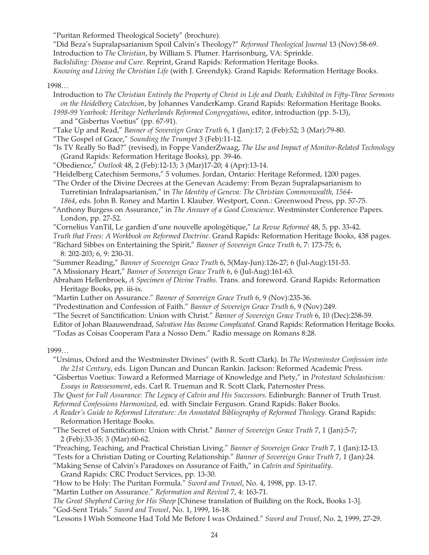"Puritan Reformed Theological Society" (brochure).

"Did Beza's Supralapsarianism Spoil Calvin's Theology?" *Reformed Theological Journal* 13 (Nov):58-69. Introduction to *The Christian*, by William S. Plumer. Harrisonburg, VA: Sprinkle. *Backsliding: Disease and Cure*. Reprint, Grand Rapids: Reformation Heritage Books. *Knowing and Living the Christian Life* (with J. Greendyk). Grand Rapids: Reformation Heritage Books.

#### 1998…

- Introduction to *The Christian Entirely the Property of Christ in Life and Death; Exhibited in Fifty-Three Sermons on the Heidelberg Catechism*, by Johannes VanderKamp. Grand Rapids: Reformation Heritage Books.
- *1998-99 Yearbook: Heritage Netherlands Reformed Congregations*, editor, introduction (pp. 5-13), and "Gisbertus Voetius" (pp. 67-91).
- "Take Up and Read," *Banner of Sovereign Grace Truth* 6, 1 (Jan):17; 2 (Feb):52; 3 (Mar):79-80.

"The Gospel of Grace," *Sounding the Trumpet* 3 (Feb):11-12.

- "Is TV Really So Bad?" (revised), in Foppe VanderZwaag, *The Use and Impact of Monitor-Related Technology* (Grand Rapids: Reformation Heritage Books), pp. 39-46.
- "Obedience," *Outlook* 48, 2 (Feb):12-13; 3 (Mar)17-20; 4 (Apr):13-14.
- "Heidelberg Catechism Sermons," 5 volumes. Jordan, Ontario: Heritage Reformed, 1200 pages.
- "The Order of the Divine Decrees at the Genevan Academy: From Bezan Supralapsarianism to Turretinian Infralapsarianism," in *The Identity of Geneva: The Christian Commonwealth, 1564- 1864*, eds. John B. Roney and Martin I. Klauber. Westport, Conn.: Greenwood Press, pp. 57-75.
- "Anthony Burgess on Assurance," in *The Answer of a Good Conscience*. Westminster Conference Papers. London, pp. 27-52.
- "Cornelius VanTil, Le gardien d'une nouvelle apologétique," *La Revue Reformeé* 48, 5, pp. 33-42.
- *Truth that Frees: A Workbook on Reformed Doctrine*. Grand Rapids: Reformation Heritage Books, 438 pages.
- "Richard Sibbes on Entertaining the Spirit," *Banner of Sovereign Grace Truth* 6, 7: 173-75; 6, 8: 202-203; 6, 9: 230-31.
- "Summer Reading," *Banner of Sovereign Grace Truth* 6, 5(May-Jun):126-27; 6 (Jul-Aug):151-53.

"A Missionary Heart," *Banner of Sovereign Grace Truth* 6, 6 (Jul-Aug):161-63.

- Abraham Hellenbroek, *A Specimen of Divine Truths*. Trans. and foreword. Grand Rapids: Reformation Heritage Books, pp. iii-ix.
- "Martin Luther on Assurance." *Banner of Sovereign Grace Truth* 6, 9 (Nov):235-36.
- "Predestination and Confession of Faith." *Banner of Sovereign Grace Truth* 6, 9 (Nov):249.
- "The Secret of Sanctification: Union with Christ." *Banner of Sovereign Grace Truth* 6, 10 (Dec):258-59.
- Editor of Johan Blaauwendraad, *Salvation Has Become Complicated*. Grand Rapids: Reformation Heritage Books.

"Todas as Coisas Cooperam Para a Nosso Dem." Radio message on Romans 8:28.

#### 1999…

- "Ursinus, Oxford and the Westminster Divines" (with R. Scott Clark). In *The Westminster Confession into the 21st Century*, eds. Ligon Duncan and Duncan Rankin. Jackson: Reformed Academic Press.
- "Gisbertus Voetius: Toward a Reformed Marriage of Knowledge and Piety," in *Protestant Scholasticism: Essays in Reassessment*, eds. Carl R. Trueman and R. Scott Clark, Paternoster Press.

*The Quest for Full Assurance: The Legacy of Calvin and His Successors*. Edinburgh: Banner of Truth Trust. *Reformed Confessions Harmonized*, ed. with Sinclair Ferguson. Grand Rapids: Baker Books.

- *A Reader's Guide to Reformed Literature: An Annotated Bibliography of Reformed Theology*. Grand Rapids: Reformation Heritage Books.
- "The Secret of Sanctification: Union with Christ." *Banner of Sovereign Grace Truth* 7, 1 (Jan):5-7; 2 (Feb):33-35; 3 (Mar):60-62.

"Preaching, Teaching, and Practical Christian Living." *Banner of Sovereign Grace Truth* 7, 1 (Jan):12-13.

"Tests for a Christian Dating or Courting Relationship." *Banner of Sovereign Grace Truth* 7, 1 (Jan):24.

"Making Sense of Calvin's Paradoxes on Assurance of Faith," in *Calvin and Spirituality*. Grand Rapids: CRC Product Services, pp. 13-30.

"How to be Holy: The Puritan Formula." *Sword and Trowel*, No. 4, 1998, pp. 13-17.

"Martin Luther on Assurance." *Reformation and Revival* 7, 4: 163-71.

*The Great Shepherd Caring for His Sheep* [Chinese translation of Building on the Rock, Books 1-3].

"God-Sent Trials." *Sword and Trowel*, No. 1, 1999, 16-18.

"Lessons I Wish Someone Had Told Me Before I was Ordained." *Sword and Trowel*, No. 2, 1999, 27-29.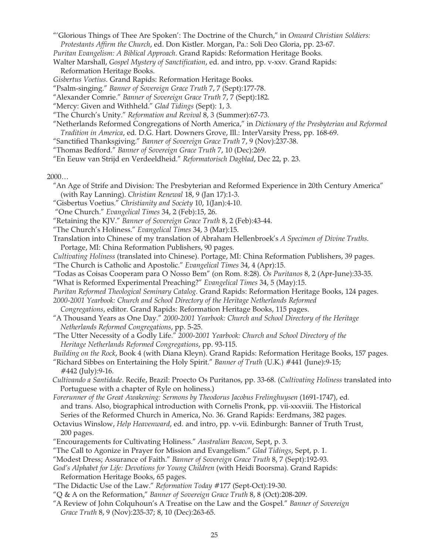"'Glorious Things of Thee Are Spoken': The Doctrine of the Church," in *Onward Christian Soldiers: Protestants Affirm the Church*, ed. Don Kistler. Morgan, Pa.: Soli Deo Gloria, pp. 23-67.

*Puritan Evangelism: A Biblical Approach*. Grand Rapids: Reformation Heritage Books.

Walter Marshall, *Gospel Mystery of Sanctification*, ed. and intro, pp. v-xxv. Grand Rapids: Reformation Heritage Books.

*Gisbertus Voetius*. Grand Rapids: Reformation Heritage Books.

"Psalm-singing." *Banner of Sovereign Grace Truth* 7, 7 (Sept):177-78.

"Alexander Comrie." *Banner of Sovereign Grace Truth* 7, 7 (Sept):182.

"Mercy: Given and Withheld." *Glad Tidings* (Sept): 1, 3.

"The Church's Unity." *Reformation and Revival* 8, 3 (Summer):67-73.

"Netherlands Reformed Congregations of North America," in *Dictionary of the Presbyterian and Reformed Tradition in America*, ed. D.G. Hart. Downers Grove, Ill.: InterVarsity Press, pp. 168-69.

"Sanctified Thanksgiving." *Banner of Sovereign Grace Truth* 7, 9 (Nov):237-38.

"Thomas Bedford." *Banner of Sovereign Grace Truth* 7, 10 (Dec):269.

"En Eeuw van Strijd en Verdeeldheid." *Reformatorisch Dagblad*, Dec 22, p. 23.

2000…

"An Age of Strife and Division: The Presbyterian and Reformed Experience in 20th Century America" (with Ray Lanning). *Christian Renewal* 18, 9 (Jan 17):1-3.

"Gisbertus Voetius." *Christianity and Society* 10, 1(Jan):4-10.

- "One Church." *Evangelical Times* 34, 2 (Feb):15, 26.
- "Retaining the KJV." *Banner of Sovereign Grace Truth* 8, 2 (Feb):43-44.
- "The Church's Holiness." *Evangelical Times* 34, 3 (Mar):15.
- Translation into Chinese of my translation of Abraham Hellenbroek's *A Specimen of Divine Truths*. Portage, MI: China Reformation Publishers, 90 pages.
- *Cultivating Holiness* (translated into Chinese). Portage, MI: China Reformation Publishers, 39 pages. "The Church is Catholic and Apostolic." *Evangelical Times* 34, 4 (Apr):15.
- "Todas as Coisas Cooperam para O Nosso Bem" (on Rom. 8:28). *Os Puritanos* 8, 2 (Apr-June):33-35.
- "What is Reformed Experimental Preaching?" *Evangelical Times* 34, 5 (May):15.

*Puritan Reformed Theological Seminary Catalog*. Grand Rapids: Reformation Heritage Books, 124 pages. *2000-2001 Yearbook: Church and School Directory of the Heritage Netherlands Reformed* 

 *Congregations*, editor. Grand Rapids: Reformation Heritage Books, 115 pages.

- "A Thousand Years as One Day." *2000-2001 Yearbook: Church and School Directory of the Heritage Netherlands Reformed Congregations*, pp. 5-25.
- "The Utter Necessity of a Godly Life." *2000-2001 Yearbook: Church and School Directory of the Heritage Netherlands Reformed Congregations*, pp. 93-115.

*Building on the Rock*, Book 4 (with Diana Kleyn). Grand Rapids: Reformation Heritage Books, 157 pages.

"Richard Sibbes on Entertaining the Holy Spirit." *Banner of Truth* (U.K.) #441 (June):9-15; #442 (July):9-16.

*Cultivando a Santidade*. Recife, Brazil: Proecto Os Puritanos, pp. 33-68. (*Cultivating Holiness* translated into Portuguese with a chapter of Ryle on holiness.)

*Forerunner of the Great Awakening: Sermons by Theodorus Jacobus Frelinghuysen* (1691-1747), ed. and trans. Also, biographical introduction with Cornelis Pronk, pp. vii-xxxviii. The Historical Series of the Reformed Church in America, No. 36. Grand Rapids: Eerdmans, 382 pages.

Octavius Winslow, *Help Heavenward*, ed. and intro, pp. v-vii. Edinburgh: Banner of Truth Trust, 200 pages.

- "Encouragements for Cultivating Holiness." *Australian Beacon*, Sept, p. 3.
- "The Call to Agonize in Prayer for Mission and Evangelism." *Glad Tidings*, Sept, p. 1.
- "Modest Dress; Assurance of Faith." *Banner of Sovereign Grace Truth* 8, 7 (Sept):192-93.

*God's Alphabet for Life: Devotions for Young Children* (with Heidi Boorsma). Grand Rapids: Reformation Heritage Books, 65 pages.

- "The Didactic Use of the Law." *Reformation Today* #177 (Sept-Oct):19-30.
- "Q & A on the Reformation," *Banner of Sovereign Grace Truth* 8, 8 (Oct):208-209.
- "A Review of John Colquhoun's A Treatise on the Law and the Gospel." *Banner of Sovereign Grace Truth* 8, 9 (Nov):235-37; 8, 10 (Dec):263-65.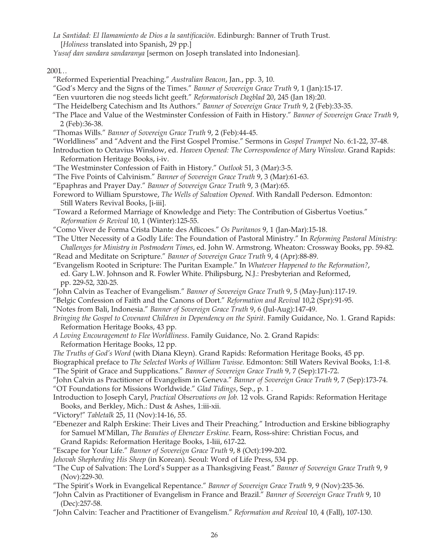*La Santidad: El IIamamiento de Dios a la santificaciõn*. Edinburgh: Banner of Truth Trust. [*Holiness* translated into Spanish, 29 pp.]

*Yusuf dan sandara sandaranya* [sermon on Joseph translated into Indonesian].

 $2001...$ 

- "Reformed Experiential Preaching." *Australian Beacon*, Jan., pp. 3, 10.
- "God's Mercy and the Signs of the Times." *Banner of Sovereign Grace Truth* 9, 1 (Jan):15-17.
- "Een vuurtoren die nog steeds licht geeft." *Reformatorisch Dagblad* 20, 245 (Jan 18):20.
- "The Heidelberg Catechism and Its Authors." *Banner of Sovereign Grace Truth* 9, 2 (Feb):33-35.
- "The Place and Value of the Westminster Confession of Faith in History." *Banner of Sovereign Grace Truth* 9, 2 (Feb):36-38.
- "Thomas Wills." *Banner of Sovereign Grace Truth* 9, 2 (Feb):44-45.
- "Worldliness" and "Advent and the First Gospel Promise." Sermons in *Gospel Trumpet* No. 6:1-22, 37-48.
- Introduction to Octavius Winslow, ed. *Heaven Opened: The Correspondence of Mary Winslow*. Grand Rapids: Reformation Heritage Books, i-iv.
- "The Westminster Confession of Faith in History." *Outlook* 51, 3 (Mar):3-5.
- "The Five Points of Calvinism." *Banner of Sovereign Grace Truth* 9, 3 (Mar):61-63.
- "Epaphras and Prayer Day." *Banner of Sovereign Grace Truth* 9, 3 (Mar):65.
- Foreword to William Spurstowe, *The Wells of Salvation Opened*. With Randall Pederson. Edmonton: Still Waters Revival Books, [i-iii].
- "Toward a Reformed Marriage of Knowledge and Piety: The Contribution of Gisbertus Voetius." *Reformation & Revival* 10, 1 (Winter):125-55.
- "Como Viver de Forma Crista Diante des Aflicoes." *Os Puritanos* 9, 1 (Jan-Mar):15-18.

"The Utter Necessity of a Godly Life: The Foundation of Pastoral Ministry." In *Reforming Pastoral Ministry: Challenges for Ministry in Postmodern Times*, ed. John W. Armstrong. Wheaton: Crossway Books, pp. 59-82.

- "Read and Meditate on Scripture." *Banner of Sovereign Grace Truth* 9, 4 (Apr):88-89.
- "Evangelism Rooted in Scripture: The Puritan Example." In *Whatever Happened to the Reformation?*, ed. Gary L.W. Johnson and R. Fowler White. Philipsburg, N.J.: Presbyterian and Reformed, pp. 229-52, 320-25.
- "John Calvin as Teacher of Evangelism." *Banner of Sovereign Grace Truth* 9, 5 (May-Jun):117-19.
- "Belgic Confession of Faith and the Canons of Dort." *Reformation and Revival* 10,2 (Spr):91-95.
- "Notes from Bali, Indonesia." *Banner of Sovereign Grace Truth* 9, 6 (Jul-Aug):147-49.
- *Bringing the Gospel to Covenant Children in Dependency on the Spirit*. Family Guidance, No. 1. Grand Rapids: Reformation Heritage Books, 43 pp.
- *A Loving Encouragement to Flee Worldliness*. Family Guidance, No. 2. Grand Rapids: Reformation Heritage Books, 12 pp.
- *The Truths of God's Word* (with Diana Kleyn). Grand Rapids: Reformation Heritage Books, 45 pp.

Biographical preface to *The Selected Works of William Twisse*. Edmonton: Still Waters Revival Books, 1:1-8.

"The Spirit of Grace and Supplications." *Banner of Sovereign Grace Truth* 9, 7 (Sep):171-72.

- "John Calvin as Practitioner of Evangelism in Geneva." *Banner of Sovereign Grace Truth* 9, 7 (Sep):173-74. "OT Foundations for Missions Worldwide." *Glad Tidings*, Sep., p. 1 .
- Introduction to Joseph Caryl, *Practical Observations on Job.* 12 vols. Grand Rapids: Reformation Heritage Books, and Berkley, Mich.: Dust & Ashes, 1:iii-xii.

"Victory!" *Tabletalk* 25, 11 (Nov):14-16, 55.

- "Ebenezer and Ralph Erskine: Their Lives and Their Preaching." Introduction and Erskine bibliography for Samuel M'Millan, *The Beauties of Ebenezer Erskine*. Fearn, Ross-shire: Christian Focus, and Grand Rapids: Reformation Heritage Books, 1-liii, 617-22.
- "Escape for Your Life." *Banner of Sovereign Grace Truth* 9, 8 (Oct):199-202.
- *Jehovah Shepherding His Sheep* (in Korean). Seoul: Word of Life Press, 534 pp.
- "The Cup of Salvation: The Lord's Supper as a Thanksgiving Feast." *Banner of Sovereign Grace Truth* 9, 9 (Nov):229-30.
- "The Spirit's Work in Evangelical Repentance." *Banner of Sovereign Grace Truth* 9, 9 (Nov):235-36.
- "John Calvin as Practitioner of Evangelism in France and Brazil." *Banner of Sovereign Grace Truth* 9, 10 (Dec):257-58.
- "John Calvin: Teacher and Practitioner of Evangelism." *Reformation and Revival* 10, 4 (Fall), 107-130.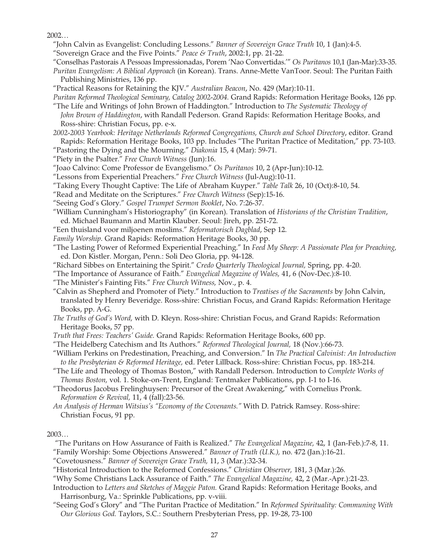2002…

- "John Calvin as Evangelist: Concluding Lessons." *Banner of Sovereign Grace Truth* 10, 1 (Jan):4-5.
- "Sovereign Grace and the Five Points." *Peace & Truth*, 2002:1, pp. 21-22.
- "Conselhas Pastorais A Pessoas Impressionadas, Porem 'Nao Convertidas.'" *Os Puritanos* 10,1 (Jan-Mar):33-35.
- *Puritan Evangelism: A Biblical Approach* (in Korean). Trans. Anne-Mette VanToor. Seoul: The Puritan Faith Publishing Ministries, 136 pp.
- "Practical Reasons for Retaining the KJV." *Australian Beacon*, No. 429 (Mar):10-11.
- *Puritan Reformed Theological Seminary, Catalog 2002-2004.* Grand Rapids: Reformation Heritage Books, 126 pp.
- "The Life and Writings of John Brown of Haddington." Introduction to *The Systematic Theology of John Brown of Haddington*, with Randall Pederson. Grand Rapids: Reformation Heritage Books, and Ross-shire: Christian Focus, pp. e-x.
- *2002-2003 Yearbook: Heritage Netherlands Reformed Congregations, Church and School Directory*, editor. Grand Rapids: Reformation Heritage Books, 103 pp. Includes "The Puritan Practice of Meditation," pp. 73-103.
- "Pastoring the Dying and the Mourning." *Diakonia* 15, 4 (Mar): 59-71.
- "Piety in the Psalter." *Free Church Witness* (Jun):16.
- "Joao Calvino: Come Professor de Evangelismo." *Os Puritanos* 10, 2 (Apr-Jun):10-12.
- "Lessons from Experiential Preachers." *Free Church Witness* (Jul-Aug):10-11.
- "Taking Every Thought Captive: The Life of Abraham Kuyper." *Table Talk* 26, 10 (Oct):8-10, 54.
- "Read and Meditate on the Scriptures." *Free Church Witness* (Sep):15-16.
- "Seeing God's Glory." *Gospel Trumpet Sermon Booklet*, No. 7:26-37.
- "William Cunningham's Historiography" (in Korean). Translation of *Historians of the Christian Tradition*, ed. Michael Baumann and Martin Klauber. Seoul: Jireh, pp. 251-72.
- "Een thuisland voor miljoenen moslims." *Reformatorisch Dagblad*, Sep 12.
- *Family Worship*. Grand Rapids: Reformation Heritage Books, 30 pp.
- "The Lasting Power of Reformed Experiential Preaching." In *Feed My Sheep: A Passionate Plea for Preaching,* ed. Don Kistler. Morgan, Penn.: Soli Deo Gloria, pp. 94-128.
- "Richard Sibbes on Entertaining the Spirit." *Credo Quarterly Theological Journal,* Spring, pp. 4-20.
- "The Importance of Assurance of Faith." *Evangelical Magazine of Wales,* 41, 6 (Nov-Dec.):8-10.
- "The Minister's Fainting Fits." *Free Church Witness,* Nov., p. 4.
- "Calvin as Shepherd and Promoter of Piety." Introduction to *Treatises of the Sacraments* by John Calvin, translated by Henry Beveridge. Ross-shire: Christian Focus, and Grand Rapids: Reformation Heritage Books, pp. A-G.
- *The Truths of God's Word,* with D. Kleyn. Ross-shire: Christian Focus, and Grand Rapids: Reformation Heritage Books, 57 pp.
- *Truth that Frees: Teachers' Guide.* Grand Rapids: Reformation Heritage Books, 600 pp.
- "The Heidelberg Catechism and Its Authors." *Reformed Theological Journal,* 18 (Nov.):66-73.
- "William Perkins on Predestination, Preaching, and Conversion." In *The Practical Calvinist: An Introduction to the Presbyterian & Reformed Heritage,* ed. Peter Lillback. Ross-shire: Christian Focus, pp. 183-214.
- "The Life and Theology of Thomas Boston," with Randall Pederson. Introduction to *Complete Works of Thomas Boston,* vol. 1. Stoke-on-Trent, England: Tentmaker Publications, pp. I-1 to I-16.
- "Theodorus Jacobus Frelinghuysen: Precursor of the Great Awakening," with Cornelius Pronk. *Reformation & Revival,* 11, 4 (fall):23-56.
- *An Analysis of Herman Witsius's "Economy of the Covenants."* With D. Patrick Ramsey. Ross-shire: Christian Focus, 91 pp.

2003…

- "The Puritans on How Assurance of Faith is Realized." *The Evangelical Magazine,* 42, 1 (Jan-Feb.):7-8, 11.
- "Family Worship: Some Objections Answered." *Banner of Truth (U.K.),* no. 472 (Jan.):16-21.
- "Covetousness." *Banner of Sovereign Grace Truth,* 11, 3 (Mar.):32-34.
- "Historical Introduction to the Reformed Confessions." *Christian Observer,* 181, 3 (Mar.):26.
- "Why Some Christians Lack Assurance of Faith." *The Evangelical Magazine,* 42, 2 (Mar.-Apr.):21-23.
- Introduction to *Letters and Sketches of Maggie Paton.* Grand Rapids: Reformation Heritage Books, and Harrisonburg, Va.: Sprinkle Publications, pp. v-viii.
- "Seeing God's Glory" and "The Puritan Practice of Meditation." In *Reformed Spirituality: Communing With Our Glorious God.* Taylors, S.C.: Southern Presbyterian Press, pp. 19-28, 73-100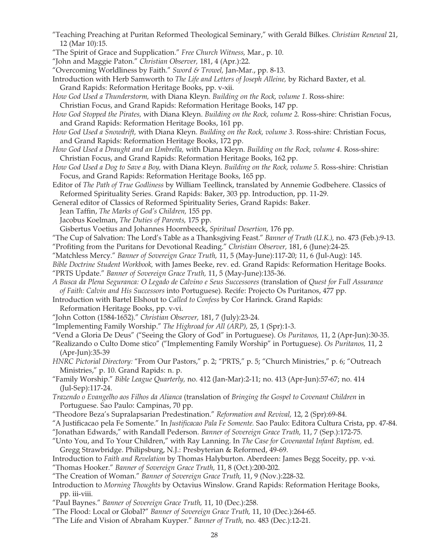- "Teaching Preaching at Puritan Reformed Theological Seminary," with Gerald Bilkes. *Christian Renewal* 21, 12 (Mar 10):15.
- "The Spirit of Grace and Supplication." *Free Church Witness,* Mar., p. 10.
- "John and Maggie Paton." *Christian Observer,* 181, 4 (Apr.):22.
- "Overcoming Worldliness by Faith." *Sword & Trowel,* Jan-Mar., pp. 8-13.
- Introduction with Herb Samworth to *The Life and Letters of Joseph Alleine,* by Richard Baxter, et al. Grand Rapids: Reformation Heritage Books, pp. v-xii.
- *How God Used a Thunderstorm,* with Diana Kleyn. *Building on the Rock, volume 1.* Ross-shire: Christian Focus, and Grand Rapids: Reformation Heritage Books, 147 pp.
- *How God Stopped the Pirates,* with Diana Kleyn. *Building on the Rock, volume 2.* Ross-shire: Christian Focus, and Grand Rapids: Reformation Heritage Books, 161 pp.
- *How God Used a Snowdrift,* with Diana Kleyn. *Building on the Rock, volume 3.* Ross-shire: Christian Focus, and Grand Rapids: Reformation Heritage Books, 172 pp.
- *How God Used a Draught and an Umbrella,* with Diana Kleyn. *Building on the Rock, volume 4.* Ross-shire: Christian Focus, and Grand Rapids: Reformation Heritage Books, 162 pp.
- *How God Used a Dog to Save a Boy,* with Diana Kleyn. *Building on the Rock, volume 5.* Ross-shire: Christian Focus, and Grand Rapids: Reformation Heritage Books, 165 pp.
- Editor of *The Path of True Godliness* by William Teellinck, translated by Annemie Godbehere. Classics of Reformed Spirituality Series. Grand Rapids: Baker, 303 pp. Introduction, pp. 11-29.

General editor of Classics of Reformed Spirituality Series, Grand Rapids: Baker.

- Jean Taffin, *The Marks of God's Children,* 155 pp.
- Jacobus Koelman, *The Duties of Parents,* 175 pp.
- Gisbertus Voetius and Johannes Hoornbeeck, *Spiritual Desertion,* 176 pp.
- "The Cup of Salvation: The Lord's Table as a Thanksgiving Feast." *Banner of Truth (U.K.),* no. 473 (Feb.):9-13.
- "Profiting from the Puritans for Devotional Reading." *Christian Observer,* 181, 6 (June):24-25.
- "Matchless Mercy." *Banner of Sovereign Grace Truth,* 11, 5 (May-June):117-20; 11, 6 (Jul-Aug): 145.
- *Bible Doctrine Student Workbook,* with James Beeke, rev. ed. Grand Rapids: Reformation Heritage Books. "PRTS Update." *Banner of Sovereign Grace Truth,* 11, 5 (May-June):135-36.
- *A Busca da Plena Seguranca: O Legado de Calvino e Seus Successores* (translation of *Quest for Full Assurance of Faith: Calvin and His Successors* into Portuguese). Recife: Projecto Os Puritanos, 477 pp.
- Introduction with Bartel Elshout to *Called to Confess* by Cor Harinck. Grand Rapids:

Reformation Heritage Books, pp. v-vi.

- "John Cotton (1584-1652)." *Christian Observer,* 181, 7 (July):23-24.
- "Implementing Family Worship." *The Highroad for All (ARP),* 25, 1 (Spr):1-3.
- "Vend a Gloria De Deus" ("Seeing the Glory of God" in Portuguese). *Os Puritanos,* 11, 2 (Apr-Jun):30-35.
- "Realizando o Culto Dome stico" ("Implementing Family Worship" in Portuguese). *Os Puritanos,* 11, 2 (Apr-Jun):35-39
- *HNRC Pictorial Directory:* "From Our Pastors," p. 2; "PRTS," p. 5; "Church Ministries," p. 6; "Outreach Ministries," p. 10. Grand Rapids: n. p.
- "Family Worship." *Bible League Quarterly,* no. 412 (Jan-Mar):2-11; no. 413 (Apr-Jun):57-67; no. 414 (Jul-Sep):117-24.
- *Trazendo o Evangelho aos Filhos da Alianca* (translation of *Bringing the Gospel to Covenant Children* in Portuguese. Sao Paulo: Campinas, 70 pp.
- "Theodore Beza's Supralapsarian Predestination." *Reformation and Revival,* 12, 2 (Spr):69-84.
- "A Justificacao pela Fe Somente." In *Justificacao Pala Fe Somente.* Sao Paulo: Editora Cultura Crista, pp. 47-84.
- "Jonathan Edwards," with Randall Pederson. *Banner of Sovereign Grace Truth,* 11, 7 (Sep.):172-75.
- "Unto You, and To Your Children," with Ray Lanning. In *The Case for Covenantal Infant Baptism,* ed. Gregg Strawbridge. Philipsburg, N.J.: Presbyterian & Reformed, 49-69.
- Introduction to *Faith and Revelation* by Thomas Halyburton. Aberdeen: James Begg Soceity, pp. v-xi.
- "Thomas Hooker." *Banner of Sovereign Grace Truth,* 11, 8 (Oct.):200-202.
- "The Creation of Woman." *Banner of Sovereign Grace Truth,* 11, 9 (Nov.):228-32.
- Introduction to *Morning Thoughts* by Octavius Winslow. Grand Rapids: Reformation Heritage Books, pp. iii-viii.
- "Paul Baynes." *Banner of Sovereign Grace Truth,* 11, 10 (Dec.):258.
- "The Flood: Local or Global?" *Banner of Sovereign Grace Truth,* 11, 10 (Dec.):264-65.
- "The Life and Vision of Abraham Kuyper." *Banner of Truth,* no. 483 (Dec.):12-21.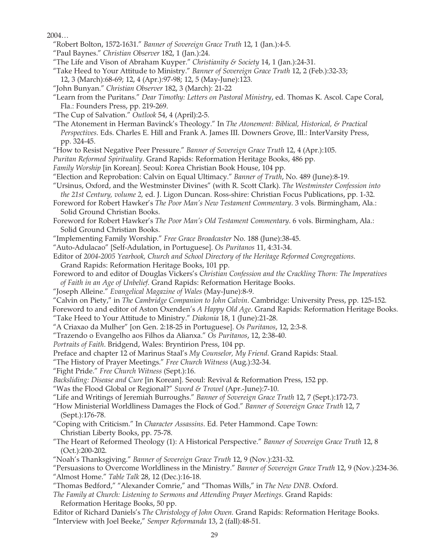2004…

- "Robert Bolton, 1572-1631." *Banner of Sovereign Grace Truth* 12, 1 (Jan.):4-5.
- "Paul Baynes." *Christian Observer* 182, 1 (Jan.):24.
- "The Life and Vison of Abraham Kuyper." *Christianity & Society* 14, 1 (Jan.):24-31.
- "Take Heed to Your Attitude to Ministry." *Banner of Sovereign Grace Truth* 12, 2 (Feb.):32-33; 12, 3 (March):68-69; 12, 4 (Apr.):97-98; 12, 5 (May-June):123.
- "John Bunyan." *Christian Observer* 182, 3 (March): 21-22
- "Learn from the Puritans." *Dear Timothy: Letters on Pastoral Ministry*, ed. Thomas K. Ascol. Cape Coral, Fla.: Founders Press, pp. 219-269.
- "The Cup of Salvation." *Outlook* 54, 4 (April):2-5.
- "The Atonement in Herman Bavinck's Theology." In *The Atonement: Biblical, Historical, & Practical Perspectives*. Eds. Charles E. Hill and Frank A. James III. Downers Grove, Ill.: InterVarsity Press, pp. 324-45.
- "How to Resist Negative Peer Pressure." *Banner of Sovereign Grace Truth* 12, 4 (Apr.):105.
- *Puritan Reformed Spirituality*. Grand Rapids: Reformation Heritage Books, 486 pp.
- *Family Worship* [in Korean]. Seoul: Korea Christian Book House, 104 pp.
- "Election and Reprobation: Calvin on Equal Ultimacy." *Banner of Truth*, No. 489 (June):8-19.
- "Ursinus, Oxford, and the Westminster Divines" (with R. Scott Clark). *The Westminster Confession into the 21st Century, volume 2,* ed. J. Ligon Duncan. Ross-shire: Christian Focus Publications, pp. 1-32.
- Foreword for Robert Hawker's *The Poor Man's New Testament Commentary*. 3 vols. Birmingham, Ala.: Solid Ground Christian Books.
- Foreword for Robert Hawker's *The Poor Man's Old Testament Commentary*. 6 vols. Birmingham, Ala.: Solid Ground Christian Books.
- "Implementing Family Worship." *Free Grace Broadcaster* No. 188 (June):38-45.
- "Auto-Adulacao" [Self-Adulation, in Portuguese]. *Os Puritanos* 11, 4:31-34.
- Editor of *2004-2005 Yearbook, Church and School Directory of the Heritage Reformed Congregations*. Grand Rapids: Reformation Heritage Books, 101 pp.
- Foreword to and editor of Douglas Vickers's *Christian Confession and the Crackling Thorn: The Imperatives of Faith in an Age of Unbelief*. Grand Rapids: Reformation Heritage Books.
- "Joseph Alleine." *Evangelical Magazine of Wales* (May-June):8-9.
- "Calvin on Piety," in *The Cambridge Companion to John Calvin*. Cambridge: University Press, pp. 125-152.

Foreword to and editor of Aston Oxenden's *A Happy Old Age*. Grand Rapids: Reformation Heritage Books.

- "Take Heed to Your Attitude to Ministry." *Diakonia* 18, 1 (June):21-28.
- "A Criaxao da Mulher" [on Gen. 2:18-25 in Portuguese]. *Os Puritanos*, 12, 2:3-8.
- "Trazendo o Evangelho aos Filhos da Alianxa." *Os Puritanos*, 12, 2:38-40.
- *Portraits of Faith*. Bridgend, Wales: Bryntirion Press, 104 pp.
- Preface and chapter 12 of Marinus Staal's *My Counselor, My Friend*. Grand Rapids: Staal.
- "The History of Prayer Meetings." *Free Church Witness* (Aug.):32-34.
- "Fight Pride." *Free Church Witness* (Sept.):16.
- *Backsliding: Disease and Cure* [in Korean]. Seoul: Revival & Reformation Press, 152 pp.
- "Was the Flood Global or Regional?" *Sword & Trowel* (Apr.-June):7-10.
- "Life and Writings of Jeremiah Burroughs." *Banner of Sovereign Grace Truth* 12, 7 (Sept.):172-73.
- "How Ministerial Worldliness Damages the Flock of God." *Banner of Sovereign Grace Truth* 12, 7 (Sept.):176-78.
- "Coping with Criticism." In *Character Assassins*. Ed. Peter Hammond. Cape Town: Christian Liberty Books, pp. 75-78.
- "The Heart of Reformed Theology (1): A Historical Perspective." *Banner of Sovereign Grace Truth* 12, 8 (Oct.):200-202.
- "Noah's Thanksgiving." *Banner of Sovereign Grace Truth* 12, 9 (Nov.):231-32.
- "Persuasions to Overcome Worldliness in the Ministry." *Banner of Sovereign Grace Truth* 12, 9 (Nov.):234-36. "Almost Home." *Table Talk* 28, 12 (Dec.):16-18.
- "Thomas Bedford," "Alexander Comrie," and "Thomas Wills," in *The New DNB*. Oxford.
- *The Family at Church: Listening to Sermons and Attending Prayer Meetings*. Grand Rapids: Reformation Heritage Books, 50 pp.
- Editor of Richard Daniels's *The Christology of John Owen.* Grand Rapids: Reformation Heritage Books. "Interview with Joel Beeke," *Semper Reformanda* 13, 2 (fall):48-51.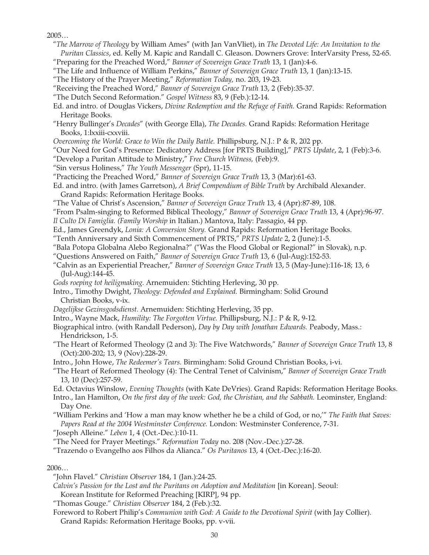## $2005...$

- "*The Marrow of Theology* by William Ames" (with Jan VanVliet), in *The Devoted Life: An Invitation to the Puritan Classics*, ed. Kelly M. Kapic and Randall C. Gleason. Downers Grove: InterVarsity Press, 52-65. "Preparing for the Preached Word," *Banner of Sovereign Grace Truth* 13, 1 (Jan):4-6.
- "The Life and Influence of William Perkins," *Banner of Sovereign Grace Truth* 13, 1 (Jan):13-15.
- "The History of the Prayer Meeting," *Reformation Today,* no. 203, 19-23.
- "Receiving the Preached Word," *Banner of Sovereign Grace Truth* 13, 2 (Feb):35-37.
- "The Dutch Second Reformation." *Gospel Witness* 83, 9 (Feb.):12-14.
- Ed. and intro. of Douglas Vickers, *Divine Redemption and the Refuge of Faith.* Grand Rapids: Reformation Heritage Books.
- "Henry Bullinger's *Decades*" (with George Ella), *The Decades.* Grand Rapids: Reformation Heritage Books, 1:lxxiii-cxxviii.
- *Overcoming the World: Grace to Win the Daily Battle. Phillipsburg, N.J.: P & R, 202 pp.*
- "Our Need for God's Presence: Dedicatory Address [for PRTS Building]," *PRTS Update*, 2, 1 (Feb):3-6.
- "Develop a Puritan Attitude to Ministry," *Free Church Witness,* (Feb):9.
- "Sin versus Holiness," *The Youth Messenger* (Spr), 11-15.
- "Practicing the Preached Word," *Banner of Sovereign Grace Truth* 13, 3 (Mar):61-63.
- Ed. and intro. (with James Garretson), *A Brief Compendium of Bible Truth* by Archibald Alexander. Grand Rapids: Reformation Heritage Books.
- "The Value of Christ's Ascension," *Banner of Sovereign Grace Truth* 13, 4 (Apr):87-89, 108.
- "From Psalm-singing to Reformed Biblical Theology," *Banner of Sovereign Grace Truth* 13, 4 (Apr):96-97.
- *Il Culto Di Famiglia. (Family Worship* in Italian.) Mantova, Italy: Passagio, 44 pp.
- Ed., James Greendyk, *Lonia: A Conversion Story.* Grand Rapids: Reformation Heritage Books.
- "Tenth Anniversary and Sixth Commencement of PRTS," *PRTS Update* 2, 2 (June):1-5.
- "Bala Potopa Globalna Alebo Regionalna?" ("Was the Flood Global or Regional?" in Slovak), n.p.
- "Questions Answered on Faith," *Banner of Sovereign Grace Truth* 13, 6 (Jul-Aug):152-53.
- "Calvin as an Experiential Preacher," *Banner of Sovereign Grace Truth* 13, 5 (May-June):116-18; 13, 6 (Jul-Aug):144-45.
- *Gods roeping tot heiligmaking.* Arnemuiden: Stichting Herleving, 30 pp.
- Intro., Timothy Dwight, *Theology: Defended and Explained.* Birmingham: Solid Ground Christian Books, v-ix.
- *Dagelijkse Gezinsgodsdienst.* Arnemuiden: Stichting Herleving, 35 pp.
- Intro., Wayne Mack, *Humility: The Forgotten Virtue.* Phillipsburg, N.J.: P & R, 9-12.
- Biographical intro. (with Randall Pederson), *Day by Day with Jonathan Edwards.* Peabody, Mass.: Hendrickson, 1-5.
- "The Heart of Reformed Theology (2 and 3): The Five Watchwords," *Banner of Sovereign Grace Truth* 13, 8 (Oct):200-202; 13, 9 (Nov):228-29.
- Intro., John Howe, *The Redeemer's Tears.* Birmingham: Solid Ground Christian Books, i-vi.
- "The Heart of Reformed Theology (4): The Central Tenet of Calvinism," *Banner of Sovereign Grace Truth* 13, 10 (Dec):257-59.

Ed. Octavius Winslow, *Evening Thoughts* (with Kate DeVries). Grand Rapids: Reformation Heritage Books.

Intro., Ian Hamilton, *On the first day of the week: God, the Christian, and the Sabbath.* Leominster, England: Day One.

"William Perkins and 'How a man may know whether he be a child of God, or no,'" *The Faith that Saves: Papers Read at the 2004 Westminster Conference.* London: Westminster Conference, 7-31.

"Joseph Alleine." *Leben* 1, 4 (Oct.-Dec.):10-11.

"The Need for Prayer Meetings." *Reformation Today* no. 208 (Nov.-Dec.):27-28.

"Trazendo o Evangelho aos Filhos da Alianca." *Os Puritanos* 13, 4 (Oct.-Dec.):16-20.

2006…

- *Calvin's Passion for the Lost and the Puritans on Adoption and Meditation* [in Korean]. Seoul:
- Korean Institute for Reformed Preaching [KIRP], 94 pp.
- "Thomas Gouge." *Christian Observer* 184, 2 (Feb.):32.
- Foreword to Robert Philip's *Communion with God: A Guide to the Devotional Spirit* (with Jay Collier). Grand Rapids: Reformation Heritage Books, pp. v-vii.

<sup>&</sup>quot;John Flavel." *Christian Observer* 184, 1 (Jan.):24-25.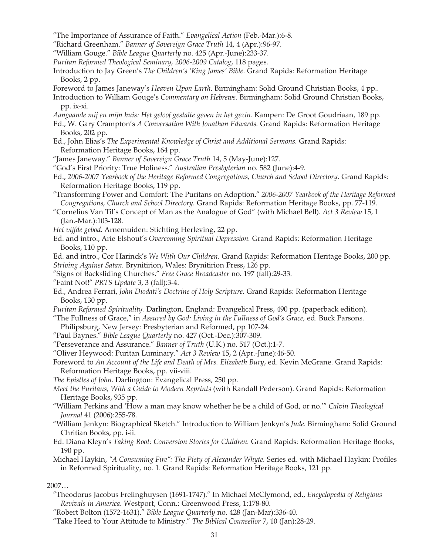- "The Importance of Assurance of Faith." *Evangelical Action* (Feb.-Mar.):6-8.
- "Richard Greenham." *Banner of Sovereign Grace Truth* 14, 4 (Apr.):96-97.
- "William Gouge." *Bible League Quarterly* no. 425 (Apr.-June):233-37.
- *Puritan Reformed Theological Seminary, 2006-2009 Catalog*, 118 pages.
- Introduction to Jay Green's *The Children's 'King James' Bible*. Grand Rapids: Reformation Heritage Books, 2 pp.
- Foreword to James Janeway's *Heaven Upon Earth*. Birmingham: Solid Ground Christian Books, 4 pp.. Introduction to William Gouge's *Commentary on Hebrews*. Birmingham: Solid Ground Christian Books, pp. ix-xi.
- *Aangaande mij en mijn huis: Het geloof gestalte geven in het gezin.* Kampen: De Groot Goudriaan, 189 pp.
- Ed., W. Gary Crampton's *A Conversation With Jonathan Edwards.* Grand Rapids: Reformation Heritage Books, 202 pp.
- Ed., John Elias's *The Experimental Knowledge of Christ and Additional Sermons.* Grand Rapids: Reformation Heritage Books, 164 pp.
- "James Janeway." *Banner of Sovereign Grace Truth* 14, 5 (May-June):127.
- "God's First Priority: True Holiness." *Australian Presbyterian* no. 582 (June):4-9.
- Ed., *2006-2007 Yearbook of the Heritage Reformed Congregations, Church and School Directory*. Grand Rapids: Reformation Heritage Books, 119 pp.
- "Transforming Power and Comfort: The Puritans on Adoption." *2006-2007 Yearbook of the Heritage Reformed Congregations, Church and School Directory.* Grand Rapids: Reformation Heritage Books, pp. 77-119.
- "Cornelius Van Til's Concept of Man as the Analogue of God" (with Michael Bell). *Act 3 Review* 15, 1 (Jan.-Mar.):103-128.
- *Het vijfde gebod.* Arnemuiden: Stichting Herleving, 22 pp.
- Ed. and intro., Arie Elshout's *Overcoming Spiritual Depression.* Grand Rapids: Reformation Heritage Books, 110 pp.
- Ed. and intro., Cor Harinck's *We With Our Children*. Grand Rapids: Reformation Heritage Books, 200 pp. *Striving Against Satan.* Brynitirion, Wales: Brynitirion Press, 126 pp.
- "Signs of Backsliding Churches." *Free Grace Broadcaster* no. 197 (fall):29-33.
- "Faint Not!" *PRTS Update* 3, 3 (fall):3-4.
- Ed., Andrea Ferrari, *John Diodati's Doctrine of Holy Scripture.* Grand Rapids: Reformation Heritage Books, 130 pp.
- *Puritan Reformed Spirituality.* Darlington, England: Evangelical Press, 490 pp. (paperback edition).
- "The Fullness of Grace," in *Assured by God: Living in the Fullness of God's Grace,* ed. Buck Parsons.
- Philipsburg, New Jersey: Presbyterian and Reformed, pp 107-24.
- "Paul Baynes." *Bible League Quarterly* no. 427 (Oct.-Dec.):307-309.
- "Perseverance and Assurance." *Banner of Truth* (U.K.) no. 517 (Oct.):1-7.
- "Oliver Heywood: Puritan Luminary." *Act 3 Review* 15, 2 (Apr.-June):46-50.
- Foreword to *An Account of the Life and Death of Mrs. Elizabeth Bury*, ed. Kevin McGrane. Grand Rapids: Reformation Heritage Books, pp. vii-viii.
- *The Epistles of John*. Darlington: Evangelical Press, 250 pp.
- *Meet the Puritans, With a Guide to Modern Reprints* (with Randall Pederson). Grand Rapids: Reformation Heritage Books, 935 pp.
- "William Perkins and 'How a man may know whether he be a child of God, or no.'" *Calvin Theological Journal* 41 (2006):255-78.
- "William Jenkyn: Biographical Sketch." Introduction to William Jenkyn's *Jude*. Birmingham: Solid Ground Chritian Books, pp. i-ii.
- Ed. Diana Kleyn's *Taking Root: Conversion Stories for Children.* Grand Rapids: Reformation Heritage Books, 190 pp.
- Michael Haykin, *"A Consuming Fire": The Piety of Alexander Whyte.* Series ed. with Michael Haykin: Profiles in Reformed Spirituality, no. 1. Grand Rapids: Reformation Heritage Books, 121 pp.

## 2007…

- "Theodorus Jacobus Frelinghuysen (1691-1747)." In Michael McClymond, ed., *Encyclopedia of Religious Revivals in America.* Westport, Conn.: Greenwood Press, 1:178-80.
- "Robert Bolton (1572-1631)." *Bible League Quarterly* no. 428 (Jan-Mar):336-40.
- "Take Heed to Your Attitude to Ministry." *The Biblical Counsellor* 7, 10 (Jan):28-29.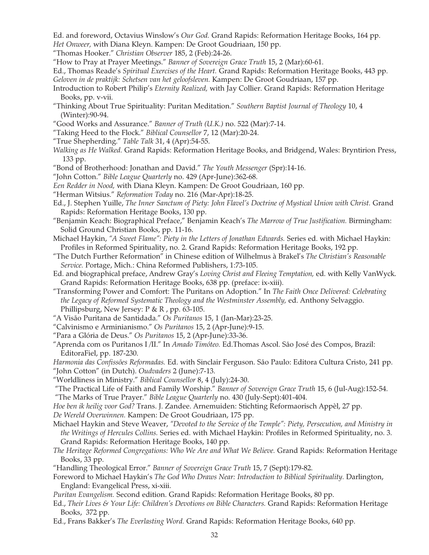Ed. and foreword, Octavius Winslow's *Our God.* Grand Rapids: Reformation Heritage Books, 164 pp. *Het Onweer,* with Diana Kleyn. Kampen: De Groot Goudriaan, 150 pp.

- "Thomas Hooker." *Christian Observer* 185, 2 (Feb):24-26.
- "How to Pray at Prayer Meetings." *Banner of Sovereign Grace Truth* 15, 2 (Mar):60-61.
- Ed., Thomas Reade's *Spiritual Exercises of the Heart.* Grand Rapids: Reformation Heritage Books, 443 pp. *Geloven in de praktijk: Schetsen van het geloofsleven.* Kampen: De Groot Goudriaan, 157 pp.
- Introduction to Robert Philip's *Eternity Realized,* with Jay Collier. Grand Rapids: Reformation Heritage Books, pp. v-vii.
- "Thinking About True Spirituality: Puritan Meditation." *Southern Baptist Journal of Theology* 10, 4 (Winter):90-94.
- "Good Works and Assurance." *Banner of Truth (U.K.)* no. 522 (Mar):7-14.
- "Taking Heed to the Flock." *Biblical Counsellor* 7, 12 (Mar):20-24.
- "True Shepherding." *Table Talk* 31, 4 (Apr):54-55.
- *Walking as He Walked.* Grand Rapids: Reformation Heritage Books, and Bridgend, Wales: Bryntirion Press, 133 pp.
- "Bond of Brotherhood: Jonathan and David." *The Youth Messenger* (Spr):14-16.
- "John Cotton." *Bible League Quarterly* no. 429 (Apr-June):362-68.
- *Een Redder in Nood,* with Diana Kleyn. Kampen: De Groot Goudriaan, 160 pp.
- "Herman Witsius." *Reformation Today* no. 216 (Mar-Apr):18-25.
- Ed., J. Stephen Yuille, *The Inner Sanctum of Piety: John Flavel's Doctrine of Mystical Union with Christ.* Grand Rapids: Reformation Heritage Books, 130 pp.
- "Benjamin Keach: Biographical Preface," Benjamin Keach's *The Marrow of True Justification.* Birmingham: Solid Ground Christian Books, pp. 11-16.
- Michael Haykin, *"A Sweet Flame": Piety in the Letters of Jonathan Edwards.* Series ed. with Michael Haykin: Profiles in Reformed Spirituality, no. 2. Grand Rapids: Reformation Heritage Books, 192 pp.
- "The Dutch Further Reformation" in Chinese edition of Wilhelmus à Brakel's *The Christian's Reasonable Service.* Portage, Mich.: China Reformed Publishers, 1:73-105.
- Ed. and biographical preface, Andrew Gray's *Loving Christ and Fleeing Temptation,* ed. with Kelly VanWyck. Grand Rapids: Reformation Heritage Books, 638 pp. (preface: ix-xiii).
- "Transforming Power and Comfort: The Puritans on Adoption." In *The Faith Once Delivered: Celebrating the Legacy of Reformed Systematic Theology and the Westminster Assembly,* ed. Anthony Selvaggio. Phillipsburg, New Jersey: P & R , pp. 63-105.
- "A Visão Puritana de Santidada." *Os Puritanos* 15, 1 (Jan-Mar):23-25.
- "Calvinismo e Arminianismo." *Os Puritanos* 15, 2 (Apr-June):9-15.
- "Para a Glória de Deus." *Os Puritanos* 15, 2 (Apr-June):33-36.
- "Aprenda com os Puritanos I /II." In *Amado Timóteo.* Ed.Thomas Ascol. São José des Compos, Brazil: EditoraFiel, pp. 187-230.

*Harmonia das Confissões Reformadas.* Ed. with Sinclair Ferguson. São Paulo: Editora Cultura Cristo, 241 pp. "John Cotton" (in Dutch). *Oudvaders* 2 (June):7-13.

"Worldliness in Ministry." *Biblical Counsellor* 8, 4 (July):24-30.

 "The Practical Life of Faith and Family Worship." *Banner of Sovereign Grace Truth* 15, 6 (Jul-Aug):152-54. "The Marks of True Prayer." *Bible League Quarterly* no. 430 (July-Sept):401-404.

*Hoe ben ik heilig voor God?* Trans. J. Zandee. Arnemuiden: Stichting Reformaorisch Appèl, 27 pp.

*De Wereld Overwinnen.* Kampen: De Groot Goudriaan, 175 pp.

- Michael Haykin and Steve Weaver, *"Devoted to the Service of the Temple": Piety, Persecution, and Ministry in the Writings of Hercules Collins.* Series ed. with Michael Haykin: Profiles in Reformed Spirituality, no. 3. Grand Rapids: Reformation Heritage Books, 140 pp.
- *The Heritage Reformed Congregations: Who We Are and What We Believe.* Grand Rapids: Reformation Heritage Books, 33 pp.
- "Handling Theological Error." *Banner of Sovereign Grace Truth* 15, 7 (Sept):179-82.
- Foreword to Michael Haykin's *The God Who Draws Near: Introduction to Biblical Spirituality.* Darlington, England: Evangelical Press, xi-xiii.
- *Puritan Evangelism.* Second edition. Grand Rapids: Reformation Heritage Books, 80 pp.
- Ed., *Their Lives & Your Life: Children's Devotions on Bible Characters.* Grand Rapids: Reformation Heritage Books, 372 pp.
- Ed., Frans Bakker's *The Everlasting Word.* Grand Rapids: Reformation Heritage Books, 640 pp.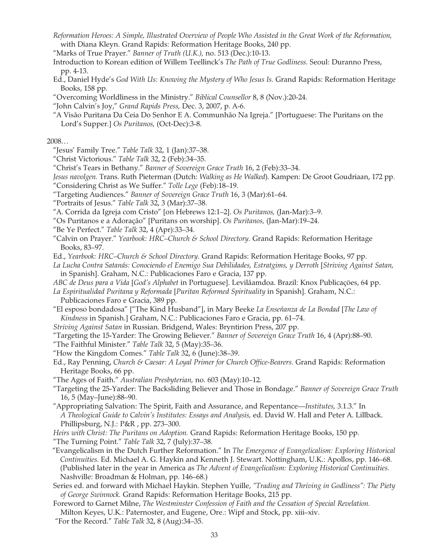*Reformation Heroes: A Simple, Illustrated Overview of People Who Assisted in the Great Work of the Reformation,* with Diana Kleyn. Grand Rapids: Reformation Heritage Books, 240 pp.

"Marks of True Prayer." *Banner of Truth (U.K.),* no. 513 (Dec.):10-13.

- Introduction to Korean edition of Willem Teellinck's *The Path of True Godliness.* Seoul: Duranno Press, pp. 4-13.
- Ed., Daniel Hyde's *God With Us: Knowing the Mystery of Who Jesus Is.* Grand Rapids: Reformation Heritage Books, 158 pp.
- "Overcoming Worldliness in the Ministry." *Biblical Counsellor* 8, 8 (Nov.):20-24.
- "John Calvin's Joy," *Grand Rapids Press,* Dec. 3, 2007, p. A-6.
- "A Visão Puritana Da Ceia Do Senhor E A. Communhão Na Igreja." [Portuguese: The Puritans on the Lord's Supper.] *Os Puritanos,* (Oct-Dec):3-8.

2008...

- "Jesus' Family Tree." *Table Talk* 32, 1 (Jan):37–38.
- "Christ Victorious." *Table Talk* 32, 2 (Feb):34–35.
- "Christ's Tears in Bethany." *Banner of Sovereign Grace Truth* 16, 2 (Feb):33–34.
- *Jesus navolgen.* Trans. Ruth Pieterman (Dutch: *Walking as He Walked*). Kampen: De Groot Goudriaan, 172 pp. "Considering Christ as We Suffer." *Tolle Lege* (Feb):18–19.
- "Targeting Audiences." *Banner of Sovereign Grace Truth* 16, 3 (Mar):61–64.
- "Portraits of Jesus." *Table Talk* 32, 3 (Mar):37–38.
- "A. Corrida da Igreja com Cristo" [on Hebrews 12:1–2]. *Os Puritanos,* (Jan-Mar):3–9.
- "Os Puritanos e a Adoração" [Puritans on worship]. *Os Puritanos,* (Jan-Mar):19–24.
- "Be Ye Perfect." *Table Talk* 32, 4 (Apr):33–34.
- "Calvin on Prayer." *Yearbook: HRC–Church & School Directory.* Grand Rapids: Reformation Heritage Books, 83–97.
- Ed., *Yearbook: HRC–Church & School Directory*. Grand Rapids: Reformation Heritage Books, 97 pp.
- *La Lucha Contra Satanás: Conociendo el Enemigo Sua Debilidades, Estratgims, y Derroth* [*Striving Against Satan,* in Spanish]. Graham, N.C.: Publicaciones Faro e Gracia, 137 pp.
- *ABC de Deus para a Vida* [*God's Alphabet* in Portuguese]. Levilâamdoa. Brazil: Knox Publicaçöes, 64 pp.
- *La Espiritualidad Puritana y Reformada* [*Puritan Reformed Spirituality* in Spanish]. Graham, N.C.: Publicaciones Faro e Gracia, 389 pp.
- "El esposo bondadosa" ["The Kind Husband"], in Mary Beeke *La Enseñanza de La Bondad* [*The Law of Kindness* in Spanish.] Graham, N.C.: Publicaciones Faro e Gracia, pp. 61–74.
- *Striving Against Satan* in Russian. Bridgend, Wales: Bryntirion Press, 207 pp.
- "Targeting the 15-Yarder: The Growing Believer." *Banner of Sovereign Grace Truth* 16, 4 (Apr):88–90.
- "The Faithful Minister." *Table Talk* 32, 5 (May):35–36.
- "How the Kingdom Comes." *Table Talk* 32, 6 (June):38–39.
- Ed., Ray Penning, *Church & Caesar: A Loyal Primer for Church Office-Bearers.* Grand Rapids: Reformation Heritage Books, 66 pp.
- "The Ages of Faith." *Australian Presbyterian,* no. 603 (May):10–12.
- "Targeting the 25-Yarder: The Backsliding Believer and Those in Bondage." *Banner of Sovereign Grace Truth* 16, 5 (May–June):88–90.
- "Appropriating Salvation: The Spirit, Faith and Assurance, and Repentance—*Institutes,* 3.1.3." In *A Theological Guide to Calvin's Institutes: Essays and Analysis,* ed. David W. Hall and Peter A. Lillback. Phillipsburg, N.J.: P&R , pp. 273–300.
- *Heirs with Christ: The Puritans on Adoption.* Grand Rapids: Reformation Heritage Books, 150 pp.
- "The Turning Point." *Table Talk* 32, 7 (July):37–38.
- "Evangelicalism in the Dutch Further Reformation." In *The Emergence of Evangelicalism: Exploring Historical Continuities.* Ed. Michael A. G. Haykin and Kenneth J. Stewart. Nottingham, U.K.: Apollos, pp. 146–68. (Published later in the year in America as *The Advent of Evangelicalism: Exploring Historical Continuities.* Nashville: Broadman & Holman, pp. 146–68.)
- Series ed. and forward with Michael Haykin. Stephen Yuille, *"Trading and Thriving in Godliness": The Piety of George Swinnock.* Grand Rapids: Reformation Heritage Books, 215 pp.
- Foreword to Garnet Milne, *The Westminster Confession of Faith and the Cessation of Special Revelation.* Milton Keyes, U.K.: Paternoster, and Eugene, Ore.: Wipf and Stock, pp. xiii–xiv.
- "For the Record." *Table Talk* 32, 8 (Aug):34–35.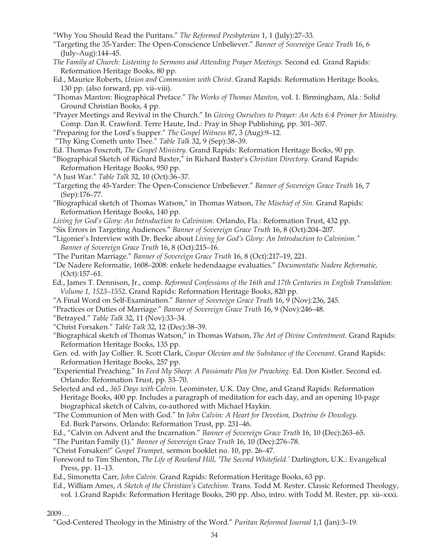- "Why You Should Read the Puritans." *The Reformed Presbyterian* 1, 1 (July):27–33.
- "Targeting the 35-Yarder: The Open-Conscience Unbeliever." *Banner of Sovereign Grace Truth* 16, 6 (July–Aug):144–45.
- *The Family at Church: Listening to Sermons and Attending Prayer Meetings.* Second ed. Grand Rapids: Reformation Heritage Books, 80 pp.
- Ed., Maurice Roberts, *Union and Communion with Christ.* Grand Rapids: Reformation Heritage Books, 130 pp. (also forward, pp. vii–viii).
- "Thomas Manton: Biographical Preface." *The Works of Thomas Manton,* vol. 1. Birmingham, Ala.: Solid Ground Christian Books, 4 pp.
- "Prayer Meetings and Revival in the Church." In *Giving Ourselves to Prayer: An Acts 6:4 Primer for Ministry.* Comp. Dan R. Crawford. Terre Haute, Ind.: Pray in Shop Publishing, pp. 301–307.
- "Preparing for the Lord's Supper." *The Gospel Witness* 87, 3 (Aug):9–12.
- "Thy King Cometh unto Thee." *Table Talk* 32, 9 (Sep):38–39.
- Ed. Thomas Foxcroft, *The Gospel Ministry.* Grand Rapids: Reformation Heritage Books, 90 pp.
- "Biographical Sketch of Richard Baxter," in Richard Baxter's *Christian Directory.* Grand Rapids: Reformation Heritage Books, 950 pp.
- "A Just War." *Table Talk* 32, 10 (Oct):36–37.
- "Targeting the 45-Yarder: The Open-Conscience Unbeliever." *Banner of Sovereign Grace Truth* 16, 7 (Sep):176–77.
- "Biographical sketch of Thomas Watson," in Thomas Watson, *The Mischief of Sin.* Grand Rapids: Reformation Heritage Books, 140 pp.
- *Living for God's Glory: An Introduction to Calvinism.* Orlando, Fla.: Reformation Trust, 432 pp.
- "Six Errors in Targeting Audiences." *Banner of Sovereign Grace Truth* 16, 8 (Oct):204–207.
- "Ligonier's Interview with Dr. Beeke about *Living for God's Glory: An Introduction to Calvinism." Banner of Sovereign Grace Truth* 16, 8 (Oct):215–16.
- "The Puritan Marriage." *Banner of Sovereign Grace Truth* 16, 8 (Oct):217–19, 221.
- "De Nadere Reformatie, 1608–2008: enkele hedendaagse evaluaties." *Documentatie Nadere Reformatie,* (Oct):157–61.
- Ed., James T. Dennison, Jr., comp. *Reformed Confessions of the 16th and 17th Centuries in English Translation: Volume 1, 1523–1552*. Grand Rapids: Reformation Heritage Books, 820 pp.
- "A Final Word on Self-Examination." *Banner of Sovereign Grace Truth* 16, 9 (Nov):236, 245.
- "Practices or Duties of Marriage." *Banner of Sovereign Grace Truth* 16, 9 (Nov):246–48.
- "Betrayed." *Table Talk* 32, 11 (Nov):33–34.

"Christ Forsaken." *Table Talk* 32, 12 (Dec):38–39.

- "Biographical sketch of Thomas Watson," in Thomas Watson, *The Art of Divine Contentment.* Grand Rapids: Reformation Heritage Books, 135 pp.
- Gen. ed. with Jay Collier. R. Scott Clark, *Caspar Olevian and the Substance of the Covenant.* Grand Rapids: Reformation Heritage Books, 257 pp.
- "Experiential Preaching." In *Feed My Sheep: A Passionate Plea for Preaching.* Ed. Don Kistler. Second ed. Orlando: Reformation Trust, pp. 53–70.
- Selected and ed., *365 Days with Calvin.* Leominster, U.K. Day One, and Grand Rapids: Reformation Heritage Books, 400 pp. Includes a paragraph of meditation for each day, and an opening 10-page biographical sketch of Calvin, co-authored with Michael Haykin.
- "The Communion of Men with God." In *John Calvin: A Heart for Devotion, Doctrine & Doxology.* Ed. Burk Parsons. Orlando: Reformation Trust, pp. 231–46.
- Ed., "Calvin on Advent and the Incarnation." *Banner of Sovereign Grace Truth* 16, 10 (Dec):263–65.
- "The Puritan Family (1)." *Banner of Sovereign Grace Truth* 16, 10 (Dec):276–78.
- "Christ Forsaken!" *Gospel Trumpet,* sermon booklet no. 10, pp. 26–47.
- Foreword to Tim Shenton, *The Life of Rowland Hill, 'The Second Whitefield.'* Darlington, U.K.: Evangelical Press, pp. 11–13.
- Ed., Simonetta Carr, *John Calvin.* Grand Rapids: Reformation Heritage Books, 63 pp.
- Ed., William Ames, *A Sketch of the Christian's Catechism.* Trans. Todd M. Rester. Classic Reformed Theology, vol. 1.Grand Rapids: Reformation Heritage Books, 290 pp. Also, intro. with Todd M. Rester, pp. xii–xxxi.
- 2009...
	- "God-Centered Theology in the Ministry of the Word." *Puritan Reformed Journal* 1,1 (Jan):3–19.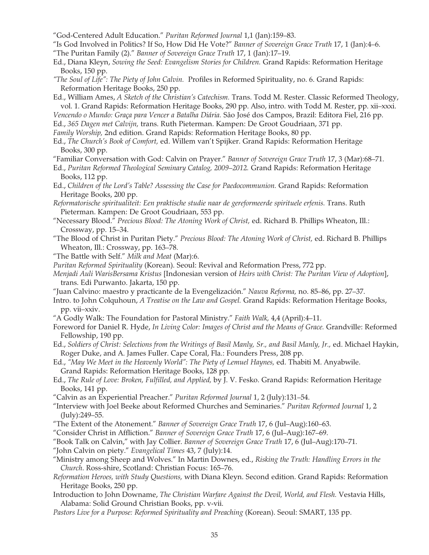- "God-Centered Adult Education." *Puritan Reformed Journal* 1,1 (Jan):159–83.
- "Is God Involved in Politics? If So, How Did He Vote?" *Banner of Sovereign Grace Truth* 17, 1 (Jan):4–6.
- "The Puritan Family (2)." *Banner of Sovereign Grace Truth* 17, 1 (Jan):17–19.
- Ed., Diana Kleyn, *Sowing the Seed: Evangelism Stories for Children.* Grand Rapids: Reformation Heritage Books, 150 pp.
- *"The Soul of Life": The Piety of John Calvin.* Profiles in Reformed Spirituality, no. 6. Grand Rapids: Reformation Heritage Books, 250 pp.
- Ed., William Ames, *A Sketch of the Christian's Catechism.* Trans. Todd M. Rester. Classic Reformed Theology, vol. 1. Grand Rapids: Reformation Heritage Books, 290 pp. Also, intro. with Todd M. Rester, pp. xii–xxxi.
- *Vencendo o Mundo: Graça para Vencer a Batalha Diária.* São José dos Campos, Brazil: Editora Fiel, 216 pp.
- Ed., *365 Dagen met Calvijn,* trans. Ruth Pieterman. Kampen: De Groot Goudriaan, 371 pp.
- *Family Worship,* 2nd edition. Grand Rapids: Reformation Heritage Books, 80 pp.
- Ed., *The Church's Book of Comfort,* ed. Willem van't Spijker. Grand Rapids: Reformation Heritage Books, 300 pp.
- "Familiar Conversation with God: Calvin on Prayer." *Banner of Sovereign Grace Truth* 17, 3 (Mar):68–71.
- Ed., *Puritan Reformed Theological Seminary Catalog, 2009–2012.* Grand Rapids: Reformation Heritage Books, 112 pp.
- Ed., *Children of the Lord's Table? Assessing the Case for Paedocommunion.* Grand Rapids: Reformation Heritage Books, 200 pp.
- *Reformatorische spiritualiteit: Een praktische studie naar de gereformeerde spirituele erfenis.* Trans. Ruth Pieterman. Kampen: De Groot Goudriaan, 553 pp.
- "Necessary Blood." *Precious Blood: The Atoning Work of Christ,* ed. Richard B. Phillips Wheaton, Ill.: Crossway, pp. 15–34.
- "The Blood of Christ in Puritan Piety." *Precious Blood: The Atoning Work of Christ,* ed. Richard B. Phillips Wheaton, Ill.: Crossway, pp. 163–78.
- "The Battle with Self." *Milk and Meat* (Mar):6.
- *Puritan Reformed Spirituality* (Korean). Seoul: Revival and Reformation Press, 772 pp.
- *Menjadi Auli WarisBersama Kristus* [Indonesian version of *Heirs with Christ: The Puritan View of Adoption*], trans. Edi Purwanto. Jakarta, 150 pp.
- "Juan Calvino: maestro y practicante de la Evengelización." *Nauva Reforma,* no. 85–86, pp. 27–37.
- Intro. to John Colquhoun, *A Treatise on the Law and Gospel.* Grand Rapids: Reformation Heritage Books, pp. vii–xxiv.
- "A Godly Walk: The Foundation for Pastoral Ministry." *Faith Walk,* 4,4 (April):4–11.
- Foreword for Daniel R. Hyde, *In Living Color: Images of Christ and the Means of Grace.* Grandville: Reformed Fellowship, 190 pp.
- Ed., *Soldiers of Christ: Selections from the Writings of Basil Manly, Sr., and Basil Manly, Jr.,* ed. Michael Haykin, Roger Duke, and A. James Fuller. Cape Coral, Fla.: Founders Press, 208 pp.
- Ed., *"May We Meet in the Heavenly World": The Piety of Lemuel Haynes,* ed. Thabiti M. Anyabwile. Grand Rapids: Reformation Heritage Books, 128 pp.
- Ed., *The Rule of Love: Broken, Fulfilled, and Applied,* by J. V. Fesko. Grand Rapids: Reformation Heritage Books, 141 pp.
- "Calvin as an Experiential Preacher." *Puritan Reformed Journal* 1, 2 (July):131–54.
- "Interview with Joel Beeke about Reformed Churches and Seminaries." *Puritan Reformed Journal* 1, 2 (July):249–55.
- "The Extent of the Atonement." *Banner of Sovereign Grace Truth* 17, 6 (Jul–Aug):160–63.
- "Consider Christ in Affliction." *Banner of Sovereign Grace Truth* 17, 6 (Jul–Aug):167–69.
- "Book Talk on Calvin," with Jay Collier. *Banner of Sovereign Grace Truth* 17, 6 (Jul–Aug):170–71.
- "John Calvin on piety." *Evangelical Times* 43, 7 (July):14.
- "Ministry among Sheep and Wolves." In Martin Downes, ed., *Risking the Truth: Handling Errors in the Church*. Ross-shire, Scotland: Christian Focus: 165–76.
- *Reformation Heroes, with Study Questions,* with Diana Kleyn. Second edition. Grand Rapids: Reformation Heritage Books, 250 pp.
- Introduction to John Downame, *The Christian Warfare Against the Devil, World, and Flesh.* Vestavia Hills, Alabama: Solid Ground Christian Books, pp. v-vii.
- *Pastors Live for a Purpose: Reformed Spirituality and Preaching* (Korean). Seoul: SMART, 135 pp.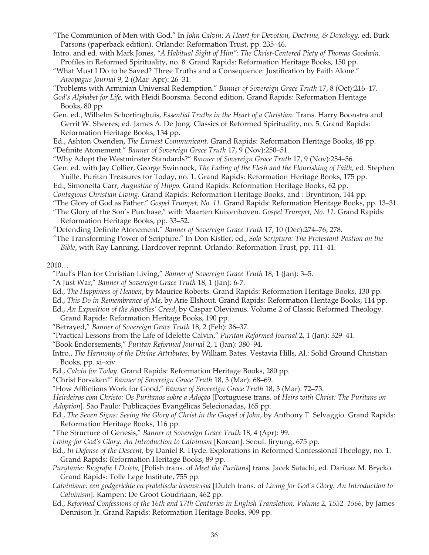- "The Communion of Men with God." In *John Calvin: A Heart for Devotion, Doctrine, & Doxology,* ed. Burk Parsons (paperback edition). Orlando: Reformation Trust, pp. 235–46.
- Intro. and ed. with Mark Jones, *"A Habitual Sight of Him": The Christ-Centered Piety of Thomas Goodwin.* Profiles in Reformed Spirituality, no. 8. Grand Rapids: Reformation Heritage Books, 150 pp.
- "What Must I Do to be Saved? Three Truths and a Consequence: Justification by Faith Alone." *Areopagus Journal* 9, 2 ((Mar–Apr): 26–31.
- "Problems with Arminian Universal Redemption." *Banner of Sovereign Grace Truth* 17, 8 (Oct):216–17.
- *God's Alphabet for Life,* with Heidi Boorsma. Second edition. Grand Rapids: Reformation Heritage Books, 80 pp.
- Gen. ed., Wilhelm Schortinghuis, *Essential Truths in the Heart of a Christian.* Trans. Harry Boonstra and Gerrit W. Sheeres; ed. James A. De Jong. Classics of Reformed Spirituality, no. 5. Grand Rapids: Reformation Heritage Books, 134 pp.
- Ed., Ashton Oxenden, *The Earnest Communicant.* Grand Rapids: Reformation Heritage Books, 48 pp. "Definite Atonement." *Banner of Sovereign Grace Truth* 17, 9 (Nov):250–51.
- "Why Adopt the Westminster Standards?" *Banner of Sovereign Grace Truth* 17, 9 (Nov):254–56.
- Gen. ed. with Jay Collier, George Swinnock, *The Fading of the Flesh and the Flourishing of Faith,* ed. Stephen Yuille. Puritan Treasures for Today, no. 1. Grand Rapids: Reformation Heritage Books, 175 pp.
- Ed., Simonetta Carr, *Augustine of Hippo.* Grand Rapids: Reformation Heritage Books, 62 pp. *Contagious Christian Living.* Grand Rapids: Reformation Heritage Books, and : Bryntirion, 144 pp.
- "The Glory of God as Father." *Gospel Trumpet, No. 11.* Grand Rapids: Reformation Heritage Books, pp. 13–31.
- "The Glory of the Son's Purchase," with Maarten Kuivenhoven. *Gospel Trumpet, No. 11.* Grand Rapids: Reformation Heritage Books, pp. 33–52.
- "Defending Definite Atonement." *Banner of Sovereign Grace Truth* 17, 10 (Dec):274–76, 278.
- "The Transforming Power of Scripture." In Don Kistler, ed., *Sola Scriptura: The Protestant Postion on the Bible*, with Ray Lanning. Hardcover reprint. Orlando: Reformation Trust, pp. 111–41.

#### $2010...$

- "Paul's Plan for Christian Living," *Banner of Sovereign Grace Truth* 18, 1 (Jan): 3–5.
- "A Just War," *Banner of Sovereign Grace Truth* 18, 1 (Jan): 6-7.
- Ed., *The Happiness of Heaven*, by Maurice Roberts. Grand Rapids: Reformation Heritage Books, 130 pp.
- Ed., *This Do in Remembrance of Me*, by Arie Elshout. Grand Rapids: Reformation Heritage Books, 114 pp.
- Ed., *An Exposition of the Apostles' Creed*, by Caspar Olevianus. Volume 2 of Classic Reformed Theology.
- Grand Rapids: Reformation Heritage Books, 190 pp.
- "Betrayed," *Banner of Sovereign Grace Truth* 18, 2 (Feb): 36–37.
- "Practical Lessons from the Life of Idelette Calvin," *Puritan Reformed Journal* 2, 1 (Jan): 329–41.
- "Book Endorsements," *Puritan Reformed Journal* 2, 1 (Jan): 380–94.
- Intro., *The Harmony of the Divine Attributes*, by William Bates. Vestavia Hills, Al.: Solid Ground Christian Books, pp. xi–xiv.
- Ed., *Calvin for Today*. Grand Rapids: Reformation Heritage Books, 280 pp.
- "Christ Forsaken!" *Banner of Sovereign Grace Truth* 18, 3 (Mar): 68–69.
- "How Afflictions Work for Good," *Banner of Sovereign Grace Truth* 18, 3 (Mar): 72–73.
- *Heirdeiros com Christo: Os Puritanos sobre a Adoção* [Portuguese trans. of *Heirs with Christ: The Puritans on*
- *Adoption*]. São Paulo: Publicações Evangélicas Selecionadas, 165 pp.
- Ed., *The Seven Signs: Seeing the Glory of Christ in the Gospel of John*, by Anthony T. Selvaggio. Grand Rapids: Reformation Heritage Books, 116 pp.
- "The Structure of Genesis," *Banner of Sovereign Grace Truth* 18, 4 (Apr): 99.
- *Living for God's Glory: An Introduction to Calvinism* [Korean]. Seoul: Jiryung, 675 pp.
- Ed., *In Defense of the Descent,* by Daniel R. Hyde. Explorations in Reformed Confessional Theology, no. 1. Grand Rapids: Reformation Heritage Books, 89 pp.
- *Purytanie: Biografie I Dzieta,* [Polish trans. of *Meet the Puritans*] trans. Jacek Satachi, ed. Dariusz M. Brycko. Grand Rapids: Tolle Lege Institute, 755 pp.
- *Calvinisme: een godgerichte en praletische levensvisia* [Dutch trans. of *Living for God's Glory: An Introduction to Calvinism*]. Kampen: De Groot Goudriaan, 462 pp.
- Ed., *Reformed Confessions of the 16th and 17th Centuries in English Translation, Volume 2, 1552–1566*, by James Dennison Jr. Grand Rapids: Reformation Heritage Books, 909 pp.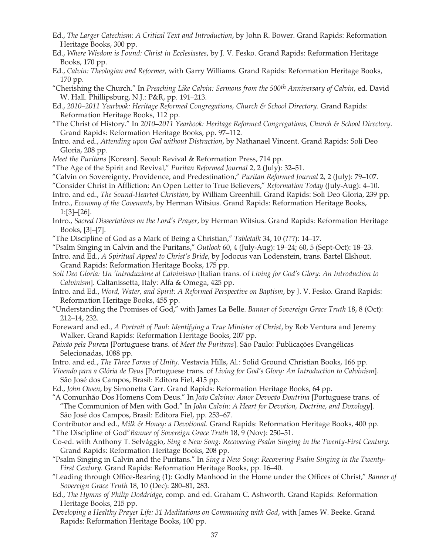- Ed., *The Larger Catechism: A Critical Text and Introduction*, by John R. Bower. Grand Rapids: Reformation Heritage Books, 300 pp.
- Ed., *Where Wisdom is Found: Christ in Ecclesiastes*, by J. V. Fesko. Grand Rapids: Reformation Heritage Books, 170 pp.
- Ed., *Calvin: Theologian and Reformer,* with Garry Williams. Grand Rapids: Reformation Heritage Books, 170 pp.
- "Cherishing the Church." In *Preaching Like Calvin: Sermons from the 500th Anniversary of Calvin*, ed. David W. Hall. Phillipsburg, N.J.: P&R, pp. 191–213.
- Ed., *2010–2011 Yearbook: Heritage Reformed Congregations, Church & School Directory*. Grand Rapids: Reformation Heritage Books, 112 pp.
- "The Christ of History." In *2010–2011 Yearbook: Heritage Reformed Congregations, Church & School Directory*. Grand Rapids: Reformation Heritage Books, pp. 97–112.
- Intro. and ed., *Attending upon God without Distraction*, by Nathanael Vincent. Grand Rapids: Soli Deo Gloria, 208 pp.
- *Meet the Puritans* [Korean]. Seoul: Revival & Reformation Press, 714 pp.
- "The Age of the Spirit and Revival," *Puritan Reformed Journal* 2, 2 (July): 32–51.
- "Calvin on Sovereignty, Providence, and Predestination," *Puritan Reformed Journal* 2, 2 (July): 79–107.
- "Consider Christ in Affliction: An Open Letter to True Believers," *Reformation Today* (July-Aug): 4–10.
- Intro. and ed., *The Sound-Hearted Christian*, by William Greenhill. Grand Rapids: Soli Deo Gloria, 239 pp.
- Intro., *Economy of the Covenants*, by Herman Witsius. Grand Rapids: Reformation Heritage Books, 1:[3]–[26].
- Intro., *Sacred Dissertations on the Lord's Prayer*, by Herman Witsius. Grand Rapids: Reformation Heritage Books, [3]–[7].
- "The Discipline of God as a Mark of Being a Christian," *Tabletalk* 34, 10 (???): 14–17.
- "Psalm Singing in Calvin and the Puritans," *Outlook* 60, 4 (July-Aug): 19–24; 60, 5 (Sept-Oct): 18–23.
- Intro. and Ed., *A Spiritual Appeal to Christ's Bride*, by Jodocus van Lodenstein, trans. Bartel Elshout. Grand Rapids: Reformation Heritage Books, 175 pp.
- *Soli Deo Gloria: Un 'introduzione al Calvinismo* [Italian trans. of *Living for God's Glory: An Introduction to Calvinism*]. Caltanissetta, Italy: Alfa & Omega, 425 pp.
- Intro. and Ed., *Word, Water, and Spirit: A Reformed Perspective on Baptism*, by J. V. Fesko. Grand Rapids: Reformation Heritage Books, 455 pp.
- "Understanding the Promises of God," with James La Belle. *Banner of Sovereign Grace Truth* 18, 8 (Oct): 212–14, 232.
- Foreward and ed., *A Portrait of Paul: Identifying a True Minister of Christ*, by Rob Ventura and Jeremy Walker. Grand Rapids: Reformation Heritage Books, 207 pp.
- *Paixão pela Pureza* [Portuguese trans. of *Meet the Puritans*]. São Paulo: Publicações Evangélicas Selecionadas, 1088 pp.
- Intro. and ed., *The Three Forms of Unity*. Vestavia Hills, Al.: Solid Ground Christian Books, 166 pp.
- *Vivendo para a Glória de Deus* [Portuguese trans. of *Living for God's Glory: An Introduction to Calvinism*]. São José dos Campos, Brasil: Editora Fiel, 415 pp.
- Ed., *John Owen*, by Simonetta Carr. Grand Rapids: Reformation Heritage Books, 64 pp.
- "A Comunhão Dos Homens Com Deus." In *João Calvino: Amor Devocão Doutrina* [Portuguese trans. of "The Communion of Men with God." In *John Calvin: A Heart for Devotion, Doctrine, and Doxology*]. São José dos Campos, Brasil: Editora Fiel, pp. 253–67.
- Contributor and ed., *Milk & Honey: a Devotional*. Grand Rapids: Reformation Heritage Books, 400 pp. "The Discipline of God"*Banner of Sovereign Grace Truth* 18, 9 (Nov): 250–51.
- Co-ed. with Anthony T. Selvággio, *Sing a New Song: Recovering Psalm Singing in the Twenty-First Century.* Grand Rapids: Reformation Heritage Books, 208 pp.
- "Psalm Singing in Calvin and the Puritans." In *Sing a New Song: Recovering Psalm Singing in the Twenty-First Century.* Grand Rapids: Reformation Heritage Books, pp. 16–40.
- "Leading through Office-Bearing (1): Godly Manhood in the Home under the Offices of Christ," *Banner of Sovereign Grace Truth* 18, 10 (Dec): 280–81, 283.
- Ed., *The Hymns of Philip Doddridge*, comp. and ed. Graham C. Ashworth. Grand Rapids: Reformation Heritage Books, 215 pp.
- *Developing a Healthy Prayer Life: 31 Meditations on Communing with God*, with James W. Beeke. Grand Rapids: Reformation Heritage Books, 100 pp.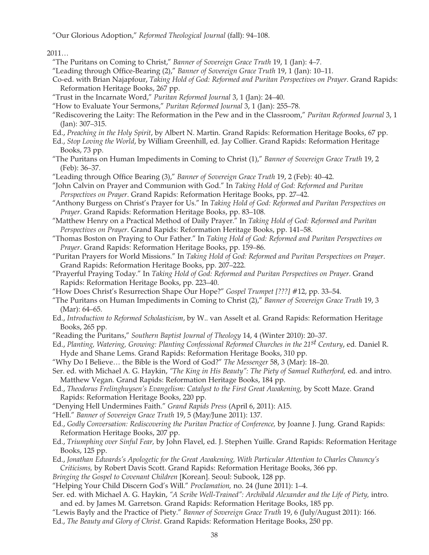"Our Glorious Adoption," *Reformed Theological Journal* (fall): 94–108.

2011…

- "The Puritans on Coming to Christ," *Banner of Sovereign Grace Truth* 19, 1 (Jan): 4–7.
- "Leading through Office-Bearing (2)," *Banner of Sovereign Grace Truth* 19, 1 (Jan): 10–11.
- Co-ed. with Brian Najapfour, *Taking Hold of God: Reformed and Puritan Perspectives on Prayer*. Grand Rapids: Reformation Heritage Books, 267 pp.
- "Trust in the Incarnate Word," *Puritan Reformed Journal* 3, 1 (Jan): 24–40.
- "How to Evaluate Your Sermons," *Puritan Reformed Journal* 3, 1 (Jan): 255–78.
- "Rediscovering the Laity: The Reformation in the Pew and in the Classroom," *Puritan Reformed Journal* 3, 1 (Jan): 307–315.
- Ed., *Preaching in the Holy Spirit*, by Albert N. Martin. Grand Rapids: Reformation Heritage Books, 67 pp.
- Ed., *Stop Loving the World*, by William Greenhill, ed. Jay Collier. Grand Rapids: Reformation Heritage Books, 73 pp.
- "The Puritans on Human Impediments in Coming to Christ (1)," *Banner of Sovereign Grace Truth* 19, 2 (Feb): 36–37.
- "Leading through Office Bearing (3)," *Banner of Sovereign Grace Truth* 19, 2 (Feb): 40–42.
- "John Calvin on Prayer and Communion with God." In *Taking Hold of God: Reformed and Puritan Perspectives on Prayer*. Grand Rapids: Reformation Heritage Books, pp. 27–42.
- "Anthony Burgess on Christ's Prayer for Us." In *Taking Hold of God: Reformed and Puritan Perspectives on Prayer*. Grand Rapids: Reformation Heritage Books, pp. 83–108.
- "Matthew Henry on a Practical Method of Daily Prayer." In *Taking Hold of God: Reformed and Puritan Perspectives on Prayer*. Grand Rapids: Reformation Heritage Books, pp. 141–58.
- "Thomas Boston on Praying to Our Father." In *Taking Hold of God: Reformed and Puritan Perspectives on Prayer*. Grand Rapids: Reformation Heritage Books, pp. 159–86.
- "Puritan Prayers for World Missions." In *Taking Hold of God: Reformed and Puritan Perspectives on Prayer*. Grand Rapids: Reformation Heritage Books, pp. 207–222.
- "Prayerful Praying Today." In *Taking Hold of God: Reformed and Puritan Perspectives on Prayer*. Grand Rapids: Reformation Heritage Books, pp. 223–40.
- "How Does Christ's Resurrection Shape Our Hope?" *Gospel Trumpet [???]* #12, pp. 33–54.
- "The Puritans on Human Impediments in Coming to Christ (2)," *Banner of Sovereign Grace Truth* 19, 3 (Mar): 64–65.
- Ed., *Introduction to Reformed Scholasticism*, by W.. van Asselt et al. Grand Rapids: Reformation Heritage Books, 265 pp.
- "Reading the Puritans," *Southern Baptist Journal of Theology* 14, 4 (Winter 2010): 20–37.
- Ed., *Planting, Watering, Growing: Planting Confessional Reformed Churches in the 21st Century*, ed. Daniel R. Hyde and Shane Lems. Grand Rapids: Reformation Heritage Books, 310 pp.
- "Why Do I Believe… the Bible is the Word of God?" *The Messenger* 58, 3 (Mar): 18–20.
- Ser. ed. with Michael A. G. Haykin, *"The King in His Beauty": The Piety of Samuel Rutherford,* ed. and intro. Matthew Vegan. Grand Rapids: Reformation Heritage Books, 184 pp.
- Ed., *Theodorus Frelinghuysen's Evangelism: Catalyst to the First Great Awakening,* by Scott Maze. Grand Rapids: Reformation Heritage Books, 220 pp.
- "Denying Hell Undermines Faith." *Grand Rapids Press* (April 6, 2011): A15.
- "Hell." *Banner of Sovereign Grace Truth* 19, 5 (May/June 2011): 137.
- Ed., *Godly Conversation: Rediscovering the Puritan Practice of Conference,* by Joanne J. Jung. Grand Rapids: Reformation Heritage Books, 207 pp.
- Ed., *Triumphing over Sinful Fear,* by John Flavel, ed. J. Stephen Yuille. Grand Rapids: Reformation Heritage Books, 125 pp.
- Ed., *Jonathan Edwards's Apologetic for the Great Awakening, With Particular Attention to Charles Chauncy's Criticisms,* by Robert Davis Scott. Grand Rapids: Reformation Heritage Books, 366 pp.
- *Bringing the Gospel to Covenant Children* [Korean]. Seoul: Subook, 128 pp.
- "Helping Your Child Discern God's Will." *Proclamation,* no. 24 (June 2011): 1–4.
- Ser. ed. with Michael A. G. Haykin, "A Scribe Well-Trained": Archibald Alexander and the Life of Piety, intro. and ed. by James M. Garretson. Grand Rapids: Reformation Heritage Books, 185 pp.
- "Lewis Bayly and the Practice of Piety." *Banner of Sovereign Grace Truth* 19, 6 (July/August 2011): 166. Ed., *The Beauty and Glory of Christ*. Grand Rapids: Reformation Heritage Books, 250 pp.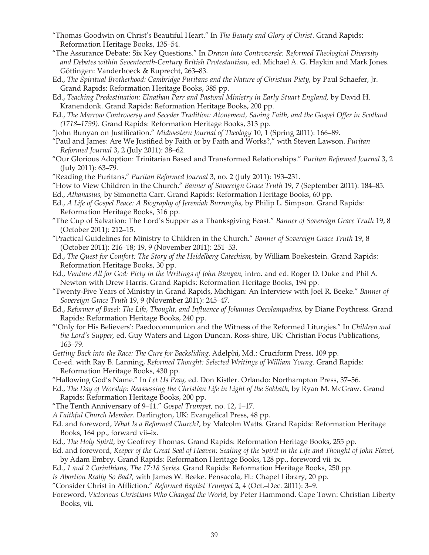- "Thomas Goodwin on Christ's Beautiful Heart." In *The Beauty and Glory of Christ*. Grand Rapids: Reformation Heritage Books, 135–54.
- "The Assurance Debate: Six Key Questions." In *Drawn into Controversie: Reformed Theological Diversity and Debates within Seventeenth-Century British Protestantism,* ed. Michael A. G. Haykin and Mark Jones. Göttingen: Vanderhoeck & Ruprecht, 263–83.
- Ed., *The Spiritual Brotherhood: Cambridge Puritans and the Nature of Christian Piety,* by Paul Schaefer, Jr. Grand Rapids: Reformation Heritage Books, 385 pp.
- Ed., *Teaching Predestination: Elnathan Parr and Pastoral Ministry in Early Stuart England,* by David H. Kranendonk. Grand Rapids: Reformation Heritage Books, 200 pp.
- Ed., *The Marrow Controversy and Seceder Tradition: Atonement, Saving Faith, and the Gospel Offer in Scotland (1718–1799)*. Grand Rapids: Reformation Heritage Books, 313 pp.
- "John Bunyan on Justification." *Midwestern Journal of Theology* 10, 1 (Spring 2011): 166–89.
- "Paul and James: Are We Justified by Faith or by Faith and Works?," with Steven Lawson. *Puritan Reformed Journal* 3, 2 (July 2011): 38–62.
- "Our Glorious Adoption: Trinitarian Based and Transformed Relationships." *Puritan Reformed Journal* 3, 2 (July 2011): 63–79.
- "Reading the Puritans," *Puritan Reformed Journal* 3, no. 2 (July 2011): 193–231.
- "How to View Children in the Church." *Banner of Sovereign Grace Truth* 19, 7 (September 2011): 184–85.
- Ed., *Athanasius,* by Simonetta Carr. Grand Rapids: Reformation Heritage Books, 60 pp.
- Ed., *A Life of Gospel Peace: A Biography of Jeremiah Burroughs,* by Philip L. Simpson. Grand Rapids: Reformation Heritage Books, 316 pp.
- "The Cup of Salvation: The Lord's Supper as a Thanksgiving Feast." *Banner of Sovereign Grace Truth* 19, 8 (October 2011): 212–15.
- "Practical Guidelines for Ministry to Children in the Church." *Banner of Sovereign Grace Truth* 19, 8 (October 2011): 216–18; 19, 9 (November 2011): 251–53.
- Ed., *The Quest for Comfort: The Story of the Heidelberg Catechism,* by William Boekestein. Grand Rapids: Reformation Heritage Books, 30 pp.
- Ed., *Venture All for God: Piety in the Writings of John Bunyan,* intro. and ed. Roger D. Duke and Phil A. Newton with Drew Harris. Grand Rapids: Reformation Heritage Books, 194 pp.
- "Twenty-Five Years of Ministry in Grand Rapids, Michigan: An Interview with Joel R. Beeke." *Banner of Sovereign Grace Truth* 19, 9 (November 2011): 245–47.
- Ed., *Reformer of Basel: The Life, Thought, and Influence of Johannes Oecolampadius,* by Diane Poythress. Grand Rapids: Reformation Heritage Books, 240 pp.
- "'Only for His Believers': Paedocommunion and the Witness of the Reformed Liturgies." In *Children and the Lord's Supper,* ed. Guy Waters and Ligon Duncan. Ross-shire, UK: Christian Focus Publications, 163–79.
- *Getting Back into the Race: The Cure for Backsliding*. Adelphi, Md.: Cruciform Press, 109 pp.
- Co-ed. with Ray B. Lanning, *Reformed Thought: Selected Writings of William Young*. Grand Rapids: Reformation Heritage Books, 430 pp.
- "Hallowing God's Name." In *Let Us Pray,* ed. Don Kistler. Orlando: Northampton Press, 37–56.
- Ed., *The Day of Worship: Reassessing the Christian Life in Light of the Sabbath,* by Ryan M. McGraw. Grand Rapids: Reformation Heritage Books, 200 pp.
- "The Tenth Anniversary of 9–11." *Gospel Trumpet,* no. 12, 1–17.
- *A Faithful Church Member.* Darlington, UK: Evangelical Press, 48 pp.
- Ed. and foreword, *What Is a Reformed Church?,* by Malcolm Watts. Grand Rapids: Reformation Heritage Books, 164 pp., forward vii–ix.
- Ed., *The Holy Spirit,* by Geoffrey Thomas. Grand Rapids: Reformation Heritage Books, 255 pp.
- Ed. and foreword, *Keeper of the Great Seal of Heaven: Sealing of the Spirit in the Life and Thought of John Flavel,*  by Adam Embry. Grand Rapids: Reformation Heritage Books, 128 pp., foreword vii–ix.
- Ed., *1 and 2 Corinthians, The 17:18 Series*. Grand Rapids: Reformation Heritage Books, 250 pp.
- *Is Abortion Really So Bad?,* with James W. Beeke. Pensacola, Fl.: Chapel Library, 20 pp.
- "Consider Christ in Affliction." *Reformed Baptist Trumpet* 2, 4 (Oct.–Dec. 2011): 3–9.
- Foreword, *Victorious Christians Who Changed the World,* by Peter Hammond. Cape Town: Christian Liberty Books, vii.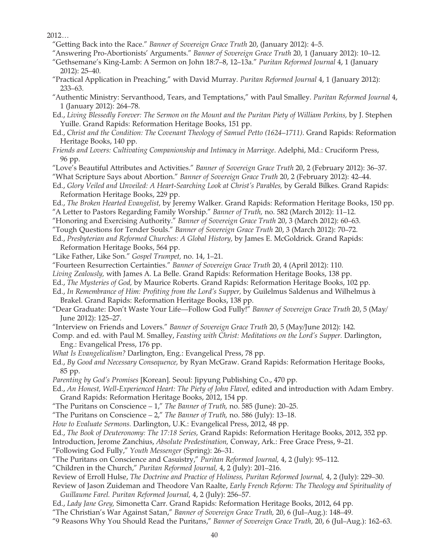2012…

- "Getting Back into the Race." *Banner of Sovereign Grace Truth* 20, (January 2012): 4–5.
- "Answering Pro-Abortionists' Arguments." *Banner of Sovereign Grace Truth* 20, 1 (January 2012): 10–12.
- "Gethsemane's King-Lamb: A Sermon on John 18:7–8, 12–13a." *Puritan Reformed Journal* 4, 1 (January 2012): 25–40.
- "Practical Application in Preaching," with David Murray. *Puritan Reformed Journal* 4, 1 (January 2012): 233–63.
- "Authentic Ministry: Servanthood, Tears, and Temptations," with Paul Smalley. *Puritan Reformed Journal* 4, 1 (January 2012): 264–78.
- Ed., *Living Blessedly Forever: The Sermon on the Mount and the Puritan Piety of William Perkins,* by J. Stephen Yuille. Grand Rapids: Reformation Heritage Books, 151 pp.
- Ed., *Christ and the Condition: The Covenant Theology of Samuel Petto (1624–1711)*. Grand Rapids: Reformation Heritage Books, 140 pp.
- *Friends and Lovers: Cultivating Companionship and Intimacy in Marriage*. Adelphi, Md.: Cruciform Press, 96 pp.
- "Love's Beautiful Attributes and Activities." *Banner of Sovereign Grace Truth* 20, 2 (February 2012): 36–37.
- "What Scripture Says about Abortion." *Banner of Sovereign Grace Truth* 20, 2 (February 2012): 42–44.
- Ed., *Glory Veiled and Unveiled: A Heart-Searching Look at Christ's Parables,* by Gerald Bilkes. Grand Rapids: Reformation Heritage Books, 229 pp.
- Ed., *The Broken Hearted Evangelist,* by Jeremy Walker. Grand Rapids: Reformation Heritage Books, 150 pp. "A Letter to Pastors Regarding Family Worship." *Banner of Truth,* no. 582 (March 2012): 11–12.
- "Honoring and Exercising Authority." *Banner of Sovereign Grace Truth* 20, 3 (March 2012): 60–63.
- "Tough Questions for Tender Souls." *Banner of Sovereign Grace Truth* 20, 3 (March 2012): 70–72.
- Ed., *Presbyterian and Reformed Churches: A Global History,* by James E. McGoldrick. Grand Rapids: Reformation Heritage Books, 564 pp.
- "Like Father, Like Son." *Gospel Trumpet,* no. 14, 1–21.
- "Fourteen Resurrection Certainties." *Banner of Sovereign Grace Truth* 20, 4 (April 2012): 110.
- *Living Zealously,* with James A. La Belle. Grand Rapids: Reformation Heritage Books, 138 pp.
- Ed., *The Mysteries of God,* by Maurice Roberts. Grand Rapids: Reformation Heritage Books, 102 pp.
- Ed., *In Remembrance of Him: Profiting from the Lord's Supper,* by Guilelmus Saldenus and Wilhelmus à Brakel. Grand Rapids: Reformation Heritage Books, 138 pp.
- "Dear Graduate: Don't Waste Your Life—Follow God Fully!" *Banner of Sovereign Grace Truth* 20, 5 (May/ June 2012): 125–27.
- "Interview on Friends and Lovers." *Banner of Sovereign Grace Truth* 20, 5 (May/June 2012): 142.
- Comp. and ed. with Paul M. Smalley, *Feasting with Christ: Meditations on the Lord's Supper.* Darlington, Eng.: Evangelical Press, 176 pp.
- *What Is Evangelicalism?* Darlington, Eng.: Evangelical Press, 78 pp.
- Ed., *By Good and Necessary Consequence,* by Ryan McGraw. Grand Rapids: Reformation Heritage Books, 85 pp.
- *Parenting by God's Promises* [Korean]. Seoul: Jipyung Publishing Co., 470 pp.
- Ed., *An Honest, Well-Experienced Heart: The Piety of John Flavel, edited and introduction with Adam Embry.* Grand Rapids: Reformation Heritage Books, 2012, 154 pp.
- "The Puritans on Conscience 1," *The Banner of Truth,* no. 585 (June): 20–25.
- "The Puritans on Conscience 2," *The Banner of Truth,* no. 586 (July): 13–18.
- *How to Evaluate Sermons.* Darlington, U.K.: Evangelical Press, 2012, 48 pp.
- Ed., *The Book of Deuteronomy: The 17:18 Series,* Grand Rapids: Reformation Heritage Books, 2012, 352 pp.
- Introduction, Jerome Zanchius, *Absolute Predestination,* Conway, Ark.: Free Grace Press, 9–21.
- "Following God Fully," *Youth Messenger* (Spring): 26–31.
- "The Puritans on Conscience and Casuistry," *Puritan Reformed Journal,* 4, 2 (July): 95–112.
- "Children in the Church," *Puritan Reformed Journal,* 4, 2 (July): 201–216.

Review of Erroll Hulse, *The Doctrine and Practice of Holiness, Puritan Reformed Journal,* 4, 2 (July): 229–30.

- Review of Jason Zuideman and Theodore Van Raalte, *Early French Reform: The Theology and Spirituality of Guillaume Farel. Puritan Reformed Journal,* 4, 2 (July): 256–57.
- Ed., *Lady Jane Grey,* Simonetta Carr. Grand Rapids: Reformation Heritage Books, 2012, 64 pp.
- "The Christian's War Against Satan," *Banner of Sovereign Grace Truth,* 20, 6 (Jul–Aug.): 148–49.
- "9 Reasons Why You Should Read the Puritans," *Banner of Sovereign Grace Truth,* 20, 6 (Jul–Aug.): 162–63.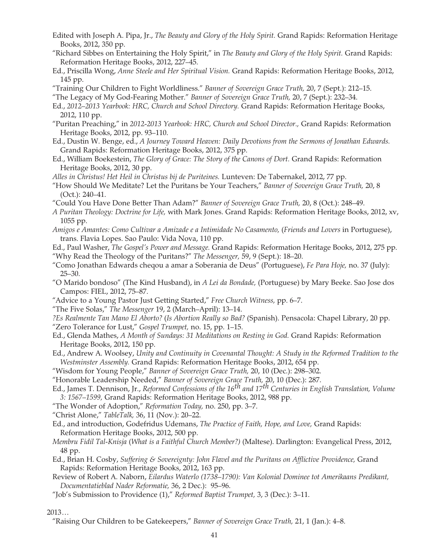- Edited with Joseph A. Pipa, Jr., *The Beauty and Glory of the Holy Spirit.* Grand Rapids: Reformation Heritage Books, 2012, 350 pp.
- "Richard Sibbes on Entertaining the Holy Spirit," in *The Beauty and Glory of the Holy Spirit.* Grand Rapids: Reformation Heritage Books, 2012, 227–45.
- Ed., Priscilla Wong, *Anne Steele and Her Spiritual Vision.* Grand Rapids: Reformation Heritage Books, 2012, 145 pp.
- "Training Our Children to Fight Worldliness." *Banner of Sovereign Grace Truth,* 20, 7 (Sept.): 212–15.
- "The Legacy of My God-Fearing Mother." *Banner of Sovereign Grace Truth,* 20, 7 (Sept.): 232–34.
- Ed., *2012–2013 Yearbook: HRC, Church and School Directory.* Grand Rapids: Reformation Heritage Books, 2012, 110 pp.
- "Puritan Preaching," in *2012-2013 Yearbook: HRC, Church and School Director.,* Grand Rapids: Reformation Heritage Books, 2012, pp. 93–110.
- Ed., Dustin W. Benge, ed., *A Journey Toward Heaven: Daily Devotions from the Sermons of Jonathan Edwards.*  Grand Rapids: Reformation Heritage Books, 2012, 375 pp.
- Ed., William Boekestein, *The Glory of Grace: The Story of the Canons of Dort.* Grand Rapids: Reformation Heritage Books, 2012, 30 pp.
- *Alles in Christus! Het Heil in Christus bij de Puriteines.* Lunteven: De Tabernakel, 2012, 77 pp.
- "How Should We Meditate? Let the Puritans be Your Teachers," *Banner of Sovereign Grace Truth,* 20, 8 (Oct.): 240–41.
- "Could You Have Done Better Than Adam?" *Banner of Sovereign Grace Truth,* 20, 8 (Oct.): 248–49.
- *A Puritan Theology: Doctrine for Life,* with Mark Jones. Grand Rapids: Reformation Heritage Books, 2012, xv, 1055 pp.
- *Amigos e Amantes: Como Cultivar a Amizade e a Intimidade No Casamento,* (*Friends and Lovers* in Portuguese), trans. Flavia Lopes. Sao Paulo: Vida Nova, 110 pp.
- Ed., Paul Washer, *The Gospel's Power and Message.* Grand Rapids: Reformation Heritage Books, 2012, 275 pp. "Why Read the Theology of the Puritans?" *The Messenger,* 59, 9 (Sept.): 18–20.
- "Como Jonathan Edwards cheqou a amar a Soberania de Deus" (Portuguese), *Fe Para Hoje,* no. 37 (July): 25–30.
- "O Marido bondoso" (The Kind Husband), in *A Lei da Bondade,* (Portuguese) by Mary Beeke. Sao Jose dos Campos: FIEL, 2012, 75–87.
- "Advice to a Young Pastor Just Getting Started," *Free Church Witness,* pp. 6–7.
- "The Five Solas," *The Messenger* 19, 2 (March–April): 13–14.
- *?Es Realmente Tan Mano El Aborto?* (*Is Abortion Really so Bad?* (Spanish). Pensacola: Chapel Library, 20 pp.
- "Zero Tolerance for Lust," *Gospel Trumpet,* no. 15, pp. 1–15.
- Ed., Glenda Mathes, *A Month of Sundays: 31 Meditations on Resting in God.* Grand Rapids: Reformation Heritage Books, 2012, 150 pp.
- Ed., Andrew A. Woolsey, *Unity and Continuity in Covenantal Thought: A Study in the Reformed Tradition to the Westminster Assembly.* Grand Rapids: Reformation Heritage Books, 2012, 654 pp.
- "Wisdom for Young People," *Banner of Sovereign Grace Truth,* 20, 10 (Dec.): 298–302.
- "Honorable Leadership Needed," *Banner of Sovereign Grace Truth,* 20, 10 (Dec.): 287.
- Ed., James T. Dennison, Jr., *Reformed Confessions of the 16th and 17th Centuries in English Translation, Volume 3: 1567–1599,* Grand Rapids: Reformation Heritage Books, 2012, 988 pp.
- "The Wonder of Adoption," *Reformation Today,* no. 250, pp. 3–7.

"Christ Alone," *TableTalk,* 36, 11 (Nov.): 20–22.

- Ed., and introduction, Godefridus Udemans, *The Practice of Faith, Hope, and Love,* Grand Rapids: Reformation Heritage Books, 2012, 500 pp.
- *Membru Fidil Tal-Knisja* (*What is a Faithful Church Member?)* (Maltese). Darlington: Evangelical Press, 2012, 48 pp.
- Ed., Brian H. Cosby, *Suffering & Sovereignty: John Flavel and the Puritans on Afflictive Providence,* Grand Rapids: Reformation Heritage Books, 2012, 163 pp.
- Review of Robert A. Naborn, *Eilardus Waterlo (1738–1790): Van Kolonial Dominee tot Amerikaans Predikant, Documentatieblad Nader Reformatie,* 36, 2 Dec.): 95–96.
- "Job's Submission to Providence (1)," *Reformed Baptist Trumpet,* 3, 3 (Dec.): 3–11.

#### 2013…

"Raising Our Children to be Gatekeepers," *Banner of Sovereign Grace Truth,* 21, 1 (Jan.): 4–8.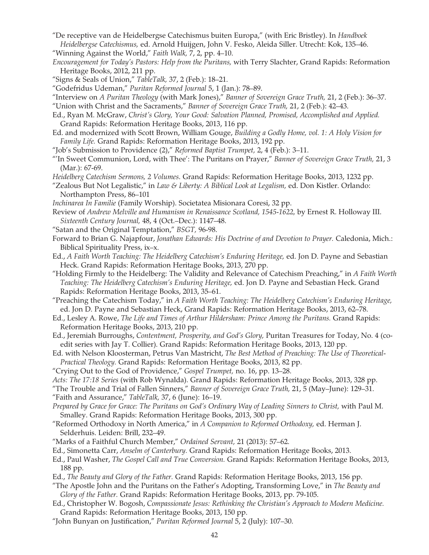"De receptive van de Heidelbergse Catechismus buiten Europa," (with Eric Bristley). In *Handboek Heidelbergse Catechismus,* ed. Arnold Huijgen, John V. Fesko, Aleida Siller. Utrecht: Kok, 135–46.

"Winning Against the World," *Faith Walk,* 7, 2, pp. 4–10.

- *Encouragement for Today's Pastors: Help from the Puritans,* with Terry Slachter, Grand Rapids: Reformation Heritage Books, 2012, 211 pp.
- "Signs & Seals of Union," *TableTalk,* 37, 2 (Feb.): 18–21.
- "Godefridus Udeman," *Puritan Reformed Journal* 5, 1 (Jan.): 78–89.
- "Interview on *A Puritan Theology* (with Mark Jones)," *Banner of Sovereign Grace Truth,* 21, 2 (Feb.): 36–37.
- "Union with Christ and the Sacraments," *Banner of Sovereign Grace Truth,* 21, 2 (Feb.): 42–43.
- Ed., Ryan M. McGraw, *Christ's Glory, Your Good: Salvation Planned, Promised, Accomplished and Applied.*  Grand Rapids: Reformation Heritage Books, 2013, 116 pp.
- Ed. and modernized with Scott Brown, William Gouge, *Building a Godly Home, vol. 1: A Holy Vision for Family Life.* Grand Rapids: Reformation Heritage Books, 2013, 192 pp.
- "Job's Submission to Providence (2)," *Reformed Baptist Trumpet,* 2, 4 (Feb.): 3–11.
- "'In Sweet Communion, Lord, with Thee': The Puritans on Prayer," *Banner of Sovereign Grace Truth,* 21, 3 (Mar.): 67-69.
- *Heidelberg Catechism Sermons, 2 Volumes*. Grand Rapids: Reformation Heritage Books, 2013, 1232 pp.
- "Zealous But Not Legalistic," in *Law & Liberty: A Biblical Look at Legalism,* ed. Don Kistler. Orlando: Northampton Press, 86–101
- *Inchinarea In Familie* (Family Worship). Societatea Misionara Coresi, 32 pp.
- Review of *Andrew Melville and Humanism in Renaissance Scotland, 1545-1622,* by Ernest R. Holloway III. *Sixteenth Century Journal,* 48, 4 (Oct.–Dec.): 1147–48.
- "Satan and the Original Temptation," *BSGT,* 96-98.
- Forward to Brian G. Najapfour, *Jonathan Edwards: His Doctrine of and Devotion to Prayer.* Caledonia, Mich.: Biblical Spirituality Press, ix–x.
- Ed., *A Faith Worth Teaching: The Heidelberg Catechism's Enduring Heritage,* ed. Jon D. Payne and Sebastian Heck. Grand Rapids: Reformation Heritage Books, 2013, 270 pp.
- "Holding Firmly to the Heidelberg: The Validity and Relevance of Catechism Preaching," in *A Faith Worth Teaching: The Heidelberg Catechism's Enduring Heritage,* ed. Jon D. Payne and Sebastian Heck. Grand Rapids: Reformation Heritage Books, 2013, 35–61.
- "Preaching the Catechism Today," in *A Faith Worth Teaching: The Heidelberg Catechism's Enduring Heritage,*  ed. Jon D. Payne and Sebastian Heck, Grand Rapids: Reformation Heritage Books, 2013, 62–78.
- Ed., Lesley A. Rowe, *The Life and Times of Arthur Hildersham: Prince Among the Puritans.* Grand Rapids: Reformation Heritage Books, 2013, 210 pp.
- Ed., Jeremiah Burroughs, *Contentment, Prosperity, and God's Glory,* Puritan Treasures for Today, No. 4 (coedit series with Jay T. Collier). Grand Rapids: Reformation Heritage Books, 2013, 120 pp.
- Ed. with Nelson Kloosterman, Petrus Van Mastricht, *The Best Method of Preaching: The Use of Theoretical-Practical Theology.* Grand Rapids: Reformation Heritage Books, 2013, 82 pp.
- "Crying Out to the God of Providence," *Gospel Trumpet,* no. 16, pp. 13–28.
- *Acts: The 17:18 Series* (with Rob Wynalda). Grand Rapids: Reformation Heritage Books, 2013, 328 pp.
- "The Trouble and Trial of Fallen Sinners," *Banner of Sovereign Grace Truth,* 21, 5 (May–June): 129–31.
- "Faith and Assurance," *TableTalk,* 37, 6 (June): 16–19.
- *Prepared by Grace for Grace: The Puritans on God's Ordinary Way of Leading Sinners to Christ,* with Paul M. Smalley. Grand Rapids: Reformation Heritage Books, 2013, 300 pp.
- "Reformed Orthodoxy in North America," in *A Companion to Reformed Orthodoxy,* ed. Herman J. Selderhuis. Leiden: Brill, 232–49.
- "Marks of a Faithful Church Member," *Ordained Servant,* 21 (2013): 57–62.
- Ed., Simonetta Carr, *Anselm of Canterbury.* Grand Rapids: Reformation Heritage Books, 2013.
- Ed., Paul Washer, *The Gospel Call and True Conversion.* Grand Rapids: Reformation Heritage Books, 2013, 188 pp.
- Ed., *The Beauty and Glory of the Father.* Grand Rapids: Reformation Heritage Books, 2013, 156 pp.
- "The Apostle John and the Puritans on the Father's Adopting, Transforming Love," in *The Beauty and Glory of the Father.* Grand Rapids: Reformation Heritage Books, 2013, pp. 79-105.
- Ed., Christopher W. Bogosh, *Compassionate Jesus: Rethinking the Christian's Approach to Modern Medicine.*  Grand Rapids: Reformation Heritage Books, 2013, 150 pp.
- "John Bunyan on Justification," *Puritan Reformed Journal* 5, 2 (July): 107–30.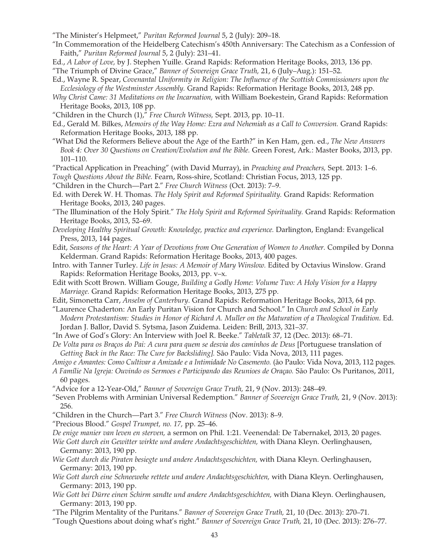- "The Minister's Helpmeet," *Puritan Reformed Journal* 5, 2 (July): 209–18.
- "In Commemoration of the Heidelberg Catechism's 450th Anniversary: The Catechism as a Confession of Faith," *Puritan Reformed Journal* 5, 2 (July): 231–41.
- Ed., *A Labor of Love,* by J. Stephen Yuille. Grand Rapids: Reformation Heritage Books, 2013, 136 pp.

"The Triumph of Divine Grace," *Banner of Sovereign Grace Truth,* 21, 6 (July–Aug.): 151–52.

- Ed., Wayne R. Spear, *Covenantal Uniformity in Religion: The Influence of the Scottish Commissioners upon the Ecclesiology of the Westminster Assembly.* Grand Rapids: Reformation Heritage Books, 2013, 248 pp.
- *Why Christ Came: 31 Meditations on the Incarnation,* with William Boekestein, Grand Rapids: Reformation Heritage Books, 2013, 108 pp.
- "Children in the Church (1)," *Free Church Witness,* Sept. 2013, pp. 10–11.
- Ed., Gerald M. Bilkes, *Memoirs of the Way Home: Ezra and Nehemiah as a Call to Conversion*. Grand Rapids: Reformation Heritage Books, 2013, 188 pp.
- "What Did the Reformers Believe about the Age of the Earth?" in Ken Ham, gen. ed., *The New Answers Book 4: Over 30 Questions on Creation/Evolution and the Bible.* Green Forest, Ark.: Master Books, 2013, pp. 101–110.
- "Practical Application in Preaching" (with David Murray), in *Preaching and Preachers,* Sept. 2013: 1–6. *Tough Questions About the Bible.* Fearn, Ross-shire, Scotland: Christian Focus, 2013, 125 pp.
- "Children in the Church—Part 2." *Free Church Witness* (Oct. 2013): 7–9.
- Ed. with Derek W. H. Thomas. *The Holy Spirit and Reformed Spirituality.* Grand Rapids: Reformation Heritage Books, 2013, 240 pages.
- "The Illumination of the Holy Spirit." *The Holy Spirit and Reformed Spirituality.* Grand Rapids: Reformation Heritage Books, 2013, 52–69.
- *Developing Healthy Spiritual Growth: Knowledge, practice and experience.* Darlington, England: Evangelical Press, 2013, 144 pages.
- Edit, *Seasons of the Heart: A Year of Devotions from One Generation of Women to Another.* Compiled by Donna Kelderman. Grand Rapids: Reformation Heritage Books, 2013, 400 pages.
- Intro. with Tanner Turley. *Life in Jesus: A Memoir of Mary Winslow.* Edited by Octavius Winslow. Grand Rapids: Reformation Heritage Books, 2013, pp. v–x.
- Edit with Scott Brown. William Gouge, *Building a Godly Home: Volume Two: A Holy Vision for a Happy Marriage.* Grand Rapids: Reformation Heritage Books, 2013, 275 pp.
- Edit, Simonetta Carr, *Anselm of Canterbury*. Grand Rapids: Reformation Heritage Books, 2013, 64 pp.
- "Laurence Chaderton: An Early Puritan Vision for Church and School." In *Church and School in Early Modern Protestantism: Studies in Honor of Richard A. Muller on the Maturation of a Theological Tradition.* Ed. Jordan J. Ballor, David S. Sytsma, Jason Zuidema. Leiden: Brill, 2013, 321–37.
- "In Awe of God's Glory: An Interview with Joel R. Beeke." *Tabletalk* 37, 12 (Dec. 2013): 68–71.
- *De Volta para os Braços do Pai: A cura para quem se desvia dos caminhos de Deus* [Portuguese translation of *Getting Back in the Race: The Cure for Backsliding].* São Paulo: Vida Nova, 2013, 111 pages.
- *Amigo e Amantes: Como Cultivar a Amizade e a Intimidade No Casemento.* (ão Paulo: Vida Nova, 2013, 112 pages.
- *A Famílie Na Igreja: Ouvindo os Sermoes e Participando das Reunioes de Oraçao.* São Paulo: Os Puritanos, 2011, 60 pages.
- "Advice for a 12-Year-Old," *Banner of Sovereign Grace Truth,* 21, 9 (Nov. 2013): 248–49.
- "Seven Problems with Arminian Universal Redemption." *Banner of Sovereign Grace Truth,* 21, 9 (Nov. 2013): 256.
- "Children in the Church—Part 3." *Free Church Witness* (Nov. 2013): 8–9.
- "Precious Blood." *Gospel Trumpet, no. 17,* pp. 25–46.
- *De enige manier van leven en sterven,* a sermon on Phil. 1:21. Veenendal: De Tabernakel, 2013, 20 pages.
- *Wie Gott durch ein Gewitter wirkte und andere Andachtsgeschichten,* with Diana Kleyn. Oerlinghausen, Germany: 2013, 190 pp.
- *Wie Gott durch die Piraten besiegte und andere Andachtsgeschichten,* with Diana Kleyn. Oerlinghausen, Germany: 2013, 190 pp.
- *Wie Gott durch eine Schneewehe rettete und andere Andachtsgeschichten,* with Diana Kleyn. Oerlinghausen, Germany: 2013, 190 pp.
- *Wie Gott bei Dürre einen Schirm sandte und andere Andachtsgeschichten,* with Diana Kleyn. Oerlinghausen, Germany: 2013, 190 pp.
- "The Pilgrim Mentality of the Puritans." *Banner of Sovereign Grace Truth,* 21, 10 (Dec. 2013): 270–71.
- "Tough Questions about doing what's right." *Banner of Sovereign Grace Truth,* 21, 10 (Dec. 2013): 276–77.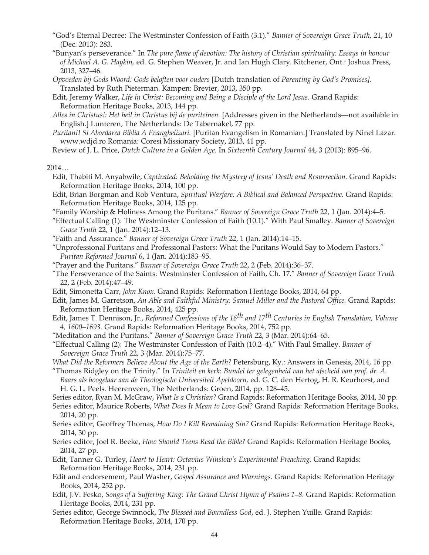- "God's Eternal Decree: The Westminster Confession of Faith (3.1)." *Banner of Sovereign Grace Truth,* 21, 10 (Dec. 2013): 283.
- "Bunyan's perseverance." In *The pure flame of devotion: The history of Christian spirituality: Essays in honour of Michael A. G. Haykin,* ed. G. Stephen Weaver, Jr. and Ian Hugh Clary. Kitchener, Ont.: Joshua Press, 2013, 327–46.
- *Opvoeden bij Gods Woord: Gods beloften voor ouders* [Dutch translation of *Parenting by God's Promises].*  Translated by Ruth Pieterman. Kampen: Brevier, 2013, 350 pp.
- Edit, Jeremy Walker, *Life in Christ: Becoming and Being a Disciple of the Lord Jesus.* Grand Rapids: Reformation Heritage Books, 2013, 144 pp.
- *Alles in Christus!: Het heil in Christus bij de puriteinen.* [Addresses given in the Netherlands—not available in English.] Lunteren, The Netherlands: De Tabernakel, 77 pp.
- *PuritanII Si Abordarea Biblia A Evanghelizari.* [Puritan Evangelism in Romanian.] Translated by Ninel Lazar. www.wdjd.ro Romania: Coresi Missionary Society, 2013, 41 pp.
- Review of J. L. Price, *Dutch Culture in a Golden Age.* In *Sixteenth Century Journal* 44, 3 (2013): 895–96.

2014…

- Edit, Thabiti M. Anyabwile, *Captivated: Beholding the Mystery of Jesus' Death and Resurrection*. Grand Rapids: Reformation Heritage Books, 2014, 100 pp.
- Edit, Brian Borgman and Rob Ventura, *Spiritual Warfare: A Biblical and Balanced Perspective.* Grand Rapids: Reformation Heritage Books, 2014, 125 pp.
- "Family Worship & Holiness Among the Puritans." *Banner of Sovereign Grace Truth* 22, 1 (Jan. 2014):4–5.
- "Effectual Calling (1): The Westminster Confession of Faith (10.1)." With Paul Smalley. *Banner of Sovereign Grace Truth* 22, 1 (Jan. 2014):12–13.
- "Faith and Assurance." *Banner of Sovereign Grace Truth* 22, 1 (Jan. 2014):14–15.
- "Unprofessional Puritans and Professional Pastors: What the Puritans Would Say to Modern Pastors." *Puritan Reformed Journal* 6, 1 (Jan. 2014):183–95.
- "Prayer and the Puritans." *Banner of Sovereign Grace Truth* 22, 2 (Feb. 2014):36–37.
- "The Perseverance of the Saints: Westminster Confession of Faith, Ch. 17." *Banner of Sovereign Grace Truth*  22, 2 (Feb. 2014):47–49.
- Edit, Simonetta Carr, *John Knox.* Grand Rapids: Reformation Heritage Books, 2014, 64 pp.
- Edit, James M. Garretson, *An Able and Faithful Ministry: Samuel Miller and the Pastoral Office.* Grand Rapids: Reformation Heritage Books, 2014, 425 pp.
- Edit, James T. Dennison, Jr., *Reformed Confessions of the 16th and 17th Centuries in English Translation, Volume 4, 1600–1693.* Grand Rapids: Reformation Heritage Books, 2014, 752 pp.
- "Meditation and the Puritans." *Banner of Sovereign Grace Truth* 22, 3 (Mar. 2014):64–65.
- "Effectual Calling (2): The Westminster Confession of Faith (10.2–4)." With Paul Smalley. *Banner of Sovereign Grace Truth* 22, 3 (Mar. 2014):75–77.
- *What Did the Reformers Believe About the Age of the Earth?* Petersburg, Ky.: Answers in Genesis, 2014, 16 pp.
- "Thomas Ridgley on the Trinity." In *Triniteit en kerk: Bundel ter gelegenheid van het afscheid van prof. dr. A.*

*Baars als hoogelaar aan de Theologische Universiteit Apeldoorn,* ed. G. C. den Hertog, H. R. Keurhorst, and H. G. L. Peels. Heerenveen, The Netherlands: Groen, 2014, pp. 128–45.

- Series editor, Ryan M. McGraw, *What Is a Christian?* Grand Rapids: Reformation Heritage Books, 2014, 30 pp.
- Series editor, Maurice Roberts, *What Does It Mean to Love God?* Grand Rapids: Reformation Heritage Books, 2014, 20 pp.
- Series editor, Geoffrey Thomas, *How Do I Kill Remaining Sin?* Grand Rapids: Reformation Heritage Books, 2014, 30 pp.
- Series editor, Joel R. Beeke, *How Should Teens Read the Bible?* Grand Rapids: Reformation Heritage Books, 2014, 27 pp.
- Edit, Tanner G. Turley, *Heart to Heart: Octavius Winslow's Experimental Preaching*. Grand Rapids: Reformation Heritage Books, 2014, 231 pp.
- Edit and endorsement, Paul Washer, *Gospel Assurance and Warnings.* Grand Rapids: Reformation Heritage Books, 2014, 252 pp.
- Edit, J.V. Fesko, *Songs of a Suffering King: The Grand Christ Hymn of Psalms 1–8.* Grand Rapids: Reformation Heritage Books, 2014, 231 pp.
- Series editor, George Swinnock, *The Blessed and Boundless God*, ed. J. Stephen Yuille. Grand Rapids: Reformation Heritage Books, 2014, 170 pp.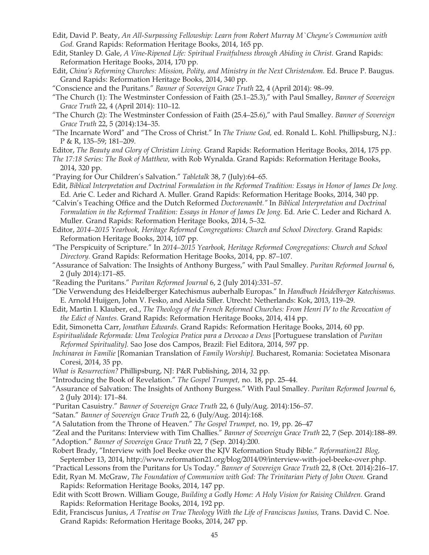- Edit, David P. Beaty, *An All-Surpassing Fellowship: Learn from Robert Murray M`Cheyne's Communion with God.* Grand Rapids: Reformation Heritage Books, 2014, 165 pp.
- Edit, Stanley D. Gale, *A Vine-Ripened Life: Spiritual Fruitfulness through Abiding in Christ*. Grand Rapids: Reformation Heritage Books, 2014, 170 pp.
- Edit, China's Reforming Churches: Mission, Polity, and Ministry in the Next Christendom. Ed. Bruce P. Baugus. Grand Rapids: Reformation Heritage Books, 2014, 340 pp.
- "Conscience and the Puritans." *Banner of Sovereign Grace Truth* 22, 4 (April 2014): 98–99.
- "The Church (1): The Westminster Confession of Faith (25.1–25.3)," with Paul Smalley, *Banner of Sovereign Grace Truth* 22, 4 (April 2014): 110–12.
- "The Church (2): The Westminster Confession of Faith (25.4–25.6)," with Paul Smalley. *Banner of Sovereign Grace Truth* 22, 5 (2014):134–35.
- "The Incarnate Word" and "The Cross of Christ." In *The Triune God,* ed. Ronald L. Kohl. Phillipsburg, N.J.: P & R, 135–59; 181–209.
- Editor, *The Beauty and Glory of Christian Living.* Grand Rapids: Reformation Heritage Books, 2014, 175 pp.
- *The 17:18 Series: The Book of Matthew,* with Rob Wynalda. Grand Rapids: Reformation Heritage Books, 2014, 320 pp.
- "Praying for Our Children's Salvation." *Tabletalk* 38, 7 (July):64–65.
- Edit, *Biblical Interpretation and Doctrinal Formulation in the Reformed Tradition: Essays in Honor of James De Jong.*  Ed. Arie C. Leder and Richard A. Muller. Grand Rapids: Reformation Heritage Books, 2014, 340 pp.
- "Calvin's Teaching Office and the Dutch Reformed *Doctorenambt."* In *Biblical Interpretation and Doctrinal Formulation in the Reformed Tradition: Essays in Honor of James De Jong.* Ed. Arie C. Leder and Richard A. Muller. Grand Rapids: Reformation Heritage Books, 2014, 5–32.
- Editor, 2014–2015 Yearbook, Heritage Reformed Congregations: Church and School Directory. Grand Rapids: Reformation Heritage Books, 2014, 107 pp.
- "The Perspicuity of Scripture." In *2014–2015 Yearbook, Heritage Reformed Congregations: Church and School Directory.* Grand Rapids: Reformation Heritage Books, 2014, pp. 87–107.
- "Assurance of Salvation: The Insights of Anthony Burgess," with Paul Smalley. *Puritan Reformed Journal* 6, 2 (July 2014):171–85.
- "Reading the Puritans." *Puritan Reformed Journal* 6, 2 (July 2014):331–57.
- "Die Verwendung des Heidelberger Katechismus auberhalb Europas." In *Handbuch Heidelberger Katechismus.*  E. Arnold Huijgen, John V. Fesko, and Aleida Siller. Utrecht: Netherlands: Kok, 2013, 119–29.
- Edit, Martin I. Klauber, ed., *The Theology of the French Reformed Churches: From Henri IV to the Revocation of the Edict of Nantes.* Grand Rapids: Reformation Heritage Books, 2014, 414 pp.
- Edit, Simonetta Carr, *Jonathan Edwards.* Grand Rapids: Reformation Heritage Books, 2014, 60 pp.
- *Espiritualidade Reformada: Uma Teologica Pratica para a Devocao a Deus* [Portuguese translation of *Puritan Reformed Spirituality].* Sao Jose dos Campos, Brazil: Fiel Editora, 2014, 597 pp.
- *Inchinarea in Familie* [Romanian Translation of *Family Worship].* Bucharest, Romania: Societatea Misonara Coresi, 2014, 35 pp.
- *What is Resurrection?* Phillipsburg, NJ: P&R Publishing, 2014, 32 pp.
- "Introducing the Book of Revelation." *The Gospel Trumpet,* no. 18, pp. 25–44.
- "Assurance of Salvation: The Insights of Anthony Burgess." With Paul Smalley. *Puritan Reformed Journal* 6, 2 (July 2014): 171–84.
- "Puritan Casuistry." *Banner of Sovereign Grace Truth* 22, 6 (July/Aug. 2014):156–57.
- "Satan." *Banner of Sovereign Grace Truth* 22, 6 (July/Aug. 2014):168.
- "A Salutation from the Throne of Heaven." *The Gospel Trumpet,* no. 19, pp. 26–47
- "Zeal and the Puritans: Interview with Tim Challies." *Banner of Sovereign Grace Truth* 22, 7 (Sep. 2014):188–89. "Adoption." *Banner of Sovereign Grace Truth* 22, 7 (Sep. 2014):200.
- Robert Brady, "Interview with Joel Beeke over the KJV Reformation Study Bible." *Reformation21 Blog,*  September 13, 2014, http://www.reformation21.org/blog/2014/09/interview-with-joel-beeke-over.php.
- "Practical Lessons from the Puritans for Us Today." *Banner of Sovereign Grace Truth* 22, 8 (Oct. 2014):216–17.
- Edit, Ryan M. McGraw, *The Foundation of Communion with God: The Trinitarian Piety of John Owen.* Grand Rapids: Reformation Heritage Books, 2014, 147 pp.
- Edit with Scott Brown. William Gouge, *Building a Godly Home: A Holy Vision for Raising Children.* Grand Rapids: Reformation Heritage Books, 2014, 192 pp.
- Edit, Franciscus Junius, *A Treatise on True Theology With the Life of Franciscus Junius,* Trans. David C. Noe. Grand Rapids: Reformation Heritage Books, 2014, 247 pp.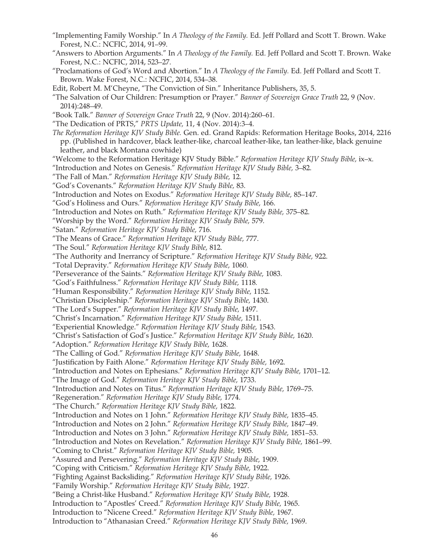- "Implementing Family Worship." In *A Theology of the Family.* Ed. Jeff Pollard and Scott T. Brown. Wake Forest, N.C.: NCFIC, 2014, 91–99.
- "Answers to Abortion Arguments." In *A Theology of the Family.* Ed. Jeff Pollard and Scott T. Brown. Wake Forest, N.C.: NCFIC, 2014, 523–27.
- "Proclamations of God's Word and Abortion." In *A Theology of the Family.* Ed. Jeff Pollard and Scott T. Brown. Wake Forest, N.C.: NCFIC, 2014, 534–38.
- Edit, Robert M. M'Cheyne, "The Conviction of Sin." Inheritance Publishers, 35, 5.
- "The Salvation of Our Children: Presumption or Prayer." *Banner of Sovereign Grace Truth* 22, 9 (Nov. 2014):248–49.
- "Book Talk." *Banner of Sovereign Grace Truth* 22, 9 (Nov. 2014):260–61.
- "The Dedication of PRTS," *PRTS Update,* 11, 4 (Nov. 2014):3–4.
- *The Reformation Heritage KJV Study Bible.* Gen. ed. Grand Rapids: Reformation Heritage Books, 2014, 2216 pp. (Published in hardcover, black leather-like, charcoal leather-like, tan leather-like, black genuine leather, and black Montana cowhide)
- "Welcome to the Reformation Heritage KJV Study Bible." *Reformation Heritage KJV Study Bible,* ix–x.
- "Introduction and Notes on Genesis." *Reformation Heritage KJV Study Bible,* 3–82.
- "The Fall of Man." *Reformation Heritage KJV Study Bible,* 12.
- "God's Covenants." *Reformation Heritage KJV Study Bible,* 83.
- "Introduction and Notes on Exodus." *Reformation Heritage KJV Study Bible,* 85–147.
- "God's Holiness and Ours." *Reformation Heritage KJV Study Bible,* 166.
- "Introduction and Notes on Ruth." *Reformation Heritage KJV Study Bible,* 375–82.
- "Worship by the Word." *Reformation Heritage KJV Study Bible,* 579.
- "Satan." *Reformation Heritage KJV Study Bible,* 716.
- "The Means of Grace." *Reformation Heritage KJV Study Bible,* 777.
- "The Soul." *Reformation Heritage KJV Study Bible,* 812.
- "The Authority and Inerrancy of Scripture." *Reformation Heritage KJV Study Bible,* 922.
- "Total Depravity." *Reformation Heritage KJV Study Bible,* 1060.
- "Perseverance of the Saints." *Reformation Heritage KJV Study Bible,* 1083.
- "God's Faithfulness." *Reformation Heritage KJV Study Bible,* 1118*.*
- "Human Responsibility." *Reformation Heritage KJV Study Bible,* 1152.
- "Christian Discipleship." *Reformation Heritage KJV Study Bible,* 1430.
- "The Lord's Supper." *Reformation Heritage KJV Study Bible,* 1497.
- "Christ's Incarnation." *Reformation Heritage KJV Study Bible,* 1511.
- "Experiential Knowledge." *Reformation Heritage KJV Study Bible,* 1543.
- "Christ's Satisfaction of God's Justice." *Reformation Heritage KJV Study Bible,* 1620.
- "Adoption." *Reformation Heritage KJV Study Bible,* 1628.
- "The Calling of God." *Reformation Heritage KJV Study Bible,* 1648.
- "Justification by Faith Alone." *Reformation Heritage KJV Study Bible,* 1692.
- "Introduction and Notes on Ephesians." *Reformation Heritage KJV Study Bible,* 1701–12.
- "The Image of God." *Reformation Heritage KJV Study Bible,* 1733.
- "Introduction and Notes on Titus." *Reformation Heritage KJV Study Bible,* 1769–75.
- "Regeneration." *Reformation Heritage KJV Study Bible,* 1774.
- "The Church." *Reformation Heritage KJV Study Bible,* 1822.
- "Introduction and Notes on 1 John." *Reformation Heritage KJV Study Bible,* 1835–45.
- "Introduction and Notes on 2 John." *Reformation Heritage KJV Study Bible,* 1847–49.
- "Introduction and Notes on 3 John." *Reformation Heritage KJV Study Bible,* 1851–53.
- "Introduction and Notes on Revelation." *Reformation Heritage KJV Study Bible,* 1861–99.
- "Coming to Christ." *Reformation Heritage KJV Study Bible,* 1905*.*
- "Assured and Persevering." *Reformation Heritage KJV Study Bible,* 1909.
- "Coping with Criticism." *Reformation Heritage KJV Study Bible,* 1922.
- "Fighting Against Backsliding." *Reformation Heritage KJV Study Bible,* 1926.
- "Family Worship." *Reformation Heritage KJV Study Bible,* 1927.
- "Being a Christ-like Husband." *Reformation Heritage KJV Study Bible,* 1928.
- Introduction to "Apostles' Creed." *Reformation Heritage KJV Study Bible,* 1965.
- Introduction to "Nicene Creed." *Reformation Heritage KJV Study Bible,* 1967.
- Introduction to "Athanasian Creed." *Reformation Heritage KJV Study Bible,* 1969.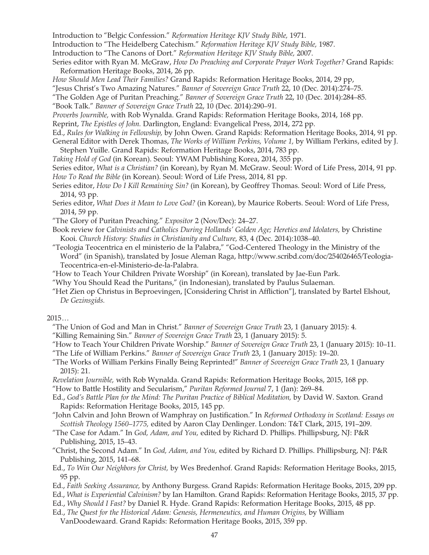Introduction to "Belgic Confession." *Reformation Heritage KJV Study Bible,* 1971.

Introduction to "The Heidelberg Catechism." *Reformation Heritage KJV Study Bible,* 1987.

- Introduction to "The Canons of Dort." *Reformation Heritage KJV Study Bible,* 2007.
- Series editor with Ryan M. McGraw, *How Do Preaching and Corporate Prayer Work Together?* Grand Rapids: Reformation Heritage Books, 2014, 26 pp.
- *How Should Men Lead Their Families?* Grand Rapids: Reformation Heritage Books, 2014, 29 pp,

"Jesus Christ's Two Amazing Natures." *Banner of Sovereign Grace Truth* 22, 10 (Dec. 2014):274–75.

"The Golden Age of Puritan Preaching." *Banner of Sovereign Grace Truth* 22, 10 (Dec. 2014):284–85.

"Book Talk." *Banner of Sovereign Grace Truth* 22, 10 (Dec. 2014):290–91.

*Proverbs Journible,* with Rob Wynalda. Grand Rapids: Reformation Heritage Books, 2014, 168 pp.

Reprint, *The Epistles of John.* Darlington, England: Evangelical Press, 2014, 272 pp.

Ed., *Rules for Walking in Fellowship,* by John Owen. Grand Rapids: Reformation Heritage Books, 2014, 91 pp. General Editor with Derek Thomas, *The Works of William Perkins, Volume 1,* by William Perkins, edited by J. Stephen Yuille. Grand Rapids: Reformation Heritage Books, 2014, 783 pp.

*Taking Hold of God* (in Korean). Seoul: YWAM Publishing Korea, 2014, 355 pp.

Series editor, *What is a Christian?* (in Korean), by Ryan M. McGraw. Seoul: Word of Life Press, 2014, 91 pp. *How To Read the Bible* (in Korean). Seoul: Word of Life Press, 2014, 81 pp.

- Series editor, *How Do I Kill Remaining Sin?* (in Korean), by Geoffrey Thomas. Seoul: Word of Life Press, 2014, 93 pp.
- Series editor, *What Does it Mean to Love God?* (in Korean), by Maurice Roberts. Seoul: Word of Life Press, 2014, 59 pp.
- "The Glory of Puritan Preaching." *Expositor* 2 (Nov/Dec): 24–27.
- Book review for *Calvinists and Catholics During Hollands' Golden Age; Heretics and Idolaters, by Christine* Kooi. *Church History: Studies in Christianity and Culture,* 83, 4 (Dec. 2014):1038–40.
- "Teologia Teocentrica en el ministerio de la Palabra," "God-Centered Theology in the Ministry of the Word" (in Spanish), translated by Josue Aleman Raga, http://www.scribd.com/doc/254026465/Teologia-Teocentrica-en-el-Ministerio-de-la-Palabra.
- "How to Teach Your Children Private Worship" (in Korean), translated by Jae-Eun Park.
- "Why You Should Read the Puritans," (in Indonesian), translated by Paulus Sulaeman.
- "Het Zien op Christus in Beproevingen, [Considering Christ in Affliction"], translated by Bartel Elshout, *De Gezinsgids.*

 $2015...$ 

- "The Union of God and Man in Christ." *Banner of Sovereign Grace Truth* 23, 1 (January 2015): 4.
- "Killing Remaining Sin." *Banner of Sovereign Grace Truth* 23, 1 (January 2015): 5.
- "How to Teach Your Children Private Worship." *Banner of Sovereign Grace Truth* 23, 1 (January 2015): 10–11.
- "The Life of William Perkins." *Banner of Sovereign Grace Truth* 23, 1 (January 2015): 19–20.
- "The Works of William Perkins Finally Being Reprinted!" *Banner of Sovereign Grace Truth* 23, 1 (January 2015): 21.
- *Revelation Journible,* with Rob Wynalda. Grand Rapids: Reformation Heritage Books, 2015, 168 pp. "How to Battle Hostility and Secularism," *Puritan Reformed Journal* 7, 1 (Jan): 269–84.
- Ed., *God's Battle Plan for the Mind: The Puritan Practice of Biblical Meditation,* by David W. Saxton*.* Grand Rapids: Reformation Heritage Books, 2015, 145 pp.

"John Calvin and John Brown of Wamphray on Justification." In *Reformed Orthodoxy in Scotland: Essays on Scottish Theology 1560–1775,* edited by Aaron Clay Denlinger. London: T&T Clark, 2015, 191–209.

- "The Case for Adam." In *God, Adam, and You,* edited by Richard D. Phillips. Phillipsburg, NJ: P&R Publishing, 2015, 15–43.
- "Christ, the Second Adam." In *God, Adam, and You,* edited by Richard D. Phillips. Phillipsburg, NJ: P&R Publishing, 2015, 141–68.
- Ed., *To Win Our Neighbors for Christ,* by Wes Bredenhof. Grand Rapids: Reformation Heritage Books, 2015, 95 pp.
- Ed., *Faith Seeking Assurance,* by Anthony Burgess. Grand Rapids: Reformation Heritage Books, 2015, 209 pp.
- Ed., *What is Experiential Calvinism?* by Ian Hamilton. Grand Rapids: Reformation Heritage Books, 2015, 37 pp.
- Ed., *Why Should I Fast?* by Daniel R. Hyde. Grand Rapids: Reformation Heritage Books, 2015, 48 pp.
- Ed., *The Quest for the Historical Adam: Genesis, Hermeneutics, and Human Origins, by William* 
	- VanDoodewaard. Grand Rapids: Reformation Heritage Books, 2015, 359 pp.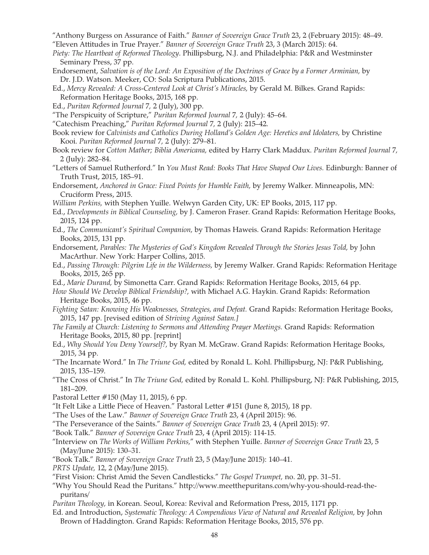- "Anthony Burgess on Assurance of Faith." *Banner of Sovereign Grace Truth* 23, 2 (February 2015): 48–49.
- "Eleven Attitudes in True Prayer." *Banner of Sovereign Grace Truth* 23, 3 (March 2015): 64.
- *Piety: The Heartbeat of Reformed Theology*. Phillipsburg, N.J. and Philadelphia: P&R and Westminster Seminary Press, 37 pp.
- Endorsement, *Salvation is of the Lord: An Exposition of the Doctrines of Grace by a Former Arminian,* by Dr. J.D. Watson. Meeker, CO: Sola Scriptura Publications, 2015.
- Ed., *Mercy Revealed: A Cross-Centered Look at Christ's Miracles,* by Gerald M. Bilkes. Grand Rapids: Reformation Heritage Books, 2015, 168 pp.
- Ed., *Puritan Reformed Journal* 7*,* 2 (July), 300 pp.
- "The Perspicuity of Scripture," *Puritan Reformed Journal* 7*,* 2 (July): 45–64.
- "Catechism Preaching," *Puritan Reformed Journal* 7*,* 2 (July): 215–42.
- Book review for *Calvinists and Catholics During Holland's Golden Age: Heretics and Idolaters, by Christine* Kooi. *Puritan Reformed Journal* 7*,* 2 (July): 279–81.
- Book review for *Cotton Mather; Biblia Americana,* edited by Harry Clark Maddux. *Puritan Reformed Journal* 7*,*  2 (July): 282–84.
- "Letters of Samuel Rutherford." In *You Must Read: Books That Have Shaped Our Lives.* Edinburgh: Banner of Truth Trust, 2015, 185–91.
- Endorsement, *Anchored in Grace: Fixed Points for Humble Faith,* by Jeremy Walker. Minneapolis, MN: Cruciform Press, 2015.
- *William Perkins,* with Stephen Yuille. Welwyn Garden City, UK: EP Books, 2015, 117 pp.
- Ed., *Developments in Biblical Counseling,* by J. Cameron Fraser. Grand Rapids: Reformation Heritage Books, 2015, 124 pp.
- Ed., *The Communicant's Spiritual Companion,* by Thomas Haweis. Grand Rapids: Reformation Heritage Books, 2015, 131 pp.
- Endorsement, *Parables: The Mysteries of God's Kingdom Revealed Through the Stories Jesus Told,* by John MacArthur. New York: Harper Collins, 2015.
- Ed., *Passing Through: Pilgrim Life in the Wilderness,* by Jeremy Walker. Grand Rapids: Reformation Heritage Books, 2015, 265 pp.
- Ed., *Marie Durand,* by Simonetta Carr. Grand Rapids: Reformation Heritage Books, 2015, 64 pp.
- *How Should We Develop Biblical Friendship?,* with Michael A.G. Haykin. Grand Rapids: Reformation Heritage Books, 2015, 46 pp.
- *Fighting Satan: Knowing His Weaknesses, Strategies, and Defeat.* Grand Rapids: Reformation Heritage Books, 2015, 147 pp. [revised edition of *Striving Against Satan.]*
- *The Family at Church: Listening to Sermons and Attending Prayer Meetings.* Grand Rapids: Reformation Heritage Books, 2015, 80 pp. [reprint]
- Ed., *Why Should You Deny Yourself?,* by Ryan M. McGraw. Grand Rapids: Reformation Heritage Books, 2015, 34 pp.
- "The Incarnate Word." In *The Triune God,* edited by Ronald L. Kohl. Phillipsburg, NJ: P&R Publishing, 2015, 135–159.
- "The Cross of Christ." In *The Triune God,* edited by Ronald L. Kohl. Phillipsburg, NJ: P&R Publishing, 2015, 181–209.
- Pastoral Letter #150 (May 11, 2015), 6 pp.
- "It Felt Like a Little Piece of Heaven." Pastoral Letter #151 (June 8, 2015), 18 pp.
- "The Uses of the Law." *Banner of Sovereign Grace Truth* 23, 4 (April 2015): 96.
- "The Perseverance of the Saints." *Banner of Sovereign Grace Truth* 23, 4 (April 2015): 97.
- "Book Talk." *Banner of Sovereign Grace Truth* 23, 4 (April 2015): 114-15.
- "Interview on *The Works of William Perkins,*" with Stephen Yuille. *Banner of Sovereign Grace Truth* 23, 5 (May/June 2015): 130–31.
- "Book Talk." *Banner of Sovereign Grace Truth* 23, 5 (May/June 2015): 140–41.
- *PRTS Update,* 12, 2 (May/June 2015).
- "First Vision: Christ Amid the Seven Candlesticks." *The Gospel Trumpet,* no. 20, pp. 31–51.
- "Why You Should Read the Puritans." http://www.meetthepuritans.com/why-you-should-read-thepuritans/
- *Puritan Theology,* in Korean. Seoul, Korea: Revival and Reformation Press, 2015, 1171 pp.
- Ed. and Introduction, *Systematic Theology: A Compendious View of Natural and Revealed Religion,* by John Brown of Haddington. Grand Rapids: Reformation Heritage Books, 2015, 576 pp.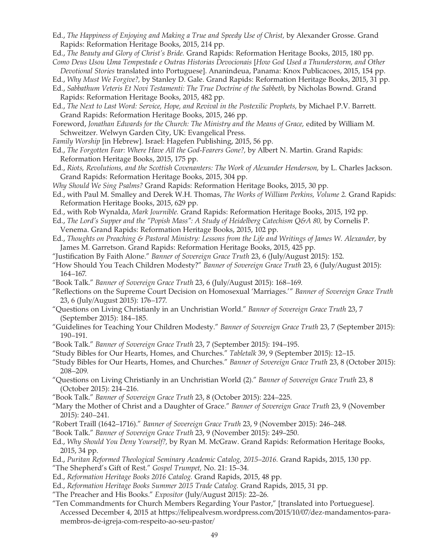- Ed., *The Happiness of Enjoying and Making a True and Speedy Use of Christ,* by Alexander Grosse. Grand Rapids: Reformation Heritage Books, 2015, 214 pp.
- Ed., *The Beauty and Glory of Christ's Bride.* Grand Rapids: Reformation Heritage Books, 2015, 180 pp. *Como Deus Usou Uma Tempestade e Outras Historias Devocionais* [*How God Used a Thunderstorm, and Other*
- *Devotional Stories* translated into Portuguese]. Ananindeua, Panama: Knox Publicacoes, 2015, 154 pp.
- Ed., *Why Must We Forgive?,* by Stanley D. Gale. Grand Rapids: Reformation Heritage Books, 2015, 31 pp.
- Ed., *Sabbathum Veteris Et Novi Testamenti: The True Doctrine of the Sabbeth,* by Nicholas Bownd. Grand Rapids: Reformation Heritage Books, 2015, 482 pp.
- Ed., *The Next to Last Word: Service, Hope, and Revival in the Postexilic Prophets,* by Michael P.V. Barrett. Grand Rapids: Reformation Heritage Books, 2015, 246 pp.
- Foreword, *Jonathan Edwards for the Church: The Ministry and the Means of Grace,* edited by William M. Schweitzer. Welwyn Garden City, UK: Evangelical Press.
- *Family Worship* [in Hebrew]. Israel: Hagefen Publishing, 2015, 56 pp.
- Ed., *The Forgotten Fear: Where Have All the God-Fearers Gone?,* by Albert N. Martin. Grand Rapids: Reformation Heritage Books, 2015, 175 pp.
- Ed., *Riots, Revolutions, and the Scottish Covenanters: The Work of Alexander Henderson,* by L. Charles Jackson. Grand Rapids: Reformation Heritage Books, 2015, 304 pp.
- *Why Should We Sing Psalms?* Grand Rapids: Reformation Heritage Books, 2015, 30 pp.
- Ed., with Paul M. Smalley and Derek W.H. Thomas, *The Works of William Perkins, Volume 2.* Grand Rapids: Reformation Heritage Books, 2015, 629 pp.
- Ed., with Rob Wynalda, *Mark Journible.* Grand Rapids: Reformation Heritage Books, 2015, 192 pp.
- Ed., *The Lord's Supper and the "Popish Mass": A Study of Heidelberg Catechism Q&A 80, by Cornelis P.* Venema. Grand Rapids: Reformation Heritage Books, 2015, 102 pp.
- Ed., *Thoughts on Preaching & Pastoral Ministry: Lessons from the Life and Writings of James W. Alexander,* by James M. Garretson. Grand Rapids: Reformation Heritage Books, 2015, 425 pp.
- "Justification By Faith Alone." *Banner of Sovereign Grace Truth* 23, 6 (July/August 2015): 152.
- "How Should You Teach Children Modesty?" *Banner of Sovereign Grace Truth* 23, 6 (July/August 2015): 164–167.
- "Book Talk." *Banner of Sovereign Grace Truth* 23, 6 (July/August 2015): 168–169.
- "Reflections on the Supreme Court Decision on Homosexual 'Marriages.'" *Banner of Sovereign Grace Truth*  23, 6 (July/August 2015): 176–177.
- "Questions on Living Christianly in an Unchristian World." *Banner of Sovereign Grace Truth* 23, 7 (September 2015): 184–185.
- "Guidelines for Teaching Your Children Modesty." *Banner of Sovereign Grace Truth* 23, 7 (September 2015): 190–191.
- "Book Talk." *Banner of Sovereign Grace Truth* 23, 7 (September 2015): 194–195.
- "Study Bibles for Our Hearts, Homes, and Churches." *Tabletalk* 39, 9 (September 2015): 12–15.
- "Study Bibles for Our Hearts, Homes, and Churches." *Banner of Sovereign Grace Truth* 23, 8 (October 2015): 208–209.
- "Questions on Living Christianly in an Unchristian World (2)." *Banner of Sovereign Grace Truth* 23, 8 (October 2015): 214–216.
- "Book Talk." *Banner of Sovereign Grace Truth* 23, 8 (October 2015): 224–225.
- "Mary the Mother of Christ and a Daughter of Grace." *Banner of Sovereign Grace Truth* 23, 9 (November 2015): 240–241.
- "Robert Traill (1642–1716)." *Banner of Sovereign Grace Truth* 23, 9 (November 2015): 246–248.
- "Book Talk." *Banner of Sovereign Grace Truth* 23, 9 (November 2015): 249–250.
- Ed., *Why Should You Deny Yourself?,* by Ryan M. McGraw. Grand Rapids: Reformation Heritage Books, 2015, 34 pp.
- Ed., *Puritan Reformed Theological Seminary Academic Catalog, 2015–2016.* Grand Rapids, 2015, 130 pp.
- "The Shepherd's Gift of Rest." *Gospel Trumpet,* No. 21: 15–34.
- Ed., *Reformation Heritage Books 2016 Catalog.* Grand Rapids, 2015, 48 pp.
- Ed., *Reformation Heritage Books Summer 2015 Trade Catalog.* Grand Rapids, 2015, 31 pp.
- "The Preacher and His Books." *Expositor* (July/August 2015): 22–26.
- "Ten Commandments for Church Members Regarding Your Pastor," [translated into Portueguese]. Accessed December 4, 2015 at https://felipealvesm.wordpress.com/2015/10/07/dez-mandamentos-paramembros-de-igreja-com-respeito-ao-seu-pastor/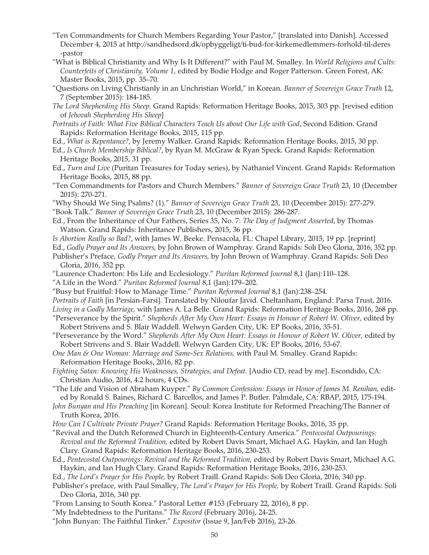- "Ten Commandments for Church Members Regarding Your Pastor," [translated into Danish]. Accessed December 4, 2015 at http://sandhedsord.dk/opbyggeligt/ti-bud-for-kirkemedlemmers-forhold-til-deres -pastor
- "What is Biblical Christianity and Why Is It Different?" with Paul M. Smalley. In *World Religions and Cults: Counterfeits of Christianity, Volume 1,* edited by Bodie Hodge and Roger Patterson. Green Forest, AK: Master Books, 2015, pp. 35–70.
- "Questions on Living Christianly in an Unchristian World," in Korean. *Banner of Sovereign Grace Truth* 12, 7 (September 2015): 184-185.
- *The Lord Shepherding His Sheep*. Grand Rapids: Reformation Heritage Books, 2015, 303 pp. [revised edition of *Jehovah Shepherding His Sheep*]
- *Portraits of Faith: What Five Biblical Characters Teach Us about Our Life with God*, Second Edition. Grand Rapids: Reformation Heritage Books, 2015, 115 pp.
- Ed., *What is Repentance?*, by Jeremy Walker. Grand Rapids: Reformation Heritage Books, 2015, 30 pp.
- Ed., *Is Church Membership Biblical?*, by Ryan M. McGraw & Ryan Speck. Grand Rapids: Reformation Heritage Books, 2015, 31 pp.
- Ed., *Turn and Live* (Puritan Treasures for Today series), by Nathaniel Vincent. Grand Rapids: Reformation Heritage Books, 2015, 88 pp.
- "Ten Commandments for Pastors and Church Members." *Banner of Sovereign Grace Truth* 23, 10 (December 2015): 270-271.
- "Why Should We Sing Psalms? (1)." *Banner of Sovereign Grace Truth* 23, 10 (December 2015): 277-279. "Book Talk." *Banner of Sovereign Grace Truth* 23, 10 (December 2015): 286-287.
- Ed., From the Inheritance of Our Fathers, Series 35, No. 7: *The Day of Judgment Asserted*, by Thomas Watson. Grand Rapids: Inheritance Publishers, 2015, 36 pp.
- *Is Abortion Really so Bad?*, with James W. Beeke. Pensacola, FL: Chapel Library, 2015, 19 pp. [reprint]
- Ed., *Godly Prayer and Its Answers,* by John Brown of Wamphray. Grand Rapids: Soli Deo Gloria, 2016, 352 pp.
- Publisher's Preface, *Godly Prayer and Its Answers,* by John Brown of Wamphray. Grand Rapids: Soli Deo Gloria, 2016, 352 pp.
- "Laurence Chaderton: His Life and Ecclesiology." *Puritan Reformed Journal* 8,1 (Jan):110–128.
- "A Life in the Word." *Puritan Reformed Journal* 8,1 (Jan):179–202.
- "Busy but Fruitful: How to Manage Time." *Puritan Reformed Journal* 8,1 (Jan):238–254.
- *Portraits of Faith* [in Persian-Farsi]. Translated by Niloufar Javid. Cheltanham, England: Parsa Trust, 2016.
- *Living in a Godly Marriage,* with James A. La Belle. Grand Rapids: Reformation Heritage Books, 2016, 268 pp. "Perseverance by the Spirit." *Shepherds After My Own Heart: Essays in Honour of Robert W. Oliver,* edited by
- Robert Strivens and S. Blair Waddell. Welwyn Garden City, UK: EP Books, 2016, 35-51.
- "Perseverance by the Word." *Shepherds After My Own Heart: Essays in Honour of Robert W. Oliver,* edited by Robert Strivens and S. Blair Waddell. Welwyn Garden City, UK: EP Books, 2016, 53-67.
- *One Man & One Woman: Marriage and Same-Sex Relations,* with Paul M. Smalley. Grand Rapids: Reformation Heritage Books, 2016, 82 pp.
- *Fighting Satan: Knowing His Weaknesses, Strategies, and Defeat.* [Audio CD, read by me]. Escondido, CA: Christian Audio, 2016, 4.2 hours, 4 CDs.
- "The Life and Vision of Abraham Kuyper." *By Common Confession: Essays in Honor of James M. Renihan,* edited by Ronald S. Baines, Richard C. Barcellos, and James P. Butler. Palmdale, CA: RBAP, 2015, 175-194.
- *John Bunyan and His Preaching* [in Korean]. Seoul: Korea Institute for Reformed Preaching/The Banner of Truth Korea, 2016.
- *How Can I Cultivate Private Prayer?* Grand Rapids: Reformation Heritage Books, 2016, 35 pp.
- "Revival and the Dutch Reformed Church in Eighteenth-Century America." *Pentecostal Outpourings: Revival and the Reformed Tradition,* edited by Robert Davis Smart, Michael A.G. Haykin, and Ian Hugh Clary. Grand Rapids: Reformation Heritage Books, 2016, 230-253.
- Ed., *Pentecostal Outpourings: Revival and the Reformed Tradition,* edited by Robert Davis Smart, Michael A.G. Haykin, and Ian Hugh Clary. Grand Rapids: Reformation Heritage Books, 2016, 230-253.
- Ed., *The Lord's Prayer for His People,* by Robert Traill. Grand Rapids: Soli Deo Gloria, 2016, 340 pp.
- Publisher's preface, with Paul Smalley, *The Lord's Prayer for His People,* by Robert Traill. Grand Rapids: Soli Deo Gloria, 2016, 340 pp.
- "From Lansing to South Korea." Pastoral Letter #153 (February 22, 2016), 8 pp.
- "My Indebtedness to the Puritans." *The Record* (February 2016), 24-25.
- "John Bunyan: The Faithful Tinker." *Expositor* (Issue 9, Jan/Feb 2016), 23-26.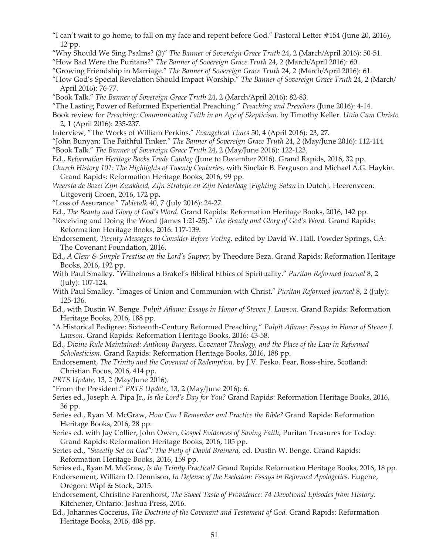- "I can't wait to go home, to fall on my face and repent before God." Pastoral Letter #154 (June 20, 2016), 12 pp.
- "Why Should We Sing Psalms? (3)" *The Banner of Sovereign Grace Truth* 24, 2 (March/April 2016): 50-51.
- "How Bad Were the Puritans?" *The Banner of Sovereign Grace Truth* 24, 2 (March/April 2016): 60.
- "Growing Friendship in Marriage." *The Banner of Sovereign Grace Truth* 24, 2 (March/April 2016): 61.
- "How God's Special Revelation Should Impact Worship." *The Banner of Sovereign Grace Truth* 24, 2 (March/ April 2016): 76-77.
- "Book Talk." *The Banner of Sovereign Grace Truth* 24, 2 (March/April 2016): 82-83.
- "The Lasting Power of Reformed Experiential Preaching." *Preaching and Preachers* (June 2016): 4-14.
- Book review for *Preaching: Communicating Faith in an Age of Skepticism,* by Timothy Keller*. Unio Cum Christo*  2, 1 (April 2016): 235-237.
- Interview, "The Works of William Perkins." *Evangelical Times* 50, 4 (April 2016): 23, 27.
- "John Bunyan: The Faithful Tinker." *The Banner of Sovereign Grace Truth* 24, 2 (May/June 2016): 112-114.
- "Book Talk." *The Banner of Sovereign Grace Truth* 24, 2 (May/June 2016): 122-123.
- Ed., *Reformation Heritage Books Trade Catalog* (June to December 2016). Grand Rapids, 2016, 32 pp.
- *Church History 101: The Highlights of Twenty Centuries,* with Sinclair B. Ferguson and Michael A.G. Haykin. Grand Rapids: Reformation Heritage Books, 2016, 99 pp.
- *Weersta de Boze! Zijn Zwakheid, Zijn Stratejie en Zijn Nederlaag* [*Fighting Satan* in Dutch]. Heerenveen: Uitgeverij Groen, 2016, 172 pp.
- "Loss of Assurance." *Tabletalk* 40, 7 (July 2016): 24-27.
- Ed., *The Beauty and Glory of God's Word.* Grand Rapids: Reformation Heritage Books, 2016, 142 pp.
- "Receiving and Doing the Word (James 1:21-25)." *The Beauty and Glory of God's Word.* Grand Rapids: Reformation Heritage Books, 2016: 117-139.
- Endorsement, *Twenty Messages to Consider Before Voting,* edited by David W. Hall. Powder Springs, GA: The Covenant Foundation, 2016.
- Ed., *A Clear & Simple Treatise on the Lord's Supper,* by Theodore Beza. Grand Rapids: Reformation Heritage Books, 2016, 192 pp.
- With Paul Smalley. "Wilhelmus a Brakel's Biblical Ethics of Spirituality." *Puritan Reformed Journal* 8, 2 (July): 107-124.
- With Paul Smalley. "Images of Union and Communion with Christ." *Puritan Reformed Journal* 8, 2 (July): 125-136.
- Ed., with Dustin W. Benge. *Pulpit Aflame: Essays in Honor of Steven J. Lawson.* Grand Rapids: Reformation Heritage Books, 2016, 188 pp.
- "A Historical Pedigree: Sixteenth-Century Reformed Preaching." *Pulpit Aflame: Essays in Honor of Steven J. Lawson.* Grand Rapids: Reformation Heritage Books, 2016: 43-58.
- Ed., *Divine Rule Maintained: Anthony Burgess, Covenant Theology, and the Place of the Law in Reformed Scholasticism.* Grand Rapids: Reformation Heritage Books, 2016, 188 pp.
- Endorsement, *The Trinity and the Covenant of Redemption,* by J.V. Fesko. Fear, Ross-shire, Scotland: Christian Focus, 2016, 414 pp.
- *PRTS Update,* 13, 2 (May/June 2016).
- "From the President." *PRTS Update,* 13, 2 (May/June 2016): 6.
- Series ed., Joseph A. Pipa Jr., *Is the Lord's Day for You?* Grand Rapids: Reformation Heritage Books, 2016, 36 pp.
- Series ed., Ryan M. McGraw, *How Can I Remember and Practice the Bible?* Grand Rapids: Reformation Heritage Books, 2016, 28 pp.
- Series ed. with Jay Collier, John Owen, *Gospel Evidences of Saving Faith,* Puritan Treasures for Today. Grand Rapids: Reformation Heritage Books, 2016, 105 pp.
- Series ed., *"Sweetly Set on God": The Piety of David Brainerd,* ed. Dustin W. Benge. Grand Rapids: Reformation Heritage Books, 2016, 159 pp.
- Series ed., Ryan M. McGraw, *Is the Trinity Practical?* Grand Rapids: Reformation Heritage Books, 2016, 18 pp.
- Endorsement, William D. Dennison, *In Defense of the Eschaton: Essays in Reformed Apologetics.* Eugene, Oregon: Wipf & Stock, 2015.
- Endorsement, Christine Farenhorst, *The Sweet Taste of Providence: 74 Devotional Episodes from History.*  Kitchener, Ontario: Joshua Press, 2016.
- Ed., Johannes Cocceius, *The Doctrine of the Covenant and Testament of God.* Grand Rapids: Reformation Heritage Books, 2016, 408 pp.